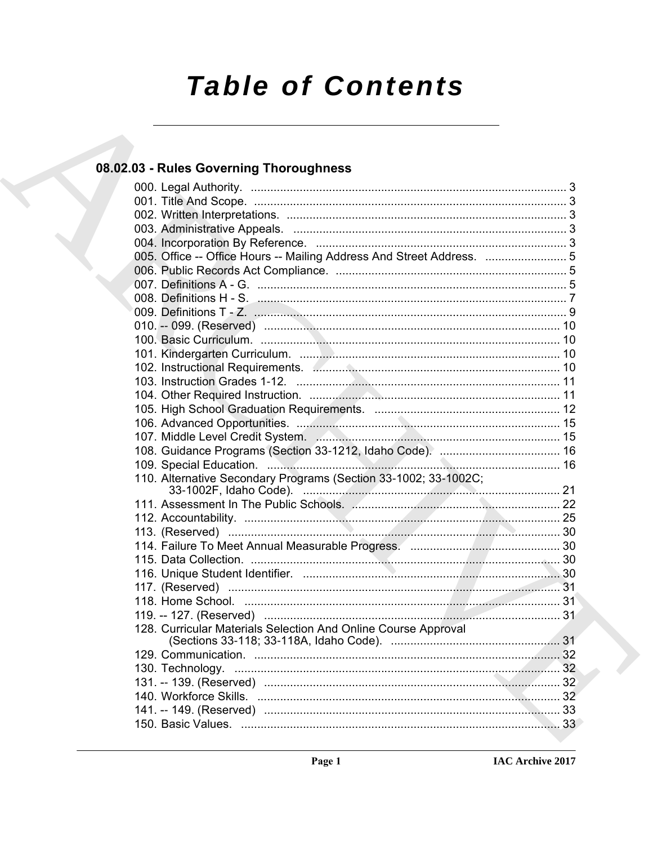# **Table of Contents**

### 08.02.03 - Rules Governing Thoroughness

| 005. Office -- Office Hours -- Mailing Address And Street Address.  5 |  |
|-----------------------------------------------------------------------|--|
|                                                                       |  |
|                                                                       |  |
|                                                                       |  |
|                                                                       |  |
|                                                                       |  |
|                                                                       |  |
|                                                                       |  |
|                                                                       |  |
|                                                                       |  |
|                                                                       |  |
|                                                                       |  |
|                                                                       |  |
|                                                                       |  |
|                                                                       |  |
|                                                                       |  |
|                                                                       |  |
| 110. Alternative Secondary Programs (Section 33-1002; 33-1002C;       |  |
| 33-1002F, Idaho Code). <u>Andrew Manuel Alexandre Code</u>            |  |
|                                                                       |  |
|                                                                       |  |
|                                                                       |  |
|                                                                       |  |
|                                                                       |  |
|                                                                       |  |
|                                                                       |  |
|                                                                       |  |
|                                                                       |  |
| 128. Curricular Materials Selection And Online Course Approval        |  |
|                                                                       |  |
|                                                                       |  |
|                                                                       |  |
|                                                                       |  |
|                                                                       |  |
|                                                                       |  |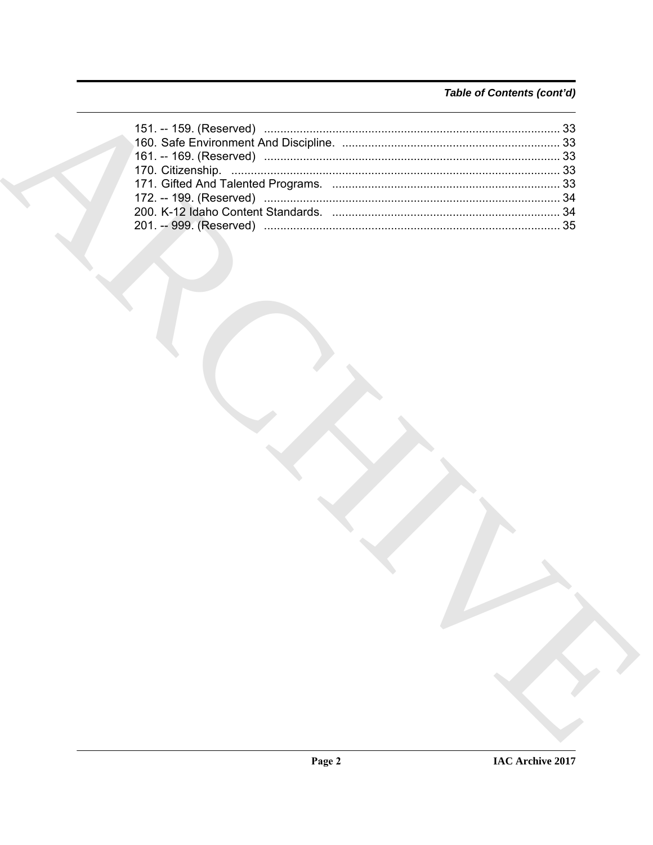### Table of Contents (cont'd)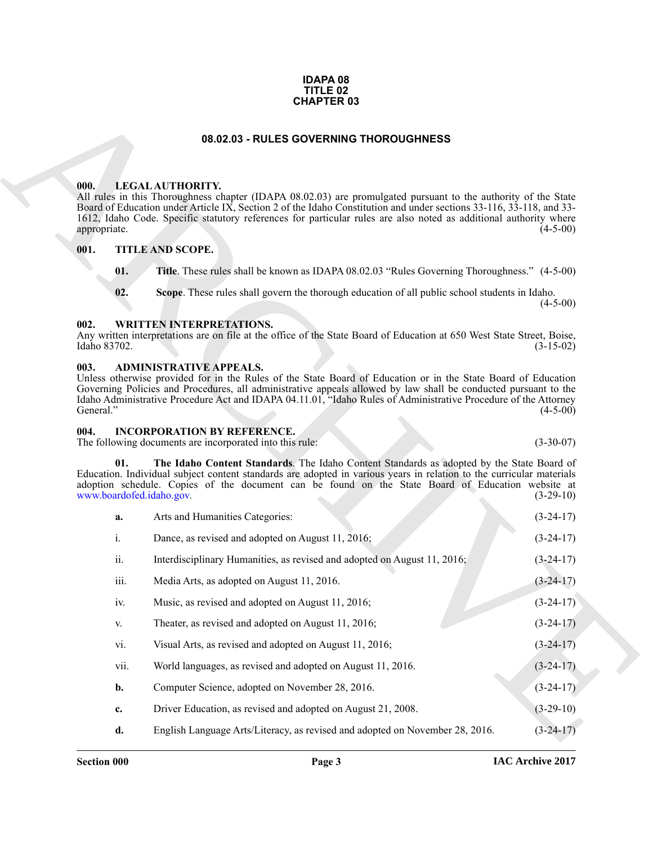#### **IDAPA 08 TITLE 02 CHAPTER 03**

#### **08.02.03 - RULES GOVERNING THOROUGHNESS**

#### <span id="page-2-1"></span><span id="page-2-0"></span>**000. LEGAL AUTHORITY.**

#### <span id="page-2-2"></span>**001. TITLE AND SCOPE.**

- **01. Title**. These rules shall be known as IDAPA 08.02.03 "Rules Governing Thoroughness." (4-5-00)
- **02. Scope**. These rules shall govern the thorough education of all public school students in Idaho.

#### <span id="page-2-3"></span>**002. WRITTEN INTERPRETATIONS.**

#### <span id="page-2-4"></span>**003. ADMINISTRATIVE APPEALS.**

#### <span id="page-2-7"></span><span id="page-2-6"></span><span id="page-2-5"></span>**004. INCORPORATION BY REFERENCE.**

| <b>CHAPTER 03</b>    |                           |                                                                                                                                                                                                                                                                                                                                                                                       |             |
|----------------------|---------------------------|---------------------------------------------------------------------------------------------------------------------------------------------------------------------------------------------------------------------------------------------------------------------------------------------------------------------------------------------------------------------------------------|-------------|
|                      |                           | 08.02.03 - RULES GOVERNING THOROUGHNESS                                                                                                                                                                                                                                                                                                                                               |             |
| 000.<br>appropriate. |                           | LEGAL AUTHORITY.<br>All rules in this Thoroughness chapter (IDAPA 08.02.03) are promulgated pursuant to the authority of the State<br>Board of Education under Article IX, Section 2 of the Idaho Constitution and under sections 33-116, 33-118, and 33-<br>1612, Idaho Code. Specific statutory references for particular rules are also noted as additional authority where        | $(4-5-00)$  |
| 001.                 |                           | <b>TITLE AND SCOPE.</b>                                                                                                                                                                                                                                                                                                                                                               |             |
|                      | 01.                       | Title. These rules shall be known as IDAPA 08.02.03 "Rules Governing Thoroughness." (4-5-00)                                                                                                                                                                                                                                                                                          |             |
|                      | 02.                       | Scope. These rules shall govern the thorough education of all public school students in Idaho.                                                                                                                                                                                                                                                                                        | $(4-5-00)$  |
| 002.<br>Idaho 83702. |                           | <b>WRITTEN INTERPRETATIONS.</b><br>Any written interpretations are on file at the office of the State Board of Education at 650 West State Street, Boise,                                                                                                                                                                                                                             | $(3-15-02)$ |
| 003.<br>General."    |                           | <b>ADMINISTRATIVE APPEALS.</b><br>Unless otherwise provided for in the Rules of the State Board of Education or in the State Board of Education<br>Governing Policies and Procedures, all administrative appeals allowed by law shall be conducted pursuant to the<br>Idaho Administrative Procedure Act and IDAPA 04.11.01, "Idaho Rules of Administrative Procedure of the Attorney | $(4-5-00)$  |
| 004.                 |                           | <b>INCORPORATION BY REFERENCE.</b><br>The following documents are incorporated into this rule:                                                                                                                                                                                                                                                                                        | $(3-30-07)$ |
|                      | 01.                       | The Idaho Content Standards. The Idaho Content Standards as adopted by the State Board of<br>Education. Individual subject content standards are adopted in various years in relation to the curricular materials<br>adoption schedule. Copies of the document can be found on the State Board of Education website at<br>www.boardofed.idaho.gov.                                    | $(3-29-10)$ |
|                      | a.                        | Arts and Humanities Categories:                                                                                                                                                                                                                                                                                                                                                       | $(3-24-17)$ |
|                      | i.                        | Dance, as revised and adopted on August 11, 2016;                                                                                                                                                                                                                                                                                                                                     | $(3-24-17)$ |
|                      | ii.                       | Interdisciplinary Humanities, as revised and adopted on August 11, 2016;                                                                                                                                                                                                                                                                                                              | $(3-24-17)$ |
|                      | $\overline{\text{iii}}$ . | Media Arts, as adopted on August 11, 2016.                                                                                                                                                                                                                                                                                                                                            | $(3-24-17)$ |
|                      | iv.                       | Music, as revised and adopted on August 11, 2016;                                                                                                                                                                                                                                                                                                                                     | $(3-24-17)$ |
|                      | V.                        | Theater, as revised and adopted on August 11, 2016;                                                                                                                                                                                                                                                                                                                                   | $(3-24-17)$ |
|                      | vi.                       | Visual Arts, as revised and adopted on August 11, 2016;                                                                                                                                                                                                                                                                                                                               | $(3-24-17)$ |
|                      | vii.                      | World languages, as revised and adopted on August 11, 2016.                                                                                                                                                                                                                                                                                                                           | $(3-24-17)$ |
|                      | b.                        | Computer Science, adopted on November 28, 2016.                                                                                                                                                                                                                                                                                                                                       | $(3-24-17)$ |
|                      | c.                        | Driver Education, as revised and adopted on August 21, 2008.                                                                                                                                                                                                                                                                                                                          | $(3-29-10)$ |
|                      | d.                        | English Language Arts/Literacy, as revised and adopted on November 28, 2016.                                                                                                                                                                                                                                                                                                          | $(3-24-17)$ |
|                      |                           |                                                                                                                                                                                                                                                                                                                                                                                       |             |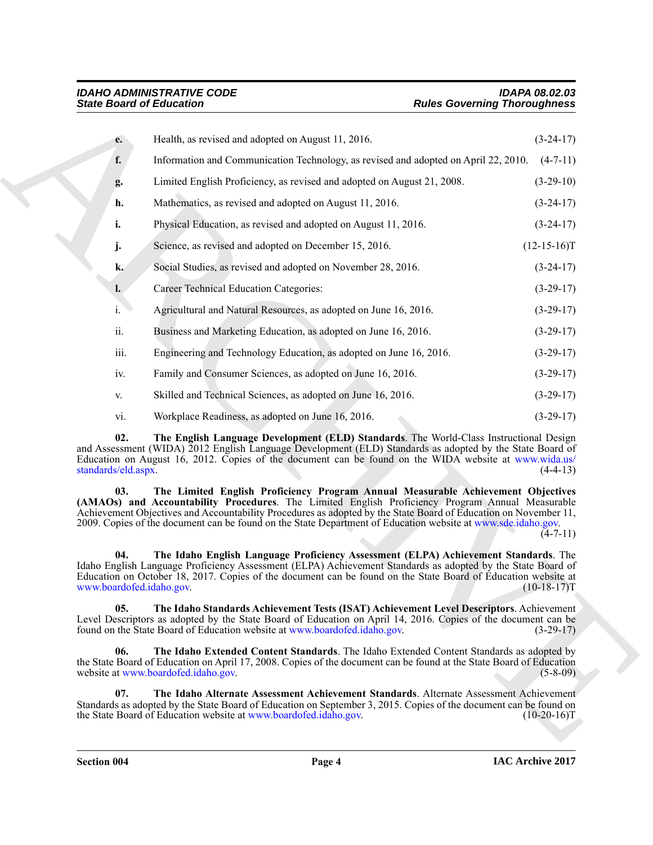<span id="page-3-5"></span><span id="page-3-4"></span><span id="page-3-3"></span><span id="page-3-2"></span><span id="page-3-1"></span><span id="page-3-0"></span>

| <b>State Board of Education</b> |                                                                                                                                                                                                                                                                                                                                                                                                                         | <b>Rules Governing Thoroughness</b>                                                                               |  |
|---------------------------------|-------------------------------------------------------------------------------------------------------------------------------------------------------------------------------------------------------------------------------------------------------------------------------------------------------------------------------------------------------------------------------------------------------------------------|-------------------------------------------------------------------------------------------------------------------|--|
| $e_{\bullet}$                   | Health, as revised and adopted on August 11, 2016.                                                                                                                                                                                                                                                                                                                                                                      | $(3-24-17)$                                                                                                       |  |
| f.                              | Information and Communication Technology, as revised and adopted on April 22, 2010.                                                                                                                                                                                                                                                                                                                                     | $(4-7-11)$                                                                                                        |  |
| g.                              | Limited English Proficiency, as revised and adopted on August 21, 2008.                                                                                                                                                                                                                                                                                                                                                 | $(3-29-10)$                                                                                                       |  |
| h.                              | Mathematics, as revised and adopted on August 11, 2016.                                                                                                                                                                                                                                                                                                                                                                 | $(3-24-17)$                                                                                                       |  |
| i.                              | Physical Education, as revised and adopted on August 11, 2016.                                                                                                                                                                                                                                                                                                                                                          | $(3-24-17)$                                                                                                       |  |
| j.                              | Science, as revised and adopted on December 15, 2016.                                                                                                                                                                                                                                                                                                                                                                   | $(12-15-16)T$                                                                                                     |  |
| k.                              | Social Studies, as revised and adopted on November 28, 2016.                                                                                                                                                                                                                                                                                                                                                            | $(3-24-17)$                                                                                                       |  |
| $\mathbf{l}$ .                  | <b>Career Technical Education Categories:</b>                                                                                                                                                                                                                                                                                                                                                                           | $(3-29-17)$                                                                                                       |  |
| i.                              | Agricultural and Natural Resources, as adopted on June 16, 2016.                                                                                                                                                                                                                                                                                                                                                        | $(3-29-17)$                                                                                                       |  |
| ii.                             | Business and Marketing Education, as adopted on June 16, 2016.                                                                                                                                                                                                                                                                                                                                                          | $(3-29-17)$                                                                                                       |  |
| iii.                            | Engineering and Technology Education, as adopted on June 16, 2016.                                                                                                                                                                                                                                                                                                                                                      | $(3-29-17)$                                                                                                       |  |
| iv.                             | Family and Consumer Sciences, as adopted on June 16, 2016.                                                                                                                                                                                                                                                                                                                                                              | $(3-29-17)$                                                                                                       |  |
| V.                              | Skilled and Technical Sciences, as adopted on June 16, 2016.                                                                                                                                                                                                                                                                                                                                                            | $(3-29-17)$                                                                                                       |  |
| vi.                             | Workplace Readiness, as adopted on June 16, 2016.                                                                                                                                                                                                                                                                                                                                                                       | $(3-29-17)$                                                                                                       |  |
| 02.<br>standards/eld.aspx.      | The English Language Development (ELD) Standards. The World-Class Instructional Design<br>and Assessment (WIDA) 2012 English Language Development (ELD) Standards as adopted by the State Board of<br>Education on August 16, 2012. Copies of the document can be found on the WIDA website at www.wida.us/                                                                                                             | $(4-4-13)$                                                                                                        |  |
| 03.                             | The Limited English Proficiency Program Annual Measurable Achievement Objectives<br>(AMAOs) and Accountability Procedures. The Limited English Proficiency Program Annual Measurable<br>Achievement Objectives and Accountability Procedures as adopted by the State Board of Education on November 11,<br>2009. Copies of the document can be found on the State Department of Education website at www.sde.idaho.gov. | $(4-7-11)$                                                                                                        |  |
| 04.<br>www.boardofed.idaho.gov. | The Idaho English Language Proficiency Assessment (ELPA) Achievement Standards. The<br>Idaho English Language Proficiency Assessment (ELPA) Achievement Standards as adopted by the State Board of<br>Education on October 18, 2017. Copies of the document can be found on the State Board of Éducation website at                                                                                                     | $(10-18-17)T$                                                                                                     |  |
| 05.                             | The Idaho Standards Achievement Tests (ISAT) Achievement Level Descriptors. Achievement<br>Level Descriptors as adopted by the State Board of Education on April 14, 2016. Copies of the document can be<br>found on the State Board of Education website at www.boardofed.idaho.gov.                                                                                                                                   | $(3-29-17)$                                                                                                       |  |
| 06.                             | The Idaho Extended Content Standards. The Idaho Extended Content Standards as adopted by<br>the State Board of Education on April 17, 2008. Copies of the document can be found at the State Board of Education<br>website at www.boardofed.idaho.gov.                                                                                                                                                                  | $(5-8-09)$                                                                                                        |  |
|                                 | The Idaho Alternate Assessment Achievement Standards. Alternate Assessment Achievement                                                                                                                                                                                                                                                                                                                                  | Standards as adopted by the State Board of Education on September 3, 2015. Copies of the document can be found on |  |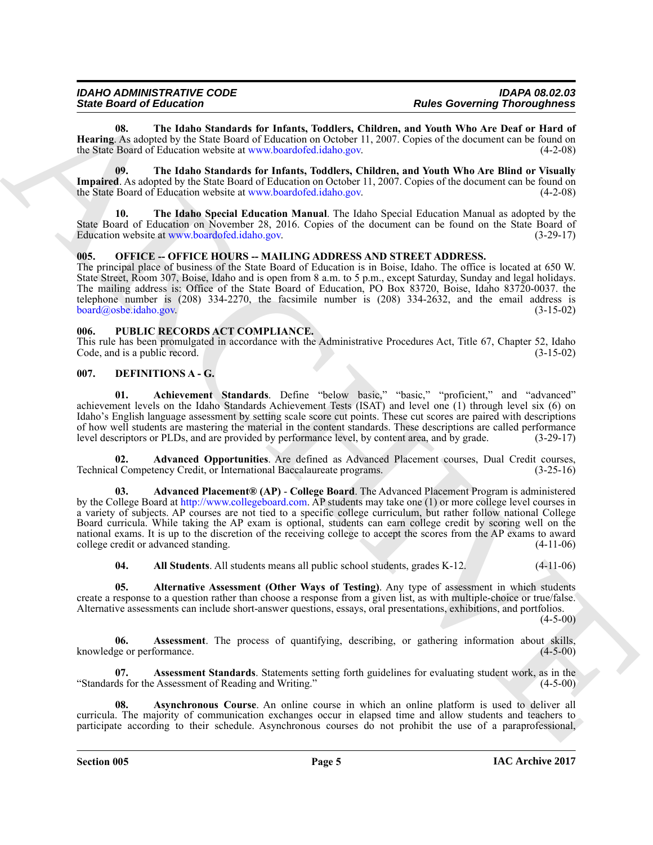#### *IDAHO ADMINISTRATIVE CODE IDAPA 08.02.03 State Board of Education Rules Governing Thoroughness*

<span id="page-4-13"></span>**08. The Idaho Standards for Infants, Toddlers, Children, and Youth Who Are Deaf or Hard of Hearing**. As adopted by the State Board of Education on October 11, 2007. Copies of the document can be found on the State Board of Education website at www.boardofed.idaho.gov. (4-2-08)

<span id="page-4-12"></span>**09. The Idaho Standards for Infants, Toddlers, Children, and Youth Who Are Blind or Visually Impaired**. As adopted by the State Board of Education on October 11, 2007. Copies of the document can be found on the State Board of Education website at www.boardofed.jdaho.gov. (4-2-08) the State Board of Education website at www.boardofed.idaho.gov.

<span id="page-4-11"></span>**10. The Idaho Special Education Manual**. The Idaho Special Education Manual as adopted by the State Board of Education on November 28, 2016. Copies of the document can be found on the State Board of Education website at www.boardofed.idaho.gov. (3-29-17)

#### <span id="page-4-14"></span><span id="page-4-0"></span>**005. OFFICE -- OFFICE HOURS -- MAILING ADDRESS AND STREET ADDRESS.**

The principal place of business of the State Board of Education is in Boise, Idaho. The office is located at 650 W. State Street, Room 307, Boise, Idaho and is open from 8 a.m. to 5 p.m., except Saturday, Sunday and legal holidays. The mailing address is: Office of the State Board of Education, PO Box 83720, Boise, Idaho 83720-0037. the telephone number is (208) 334-2270, the facsimile number is (208) 334-2632, and the email address is board@osbe.idaho.gov. (3-15-02)

#### <span id="page-4-15"></span><span id="page-4-1"></span>**006. PUBLIC RECORDS ACT COMPLIANCE.**

This rule has been promulgated in accordance with the Administrative Procedures Act, Title 67, Chapter 52, Idaho Code, and is a public record. (3-15-02) Code, and is a public record.

#### <span id="page-4-3"></span><span id="page-4-2"></span>**007. DEFINITIONS A - G.**

<span id="page-4-4"></span>**01. Achievement Standards**. Define "below basic," "basic," "proficient," and "advanced" achievement levels on the Idaho Standards Achievement Tests (ISAT) and level one (1) through level six (6) on Idaho's English language assessment by setting scale score cut points. These cut scores are paired with descriptions of how well students are mastering the material in the content standards. These descriptions are called performance level descriptors or PLDs, and are provided by performance level, by content area, and by grade. (3-29-17)

<span id="page-4-5"></span>**02. Advanced Opportunities**. Are defined as Advanced Placement courses, Dual Credit courses, Technical Competency Credit, or International Baccalaureate programs. (3-25-16)

Since Gravity definition of the transformation in the since Gravity definition of the since of the since of the since of the since of the since of the since of the since of the since of the since of the since of the since **03. Advanced Placement® (AP)** - **College Board**. The Advanced Placement Program is administered by the College Board at http://www.collegeboard.com. AP students may take one (1) or more college level courses in a variety of subjects. AP courses are not tied to a specific college curriculum, but rather follow national College Board curricula. While taking the AP exam is optional, students can earn college credit by scoring well on the national exams. It is up to the discretion of the receiving college to accept the scores from the AP exams to award college credit or advanced standing. (4-11-06) college credit or advanced standing.

<span id="page-4-8"></span><span id="page-4-7"></span><span id="page-4-6"></span>**04. All Students**. All students means all public school students, grades K-12. (4-11-06)

**05. Alternative Assessment (Other Ways of Testing)**. Any type of assessment in which students create a response to a question rather than choose a response from a given list, as with multiple-choice or true/false. Alternative assessments can include short-answer questions, essays, oral presentations, exhibitions, and portfolios.

 $(4-5-00)$ 

**06.** Assessment. The process of quantifying, describing, or gathering information about skills, ge or performance. (4-5-00) knowledge or performance.

<span id="page-4-9"></span>**Assessment Standards**. Statements setting forth guidelines for evaluating student work, as in the "Standards for the Assessment of Reading and Writing." (4-5-00)

<span id="page-4-10"></span>**08. Asynchronous Course**. An online course in which an online platform is used to deliver all curricula. The majority of communication exchanges occur in elapsed time and allow students and teachers to participate according to their schedule. Asynchronous courses do not prohibit the use of a paraprofessional,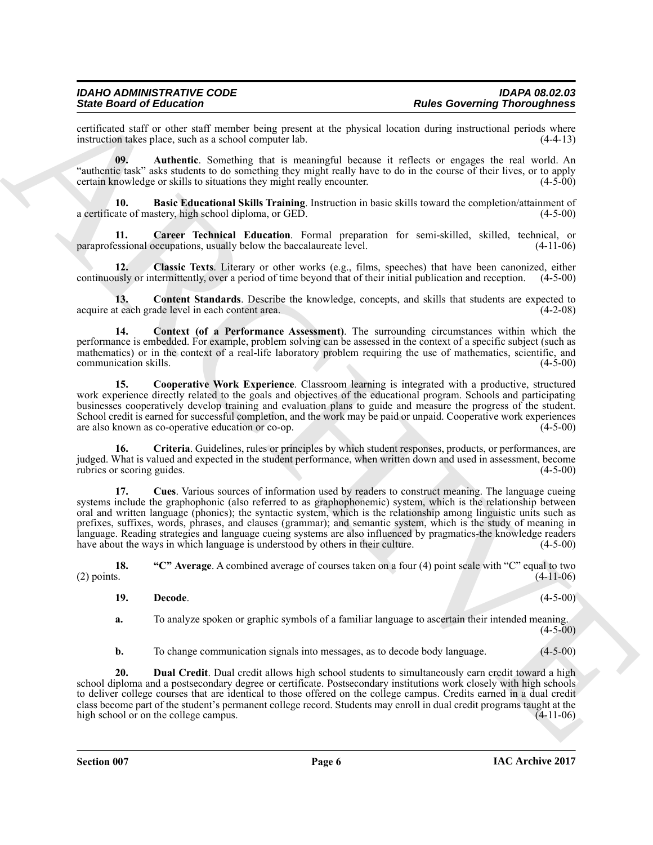#### *IDAHO ADMINISTRATIVE CODE IDAPA 08.02.03 State Board of Education Rules Governing Thoroughness*

certificated staff or other staff member being present at the physical location during instructional periods where<br>instruction takes place, such as a school computer lab. (4-4-13) instruction takes place, such as a school computer lab.

<span id="page-5-1"></span>**09. Authentic**. Something that is meaningful because it reflects or engages the real world. An "authentic task" asks students to do something they might really have to do in the course of their lives, or to apply certain knowledge or skills to situations they might really encounter. (4-5-00)

<span id="page-5-2"></span>**10. Basic Educational Skills Training**. Instruction in basic skills toward the completion/attainment of a certificate of mastery, high school diploma, or GED. (4-5-00)

<span id="page-5-3"></span>**11. Career Technical Education**. Formal preparation for semi-skilled, skilled, technical, or paraprofessional occupations, usually below the baccalaureate level. (4-11-06)

<span id="page-5-4"></span>**12. Classic Texts**. Literary or other works (e.g., films, speeches) that have been canonized, either continuously or intermittently, over a period of time beyond that of their initial publication and reception. (4-5-00)

<span id="page-5-5"></span>**13. Content Standards**. Describe the knowledge, concepts, and skills that students are expected to acquire at each grade level in each content area. (4-2-08)

<span id="page-5-6"></span>**14. Context (of a Performance Assessment)**. The surrounding circumstances within which the performance is embedded. For example, problem solving can be assessed in the context of a specific subject (such as mathematics) or in the context of a real-life laboratory problem requiring the use of mathematics, scientific, and communication skills. (4-5-00)

<span id="page-5-7"></span>**15. Cooperative Work Experience**. Classroom learning is integrated with a productive, structured work experience directly related to the goals and objectives of the educational program. Schools and participating businesses cooperatively develop training and evaluation plans to guide and measure the progress of the student. School credit is earned for successful completion, and the work may be paid or unpaid. Cooperative work experiences are also known as co-operative education or co-op. (4-5-00)

<span id="page-5-9"></span><span id="page-5-8"></span>**16. Criteria**. Guidelines, rules or principles by which student responses, products, or performances, are judged. What is valued and expected in the student performance, when written down and used in assessment, become rubrics or scoring guides. (4-5-00)

Since Gradient Financial members hand properties the physical bostom since Gradenting Theoretics control in<br>the Southwest of the Most Control members in the physical bostom since the same of the Control members of the Con **17. Cues**. Various sources of information used by readers to construct meaning. The language cueing systems include the graphophonic (also referred to as graphophonemic) system, which is the relationship between oral and written language (phonics); the syntactic system, which is the relationship among linguistic units such as prefixes, suffixes, words, phrases, and clauses (grammar); and semantic system, which is the study of meaning in language. Reading strategies and language cueing systems are also influenced by pragmatics-the knowledge readers have about the ways in which language is understood by others in their culture. (4-5-00) have about the ways in which language is understood by others in their culture.

**18. "C" Average**. A combined average of courses taken on a four (4) point scale with "C" equal to two (2) points.  $(4-11-06)$ 

- <span id="page-5-10"></span><span id="page-5-0"></span>**19. Decode**. (4-5-00)
- 

**a.** To analyze spoken or graphic symbols of a familiar language to ascertain their intended meaning.  $(4-5-00)$ 

<span id="page-5-11"></span>**b.** To change communication signals into messages, as to decode body language. (4-5-00)

**20. Dual Credit**. Dual credit allows high school students to simultaneously earn credit toward a high school diploma and a postsecondary degree or certificate. Postsecondary institutions work closely with high schools to deliver college courses that are identical to those offered on the college campus. Credits earned in a dual credit class become part of the student's permanent college record. Students may enroll in dual credit programs taught at the high school or on the college campus. high school or on the college campus.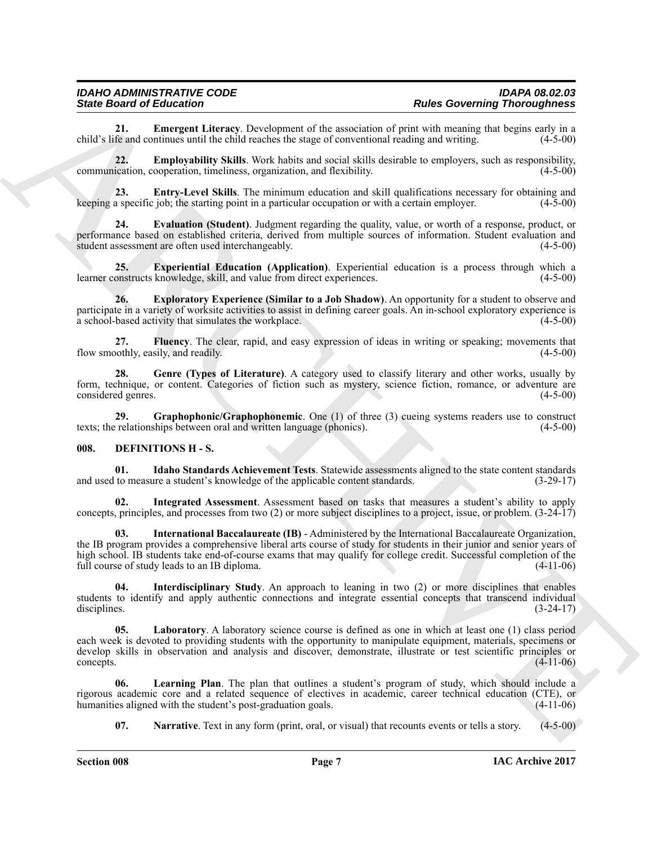<span id="page-6-1"></span>**21. Emergent Literacy**. Development of the association of print with meaning that begins early in a child's life and continues until the child reaches the stage of conventional reading and writing.

<span id="page-6-2"></span>**22. Employability Skills**. Work habits and social skills desirable to employers, such as responsibility, communication, cooperation, timeliness, organization, and flexibility. (4-5-00)

<span id="page-6-3"></span>**23. Entry-Level Skills**. The minimum education and skill qualifications necessary for obtaining and a specific job: the starting point in a particular occupation or with a certain employer. (4-5-00) keeping a specific job; the starting point in a particular occupation or with a certain employer.

<span id="page-6-4"></span>**24. Evaluation (Student)**. Judgment regarding the quality, value, or worth of a response, product, or performance based on established criteria, derived from multiple sources of information. Student evaluation and student assessment are often used interchangeably. (4-5-00) student assessment are often used interchangeably.

<span id="page-6-5"></span>**25. Experiential Education (Application)**. Experiential education is a process through which a learner constructs knowledge, skill, and value from direct experiences. (4-5-00)

<span id="page-6-6"></span>**26. Exploratory Experience (Similar to a Job Shadow)**. An opportunity for a student to observe and participate in a variety of worksite activities to assist in defining career goals. An in-school exploratory experience is a school-based activity that simulates the workplace. (4-5-00)

<span id="page-6-7"></span>**27. Fluency**. The clear, rapid, and easy expression of ideas in writing or speaking; movements that flow smoothly, easily, and readily.

<span id="page-6-8"></span>**28. Genre (Types of Literature)**. A category used to classify literary and other works, usually by form, technique, or content. Categories of fiction such as mystery, science fiction, romance, or adventure are considered genres.

<span id="page-6-9"></span>**29.** Graphophonic/Graphophonemic. One (1) of three (3) cueing systems readers use to construct relationships between oral and written language (phonics). (4-5-00) texts; the relationships between oral and written language (phonics).

#### <span id="page-6-10"></span><span id="page-6-0"></span>**008. DEFINITIONS H - S.**

<span id="page-6-11"></span>**01. Idaho Standards Achievement Tests**. Statewide assessments aligned to the state content standards and used to measure a student's knowledge of the applicable content standards. (3-29-17)

<span id="page-6-12"></span>**02. Integrated Assessment**. Assessment based on tasks that measures a student's ability to apply concepts, principles, and processes from two (2) or more subject disciplines to a project, issue, or problem. (3-24-17)

<span id="page-6-14"></span>**03. International Baccalaureate (IB)** - Administered by the International Baccalaureate Organization, the IB program provides a comprehensive liberal arts course of study for students in their junior and senior years of high school. IB students take end-of-course exams that may qualify for college credit. Successful completion of the full course of study leads to an IB diploma. (4-11-06)

<span id="page-6-15"></span><span id="page-6-13"></span>**04. Interdisciplinary Study**. An approach to leaning in two (2) or more disciplines that enables students to identify and apply authentic connections and integrate essential concepts that transcend individual disciplines. (3-24-17) disciplines. (3-24-17)

Since Grad of Education 14 Conservation of the convention of Real Government of the conservation of the state of the state of the state of the state of the state of the state of the state of the state of the state of the **Laboratory**. A laboratory science course is defined as one in which at least one (1) class period each week is devoted to providing students with the opportunity to manipulate equipment, materials, specimens or develop skills in observation and analysis and discover, demonstrate, illustrate or test scientific principles or  $\epsilon$  (4-11-06)  $(4-11-06)$ 

**06. Learning Plan**. The plan that outlines a student's program of study, which should include a rigorous academic core and a related sequence of electives in academic, career technical education (CTE), or humanities aligned with the student's post-graduation goals.

<span id="page-6-17"></span><span id="page-6-16"></span>**07. Narrative**. Text in any form (print, oral, or visual) that recounts events or tells a story. (4-5-00)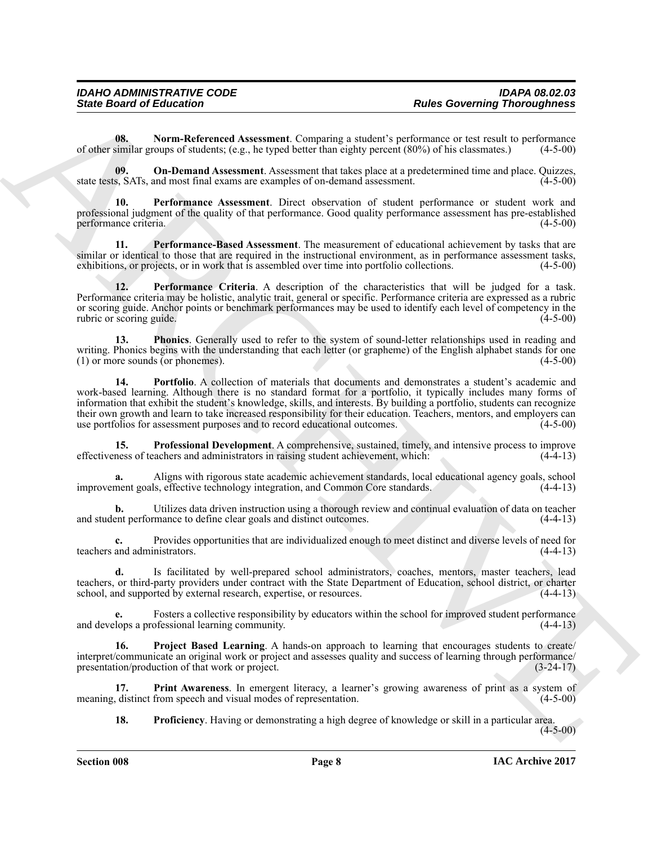<span id="page-7-0"></span>**08. Norm-Referenced Assessment**. Comparing a student's performance or test result to performance of other similar groups of students; (e.g., he typed better than eighty percent (80%) of his classmates.) (4-5-00)

<span id="page-7-1"></span>**09.** On-Demand Assessment. Assessment that takes place at a predetermined time and place. Quizzes, s, SATs, and most final exams are examples of on-demand assessment. (4-5-00) state tests, SATs, and most final exams are examples of on-demand assessment.

<span id="page-7-2"></span>**10. Performance Assessment**. Direct observation of student performance or student work and professional judgment of the quality of that performance. Good quality performance assessment has pre-established performance criteria. (4-5-00)

<span id="page-7-4"></span>**11. Performance-Based Assessment**. The measurement of educational achievement by tasks that are similar or identical to those that are required in the instructional environment, as in performance assessment tasks, exhibitions, or projects, or in work that is assembled over time into portfolio collections. (4-5-00) exhibitions, or projects, or in work that is assembled over time into portfolio collections.

<span id="page-7-3"></span>**12. Performance Criteria**. A description of the characteristics that will be judged for a task. Performance criteria may be holistic, analytic trait, general or specific. Performance criteria are expressed as a rubric or scoring guide. Anchor points or benchmark performances may be used to identify each level of competency in the rubric or scoring guide. (4-5-00)

<span id="page-7-6"></span><span id="page-7-5"></span>**13. Phonics**. Generally used to refer to the system of sound-letter relationships used in reading and writing. Phonics begins with the understanding that each letter (or grapheme) of the English alphabet stands for one<br>(1) or more sounds (or phonemes).  $(1)$  or more sounds (or phonemes).

Since Board of Entrepreneur Characteristics (competitive and of the Sincer Board of the Sincer Board of Entrepreneurs (Alternative and the Sincer Board of the Sincer Board of the Sincer Board of the Sincer Board of the Si **14. Portfolio**. A collection of materials that documents and demonstrates a student's academic and work-based learning. Although there is no standard format for a portfolio, it typically includes many forms of information that exhibit the student's knowledge, skills, and interests. By building a portfolio, students can recognize their own growth and learn to take increased responsibility for their education. Teachers, mentors, and employers can use portfolios for assessment purposes and to record educational outcomes. (4-5-00)

<span id="page-7-8"></span>**15. Professional Development**. A comprehensive, sustained, timely, and intensive process to improve ness of teachers and administrators in raising student achievement, which: (4-4-13) effectiveness of teachers and administrators in raising student achievement, which:

**a.** Aligns with rigorous state academic achievement standards, local educational agency goals, school nent goals, effective technology integration, and Common Core standards. (4-4-13) improvement goals, effective technology integration, and Common Core standards.

**b.** Utilizes data driven instruction using a thorough review and continual evaluation of data on teacher ent performance to define clear goals and distinct outcomes. (4-4-13) and student performance to define clear goals and distinct outcomes.

**c.** Provides opportunities that are individualized enough to meet distinct and diverse levels of need for teachers and administrators. (4-4-13)

**d.** Is facilitated by well-prepared school administrators, coaches, mentors, master teachers, lead teachers, or third-party providers under contract with the State Department of Education, school district, or charter school, and supported by external research, expertise, or resources. (4-4-13)

**e.** Fosters a collective responsibility by educators within the school for improved student performance and develops a professional learning community. (4-4-13)

<span id="page-7-10"></span>**16. Project Based Learning**. A hands-on approach to learning that encourages students to create/ interpret/communicate an original work or project and assesses quality and success of learning through performance/ presentation/production of that work or project. (3-24-17)

**17. Print Awareness**. In emergent literacy, a learner's growing awareness of print as a system of distinct from speech and visual modes of representation. (4-5-00) meaning, distinct from speech and visual modes of representation.

<span id="page-7-9"></span><span id="page-7-7"></span>**18. Proficiency**. Having or demonstrating a high degree of knowledge or skill in a particular area.  $(4 - 5 - 00)$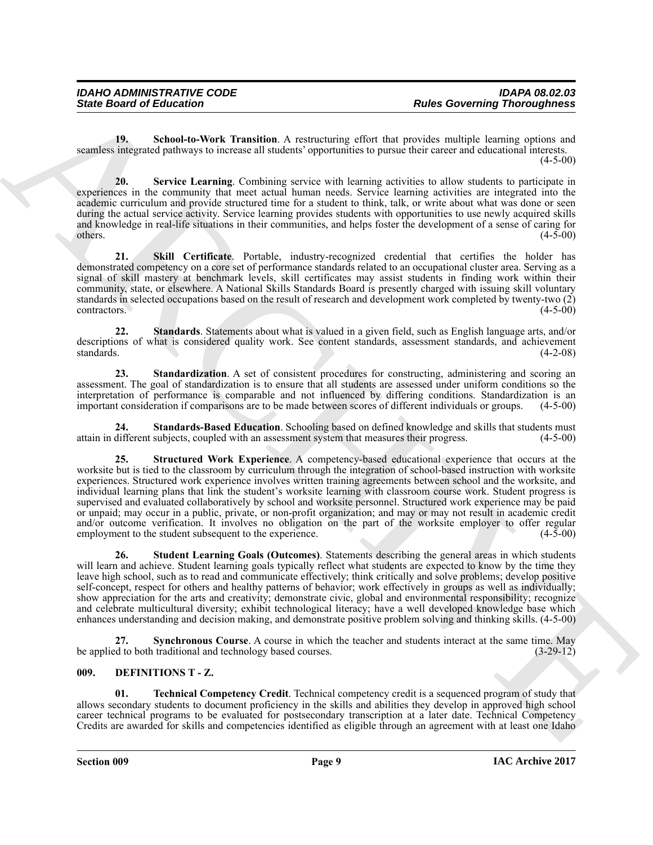<span id="page-8-1"></span>**19. School-to-Work Transition**. A restructuring effort that provides multiple learning options and seamless integrated pathways to increase all students' opportunities to pursue their career and educational interests.  $(4 - 5 - 00)$ 

<span id="page-8-2"></span>**20. Service Learning**. Combining service with learning activities to allow students to participate in experiences in the community that meet actual human needs. Service learning activities are integrated into the academic curriculum and provide structured time for a student to think, talk, or write about what was done or seen during the actual service activity. Service learning provides students with opportunities to use newly acquired skills and knowledge in real-life situations in their communities, and helps foster the development of a sense of caring for others.  $(4-5-00)$ 

<span id="page-8-3"></span>**21. Skill Certificate**. Portable, industry-recognized credential that certifies the holder has demonstrated competency on a core set of performance standards related to an occupational cluster area. Serving as a signal of skill mastery at benchmark levels, skill certificates may assist students in finding work within their community, state, or elsewhere. A National Skills Standards Board is presently charged with issuing skill voluntary standards in selected occupations based on the result of research and development work completed by twenty-two (2) contractors. (4-5-00)

<span id="page-8-5"></span>**22. Standards**. Statements about what is valued in a given field, such as English language arts, and/or descriptions of what is considered quality work. See content standards, assessment standards, and achievement standards. (4-2-08)

<span id="page-8-4"></span>**23.** Standardization. A set of consistent procedures for constructing, administering and scoring an assessment. The goal of standardization is to ensure that all students are assessed under uniform conditions so the interpretation of performance is comparable and not influenced by differing conditions. Standardization is an important consideration if comparisons are to be made between scores of different individuals or groups. (4-5-00)

<span id="page-8-7"></span><span id="page-8-6"></span>**24. Standards-Based Education**. Schooling based on defined knowledge and skills that students must attain in different subjects, coupled with an assessment system that measures their progress. (4-5-00)

Since Board of Enkoration Terms into the transformation and Reless Governing Thomas and the same of the same of the same of the same of the same of the same of the same of the same of the same of the same of the same of t **25. Structured Work Experience**. A competency-based educational experience that occurs at the worksite but is tied to the classroom by curriculum through the integration of school-based instruction with worksite experiences. Structured work experience involves written training agreements between school and the worksite, and individual learning plans that link the student's worksite learning with classroom course work. Student progress is supervised and evaluated collaboratively by school and worksite personnel. Structured work experience may be paid or unpaid; may occur in a public, private, or non-profit organization; and may or may not result in academic credit and/or outcome verification. It involves no obligation on the part of the worksite employer to offer regular employment to the student subsequent to the experience. (4-5-00)

<span id="page-8-8"></span>**26. Student Learning Goals (Outcomes)**. Statements describing the general areas in which students will learn and achieve. Student learning goals typically reflect what students are expected to know by the time they leave high school, such as to read and communicate effectively; think critically and solve problems; develop positive self-concept, respect for others and healthy patterns of behavior; work effectively in groups as well as individually; show appreciation for the arts and creativity; demonstrate civic, global and environmental responsibility; recognize and celebrate multicultural diversity; exhibit technological literacy; have a well developed knowledge base which enhances understanding and decision making, and demonstrate positive problem solving and thinking skills. (4-5-00)

<span id="page-8-9"></span>**27. Synchronous Course**. A course in which the teacher and students interact at the same time. May do to both traditional and technology based courses. (3-29-12) be applied to both traditional and technology based courses.

#### <span id="page-8-10"></span><span id="page-8-0"></span>**009. DEFINITIONS T - Z.**

<span id="page-8-11"></span>**01. Technical Competency Credit**. Technical competency credit is a sequenced program of study that allows secondary students to document proficiency in the skills and abilities they develop in approved high school career technical programs to be evaluated for postsecondary transcription at a later date. Technical Competency Credits are awarded for skills and competencies identified as eligible through an agreement with at least one Idaho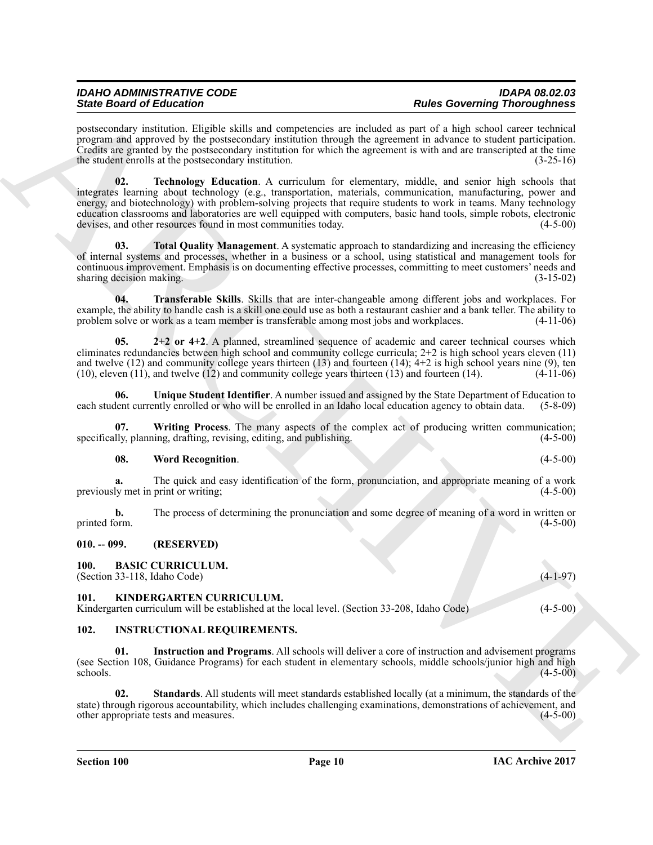<span id="page-9-6"></span>postsecondary institution. Eligible skills and competencies are included as part of a high school career technical program and approved by the postsecondary institution through the agreement in advance to student participation. Credits are granted by the postsecondary institution for which the agreement is with and are transcripted at the time the student enrolls at the postsecondary institution. (3-25-16)

Since Gradient de Elementrale State, sometime and i state de elementrale transformation and the state of the state of the state of the state of the state of the state of the state of the state of the state of the state of **02. Technology Education**. A curriculum for elementary, middle, and senior high schools that integrates learning about technology (e.g., transportation, materials, communication, manufacturing, power and energy, and biotechnology) with problem-solving projects that require students to work in teams. Many technology education classrooms and laboratories are well equipped with computers, basic hand tools, simple robots, electronic devises, and other resources found in most communities today. (4-5-00)

<span id="page-9-7"></span>Total Quality Management. A systematic approach to standardizing and increasing the efficiency of internal systems and processes, whether in a business or a school, using statistical and management tools for continuous improvement. Emphasis is on documenting effective processes, committing to meet customers' needs and sharing decision making. (3-15-02) (3-15-02)

<span id="page-9-8"></span>**04. Transferable Skills**. Skills that are inter-changeable among different jobs and workplaces. For example, the ability to handle cash is a skill one could use as both a restaurant cashier and a bank teller. The ability to problem solve or work as a team member is transferable among most jobs and workplaces. (4-11-06)

<span id="page-9-5"></span>**05. 2+2 or 4+2**. A planned, streamlined sequence of academic and career technical courses which eliminates redundancies between high school and community college curricula; 2+2 is high school years eleven (11) and twelve  $(12)$  and community college years thirteen  $(13)$  and fourteen  $(14)$ ;  $4+2$  is high school years nine  $(9)$ , ten (10), eleven (11), and twelve (12) and community college years thirteen (13) and fourteen (14). (4-11-06)

<span id="page-9-9"></span>**06. Unique Student Identifier**. A number issued and assigned by the State Department of Education to each student currently enrolled or who will be enrolled in an Idaho local education agency to obtain data. (5-8-09)

**07. Writing Process**. The many aspects of the complex act of producing written communication; specifically, planning, drafting, revising, editing, and publishing. (4-5-00)

#### <span id="page-9-11"></span><span id="page-9-10"></span>**08. Word Recognition**. (4-5-00)

**a.** The quick and easy identification of the form, pronunciation, and appropriate meaning of a work ly met in print or writing; (4-5-00) previously met in print or writing;

**b.** The process of determining the pronunciation and some degree of meaning of a word in written or printed form. (4-5-00)

#### <span id="page-9-0"></span>**010. -- 099. (RESERVED)**

<span id="page-9-4"></span><span id="page-9-1"></span>**100. BASIC CURRICULUM.**

<span id="page-9-15"></span>(Section 33-118, Idaho Code) (4-1-97)

### <span id="page-9-2"></span>**101. KINDERGARTEN CURRICULUM.**

Kindergarten curriculum will be established at the local level. (Section 33-208, Idaho Code) (4-5-00)

#### <span id="page-9-12"></span><span id="page-9-3"></span>**102. INSTRUCTIONAL REQUIREMENTS.**

<span id="page-9-13"></span>**01. Instruction and Programs**. All schools will deliver a core of instruction and advisement programs (see Section 108, Guidance Programs) for each student in elementary schools, middle schools/junior high and high  $\epsilon$ schools. (4-5-00)

<span id="page-9-14"></span>**02. Standards**. All students will meet standards established locally (at a minimum, the standards of the state) through rigorous accountability, which includes challenging examinations, demonstrations of achievement, and other appropriate tests and measures. (4-5-00) other appropriate tests and measures.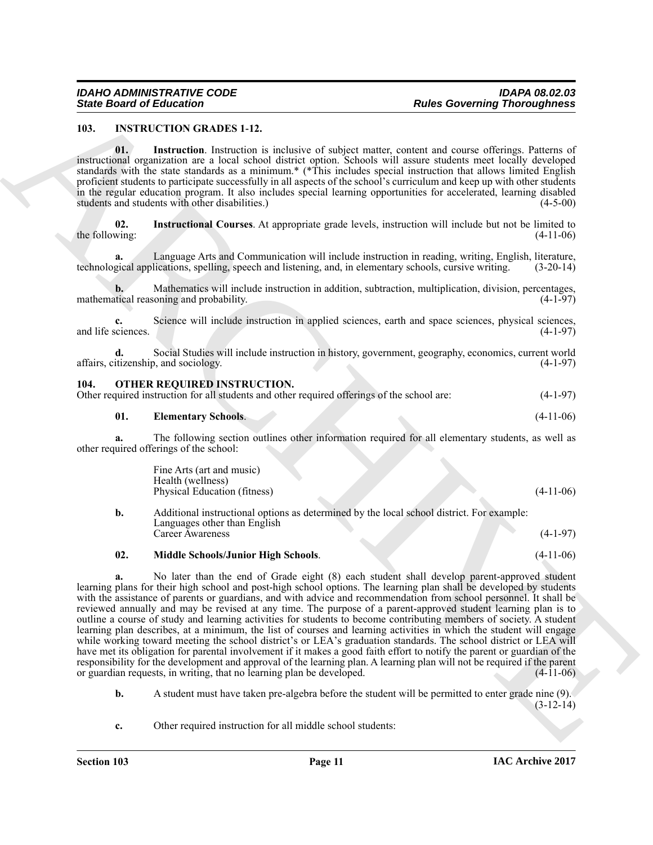#### <span id="page-10-2"></span><span id="page-10-0"></span>**103. INSTRUCTION GRADES 1-12.**

<span id="page-10-3"></span>**01. Instruction**. Instruction is inclusive of subject matter, content and course offerings. Patterns of instructional organization are a local school district option. Schools will assure students meet locally developed standards with the state standards as a minimum.\* (\*This includes special instruction that allows limited English proficient students to participate successfully in all aspects of the school's curriculum and keep up with other students in the regular education program. It also includes special learning opportunities for accelerated, learning disabled students and students with other disabilities.) (4-5-00)

<span id="page-10-4"></span>**02. Instructional Courses**. At appropriate grade levels, instruction will include but not be limited to the following:  $(4-11-06)$ 

**a.** Language Arts and Communication will include instruction in reading, writing, English, literature, technological applications, spelling, speech and listening, and, in elementary schools, cursive writing. (3-20-14)

**b.** Mathematics will include instruction in addition, subtraction, multiplication, division, percentages, titical reasoning and probability. (4-1-97) mathematical reasoning and probability.

**c.** Science will include instruction in applied sciences, earth and space sciences, physical sciences, and life sciences. (4-1-97)

**d.** Social Studies will include instruction in history, government, geography, economics, current world itizenship, and sociology. (4-1-97) affairs, citizenship, and sociology.

#### <span id="page-10-5"></span><span id="page-10-1"></span>**104. OTHER REQUIRED INSTRUCTION.**

|                            | Other required instruction for all students and other required offerings of the school are: | $(4-1-97)$  |
|----------------------------|---------------------------------------------------------------------------------------------|-------------|
| <b>Elementary Schools.</b> |                                                                                             | $(4-11-06)$ |

**a.** The following section outlines other information required for all elementary students, as well as other required offerings of the school:

<span id="page-10-6"></span>

| Fine Arts (art and music)    |  |             |
|------------------------------|--|-------------|
| Health (wellness)            |  |             |
| Physical Education (fitness) |  | $(4-11-06)$ |
|                              |  |             |

| Additional instructional options as determined by the local school district. For example: |            |
|-------------------------------------------------------------------------------------------|------------|
| Languages other than English                                                              |            |
| Career Awareness                                                                          | $(4-1-97)$ |

#### <span id="page-10-7"></span>**02. Middle Schools/Junior High Schools**. (4-11-06)

Since Board of Education 1<br>
1803. INSERT UNIVERSITY and the state of subject methods of subject methods of such an extent of the state of the state of the state of the state of the state of the state of the state of the s **a.** No later than the end of Grade eight (8) each student shall develop parent-approved student learning plans for their high school and post-high school options. The learning plan shall be developed by students with the assistance of parents or guardians, and with advice and recommendation from school personnel. It shall be reviewed annually and may be revised at any time. The purpose of a parent-approved student learning plan is to outline a course of study and learning activities for students to become contributing members of society. A student learning plan describes, at a minimum, the list of courses and learning activities in which the student will engage while working toward meeting the school district's or LEA's graduation standards. The school district or LEA will have met its obligation for parental involvement if it makes a good faith effort to notify the parent or guardian of the responsibility for the development and approval of the learning plan. A learning plan will not be required if the parent or guardian requests, in writing, that no learning plan be developed. (4-11-06)

**b.** A student must have taken pre-algebra before the student will be permitted to enter grade nine (9).  $(3-12-14)$ 

**c.** Other required instruction for all middle school students: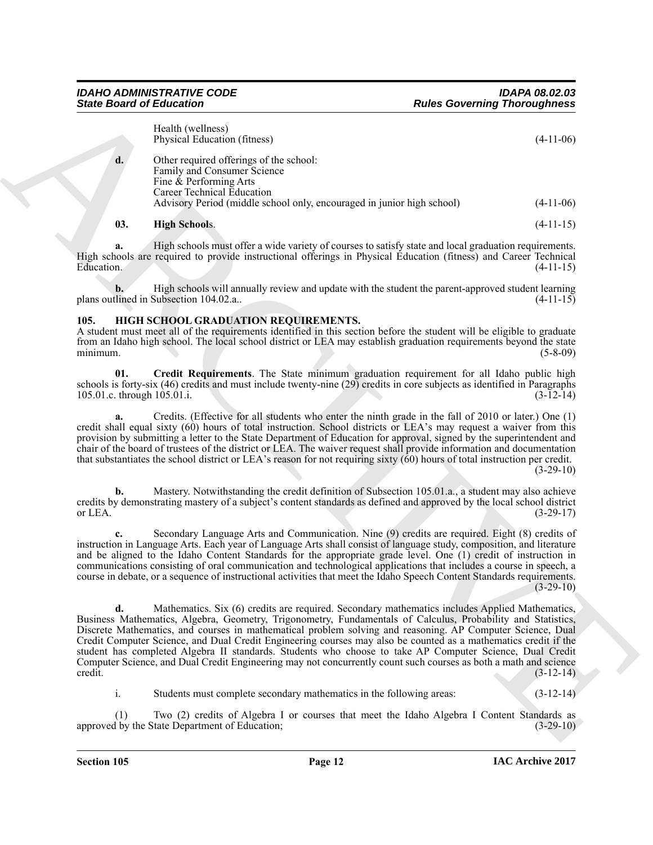|                                    | <b>State Board of Education</b>                                                                                                                                                                                                                                                                                                                                                                                                                                                                                                                                               | <b>Rules Governing Thoroughness</b>                                                                   |             |
|------------------------------------|-------------------------------------------------------------------------------------------------------------------------------------------------------------------------------------------------------------------------------------------------------------------------------------------------------------------------------------------------------------------------------------------------------------------------------------------------------------------------------------------------------------------------------------------------------------------------------|-------------------------------------------------------------------------------------------------------|-------------|
|                                    | Health (wellness)<br>Physical Education (fitness)                                                                                                                                                                                                                                                                                                                                                                                                                                                                                                                             |                                                                                                       | $(4-11-06)$ |
| d.                                 | Other required offerings of the school:<br>Family and Consumer Science<br>Fine & Performing Arts<br>Career Technical Education                                                                                                                                                                                                                                                                                                                                                                                                                                                |                                                                                                       |             |
|                                    | Advisory Period (middle school only, encouraged in junior high school)                                                                                                                                                                                                                                                                                                                                                                                                                                                                                                        |                                                                                                       | $(4-11-06)$ |
| 03.                                | <b>High Schools.</b>                                                                                                                                                                                                                                                                                                                                                                                                                                                                                                                                                          |                                                                                                       | $(4-11-15)$ |
| a.<br>Education.                   | High schools are required to provide instructional offerings in Physical Education (fitness) and Career Technical                                                                                                                                                                                                                                                                                                                                                                                                                                                             | High schools must offer a wide variety of courses to satisfy state and local graduation requirements. | $(4-11-15)$ |
| b.                                 | plans outlined in Subsection 104.02.a                                                                                                                                                                                                                                                                                                                                                                                                                                                                                                                                         | High schools will annually review and update with the student the parent-approved student learning    | $(4-11-15)$ |
| 105.<br>minimum.                   | HIGH SCHOOL GRADUATION REQUIREMENTS.<br>A student must meet all of the requirements identified in this section before the student will be eligible to graduate<br>from an Idaho high school. The local school district or LEA may establish graduation requirements beyond the state                                                                                                                                                                                                                                                                                          |                                                                                                       | $(5-8-09)$  |
| 01.<br>105.01.c. through 105.01.i. | schools is forty-six (46) credits and must include twenty-nine (29) credits in core subjects as identified in Paragraphs                                                                                                                                                                                                                                                                                                                                                                                                                                                      | Credit Requirements. The State minimum graduation requirement for all Idaho public high               | $(3-12-14)$ |
| a.                                 | credit shall equal sixty (60) hours of total instruction. School districts or LEA's may request a waiver from this<br>provision by submitting a letter to the State Department of Education for approval, signed by the superintendent and<br>chair of the board of trustees of the district or LEA. The waiver request shall provide information and documentation<br>that substantiates the school district or LEA's reason for not requiring sixty $(60)$ hours of total instruction per credit.                                                                           | Credits. (Effective for all students who enter the ninth grade in the fall of 2010 or later.) One (1) | $(3-29-10)$ |
| b.<br>or LEA.                      | credits by demonstrating mastery of a subject's content standards as defined and approved by the local school district                                                                                                                                                                                                                                                                                                                                                                                                                                                        | Mastery. Notwithstanding the credit definition of Subsection 105.01.a., a student may also achieve    | $(3-29-17)$ |
|                                    | instruction in Language Arts. Each year of Language Arts shall consist of language study, composition, and literature<br>and be aligned to the Idaho Content Standards for the appropriate grade level. One (1) credit of instruction in<br>communications consisting of oral communication and technological applications that includes a course in speech, a<br>course in debate, or a sequence of instructional activities that meet the Idaho Speech Content Standards requirements.                                                                                      | Secondary Language Arts and Communication. Nine (9) credits are required. Eight (8) credits of        | $(3-29-10)$ |
| d.<br>credit.                      | Business Mathematics, Algebra, Geometry, Trigonometry, Fundamentals of Calculus, Probability and Statistics,<br>Discrete Mathematics, and courses in mathematical problem solving and reasoning. AP Computer Science, Dual<br>Credit Computer Science, and Dual Credit Engineering courses may also be counted as a mathematics credit if the<br>student has completed Algebra II standards. Students who choose to take AP Computer Science, Dual Credit<br>Computer Science, and Dual Credit Engineering may not concurrently count such courses as both a math and science | Mathematics. Six (6) credits are required. Secondary mathematics includes Applied Mathematics,        | $(3-12-14)$ |
| i.                                 | Students must complete secondary mathematics in the following areas:                                                                                                                                                                                                                                                                                                                                                                                                                                                                                                          |                                                                                                       | $(3-12-14)$ |
|                                    |                                                                                                                                                                                                                                                                                                                                                                                                                                                                                                                                                                               |                                                                                                       |             |

#### <span id="page-11-3"></span><span id="page-11-2"></span><span id="page-11-1"></span><span id="page-11-0"></span>**105. HIGH SCHOOL GRADUATION REQUIREMENTS.**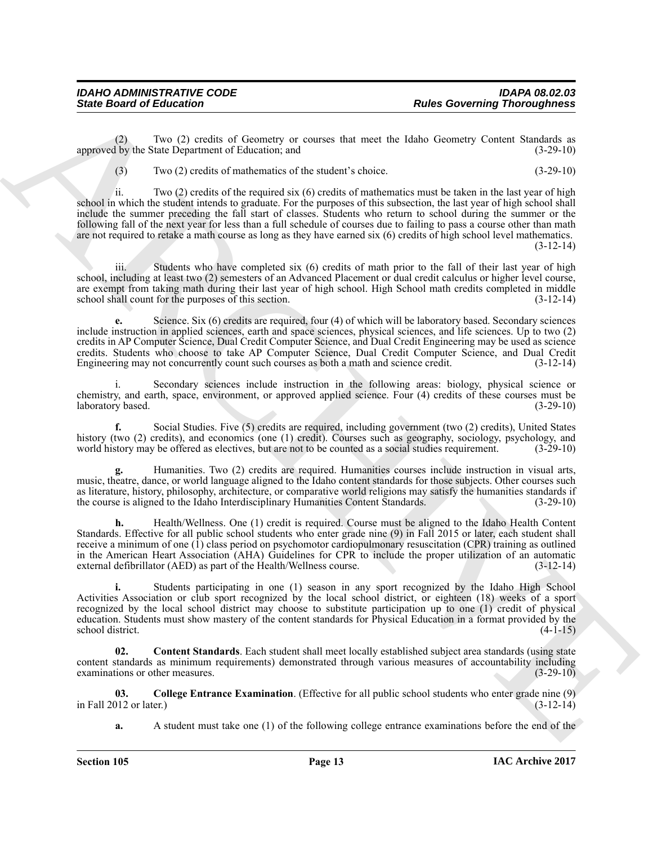(2) Two (2) credits of Geometry or courses that meet the Idaho Geometry Content Standards as approved by the State Department of Education; and

(3) Two (2) credits of mathematics of the student's choice. (3-29-10)

Since Board of Entreprises corrections and<br>
space of the Country of outrosts of outrosts in the country of outrosts in the country of the Country Countries of the Country Countries of the Countries of the Countries of the ii. Two (2) credits of the required six (6) credits of mathematics must be taken in the last year of high school in which the student intends to graduate. For the purposes of this subsection, the last year of high school shall include the summer preceding the fall start of classes. Students who return to school during the summer or the following fall of the next year for less than a full schedule of courses due to failing to pass a course other than math are not required to retake a math course as long as they have earned six (6) credits of high school level mathematics. (3-12-14)

Students who have completed six  $(6)$  credits of math prior to the fall of their last year of high school, including at least two (2) semesters of an Advanced Placement or dual credit calculus or higher level course, are exempt from taking math during their last year of high school. High School math credits completed in middle school shall count for the purposes of this section. school shall count for the purposes of this section.

**e.** Science. Six (6) credits are required, four (4) of which will be laboratory based. Secondary sciences include instruction in applied sciences, earth and space sciences, physical sciences, and life sciences. Up to two (2) credits in AP Computer Science, Dual Credit Computer Science, and Dual Credit Engineering may be used as science credits. Students who choose to take AP Computer Science, Dual Credit Computer Science, and Dual Credit Engineering may not concurrently count such courses as both a math and science credit.

i. Secondary sciences include instruction in the following areas: biology, physical science or chemistry, and earth, space, environment, or approved applied science. Four (4) credits of these courses must be laboratory based. (3-29-10)

<span id="page-12-4"></span>**f.** Social Studies. Five (5) credits are required, including government (two (2) credits), United States history (two (2) credits), and economics (one (1) credit). Courses such as geography, sociology, psychology, and world history may be offered as electives, but are not to be counted as a social studies requirement. (3-29-1 world history may be offered as electives, but are not to be counted as a social studies requirement.

<span id="page-12-3"></span>**g.** Humanities. Two (2) credits are required. Humanities courses include instruction in visual arts, music, theatre, dance, or world language aligned to the Idaho content standards for those subjects. Other courses such as literature, history, philosophy, architecture, or comparative world religions may satisfy the humanities standards if the course is aligned to the Idaho Interdisciplinary Humanities Content Standards. (3-29-10)

<span id="page-12-2"></span>**h.** Health/Wellness. One (1) credit is required. Course must be aligned to the Idaho Health Content Standards. Effective for all public school students who enter grade nine (9) in Fall 2015 or later, each student shall receive a minimum of one (1) class period on psychomotor cardiopulmonary resuscitation (CPR) training as outlined in the American Heart Association (AHA) Guidelines for CPR to include the proper utilization of an automatic external defibrillator (AED) as part of the Health/Wellness course. (3-12-14)

**i.** Students participating in one (1) season in any sport recognized by the Idaho High School Activities Association or club sport recognized by the local school district, or eighteen (18) weeks of a sport recognized by the local school district may choose to substitute participation up to one (1) credit of physical education. Students must show mastery of the content standards for Physical Education in a format provided by the school district.  $(4-1-15)$ 

<span id="page-12-1"></span>**02. Content Standards**. Each student shall meet locally established subject area standards (using state content standards as minimum requirements) demonstrated through various measures of accountability including examinations or other measures. (3-29-10)

**03. College Entrance Examination**. (Effective for all public school students who enter grade nine (9) in Fall  $2012$  or later.)

<span id="page-12-0"></span>**a.** A student must take one (1) of the following college entrance examinations before the end of the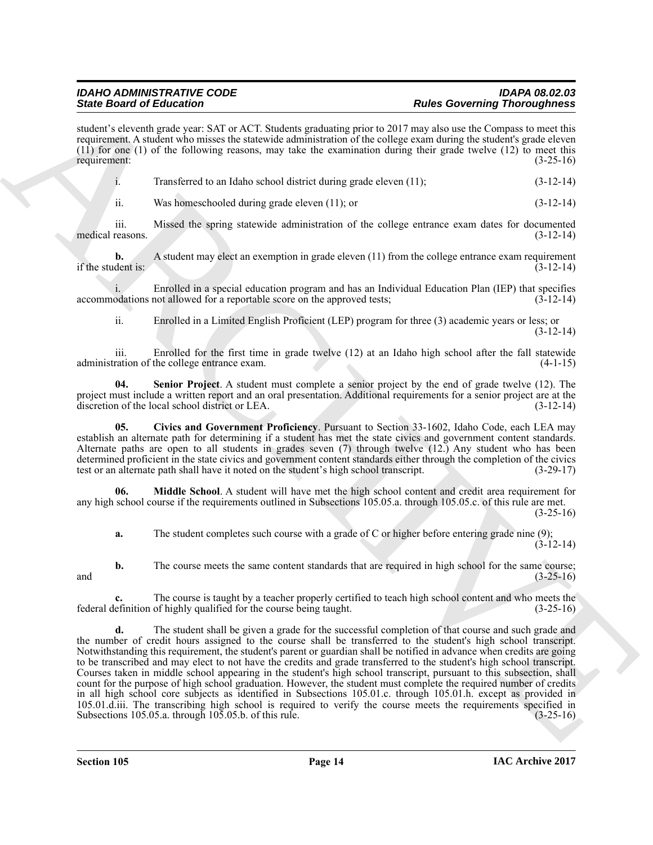student's eleventh grade year: SAT or ACT. Students graduating prior to 2017 may also use the Compass to meet this requirement. A student who misses the statewide administration of the college exam during the student's grade eleven (11) for one (1) of the following reasons, may take the examination during their grade twelve (12) to meet this requirement: (3-25-16)

| Transferred to an Idaho school district during grade eleven (11); | $(3-12-14)$ |
|-------------------------------------------------------------------|-------------|
|                                                                   |             |

ii. Was homeschooled during grade eleven (11); or (3-12-14)

iii. Missed the spring statewide administration of the college entrance exam dates for documented medical reasons. (3-12-14)

**b.** A student may elect an exemption in grade eleven (11) from the college entrance exam requirement if the student is:  $(3-12-14)$ 

i. Enrolled in a special education program and has an Individual Education Plan (IEP) that specifies accommodations not allowed for a reportable score on the approved tests;

<span id="page-13-2"></span>ii. Enrolled in a Limited English Proficient (LEP) program for three (3) academic years or less; or (3-12-14)

iii. Enrolled for the first time in grade twelve (12) at an Idaho high school after the fall statewide administration of the college entrance exam. (4-1-15)

**04. Senior Project**. A student must complete a senior project by the end of grade twelve (12). The project must include a written report and an oral presentation. Additional requirements for a senior project are at the discretion of the local school district or LEA. (3-12-14)

<span id="page-13-0"></span>**05. Civics and Government Proficiency**. Pursuant to Section 33-1602, Idaho Code, each LEA may establish an alternate path for determining if a student has met the state civics and government content standards. Alternate paths are open to all students in grades seven (7) through twelve (12.) Any student who has been determined proficient in the state civics and government content standards either through the completion of the civics test or an alternate path shall have it noted on the student's high school transcript. (3-29-17)

**06. Middle School**. A student will have met the high school content and credit area requirement for any high school course if the requirements outlined in Subsections 105.05.a. through 105.05.c. of this rule are met.  $(3-25-16)$ 

<span id="page-13-1"></span>**a.** The student completes such course with a grade of C or higher before entering grade nine (9);  $(3-12-14)$ 

**b.** The course meets the same content standards that are required in high school for the same course; (3-25-16) and  $(3-25-16)$ 

**c.** The course is taught by a teacher properly certified to teach high school content and who meets the efinition of highly qualified for the course being taught. (3-25-16) federal definition of highly qualified for the course being taught.

Since Grant of Editorial Control and Archives the space of the Control and Control and Control and Control and Control and Control and Control and Control and Control and Control and Control and Control and Control and Co **d.** The student shall be given a grade for the successful completion of that course and such grade and the number of credit hours assigned to the course shall be transferred to the student's high school transcript. Notwithstanding this requirement, the student's parent or guardian shall be notified in advance when credits are going to be transcribed and may elect to not have the credits and grade transferred to the student's high school transcript. Courses taken in middle school appearing in the student's high school transcript, pursuant to this subsection, shall count for the purpose of high school graduation. However, the student must complete the required number of credits in all high school core subjects as identified in Subsections 105.01.c. through 105.01.h. except as provided in 105.01.d.iii. The transcribing high school is required to verify the course meets the requirements specified in Subsections 105.05.a. through 105.05.b. of this rule. (3-25-16) Subsections 105.05.a. through  $10\overline{5}$ .05.b. of this rule.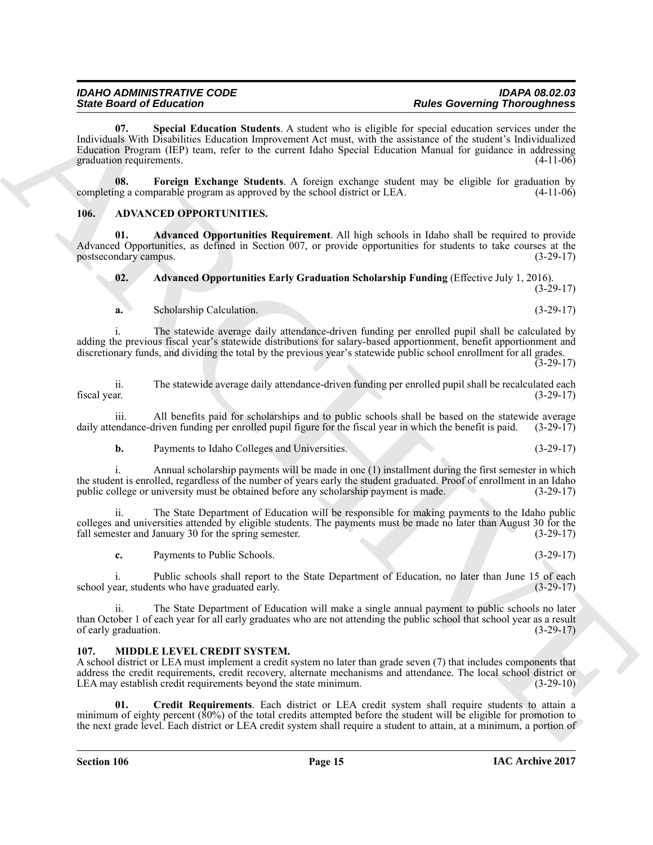Since Gravito de Estador internacional e a formal de la media de la media de la media de la media de la media de la media de la media de la media de la media de la media de la media de la media de la media de la media de **07. Special Education Students**. A student who is eligible for special education services under the Individuals With Disabilities Education Improvement Act must, with the assistance of the student's Individualized Education Program (IEP) team, refer to the current Idaho Special Education Manual for guidance in addressing graduation requirements. (4-11-06)

<span id="page-14-6"></span><span id="page-14-5"></span>**08.** Foreign Exchange Students. A foreign exchange student may be eligible for graduation by ng a comparable program as approved by the school district or LEA. (4-11-06) completing a comparable program as approved by the school district or LEA.

#### <span id="page-14-2"></span><span id="page-14-0"></span>**106. ADVANCED OPPORTUNITIES.**

**01. Advanced Opportunities Requirement**. All high schools in Idaho shall be required to provide Advanced Opportunities, as defined in Section 007, or provide opportunities for students to take courses at the postsecondary campus. (3-29-17) postsecondary campus.

<span id="page-14-4"></span><span id="page-14-3"></span>**02. Advanced Opportunities Early Graduation Scholarship Funding** (Effective July 1, 2016).  $(3-29-17)$ 

**a.** Scholarship Calculation. (3-29-17)

i. The statewide average daily attendance-driven funding per enrolled pupil shall be calculated by adding the previous fiscal year's statewide distributions for salary-based apportionment, benefit apportionment and discretionary funds, and dividing the total by the previous year's statewide public school enrollment for all grades.  $(3-29-17)$ 

ii. The statewide average daily attendance-driven funding per enrolled pupil shall be recalculated each fiscal year. (3-29-17)

iii. All benefits paid for scholarships and to public schools shall be based on the statewide average endance-driven funding per enrolled pupil figure for the fiscal year in which the benefit is paid. (3-29-17) daily attendance-driven funding per enrolled pupil figure for the fiscal year in which the benefit is paid.

**b.** Payments to Idaho Colleges and Universities. (3-29-17)

i. Annual scholarship payments will be made in one (1) installment during the first semester in which the student is enrolled, regardless of the number of years early the student graduated. Proof of enrollment in an Idaho public college or university must be obtained before any scholarship payment is made. (3-29-17) public college or university must be obtained before any scholarship payment is made.

ii. The State Department of Education will be responsible for making payments to the Idaho public colleges and universities attended by eligible students. The payments must be made no later than August 30 for the fall semester and January 30 for the spring semester. (3-29-17)

**c.** Payments to Public Schools. (3-29-17)

i. Public schools shall report to the State Department of Education, no later than June 15 of each ear, students who have graduated early. (3-29-17) school year, students who have graduated early.

ii. The State Department of Education will make a single annual payment to public schools no later than October 1 of each year for all early graduates who are not attending the public school that school year as a result of early graduation.  $(3-29-17)$ 

#### <span id="page-14-7"></span><span id="page-14-1"></span>**107. MIDDLE LEVEL CREDIT SYSTEM.**

A school district or LEA must implement a credit system no later than grade seven (7) that includes components that address the credit requirements, credit recovery, alternate mechanisms and attendance. The local school district or LEA may establish credit requirements beyond the state minimum. (3-29-10)

<span id="page-14-8"></span>**01. Credit Requirements**. Each district or LEA credit system shall require students to attain a minimum of eighty percent (80%) of the total credits attempted before the student will be eligible for promotion to the next grade level. Each district or LEA credit system shall require a student to attain, at a minimum, a portion of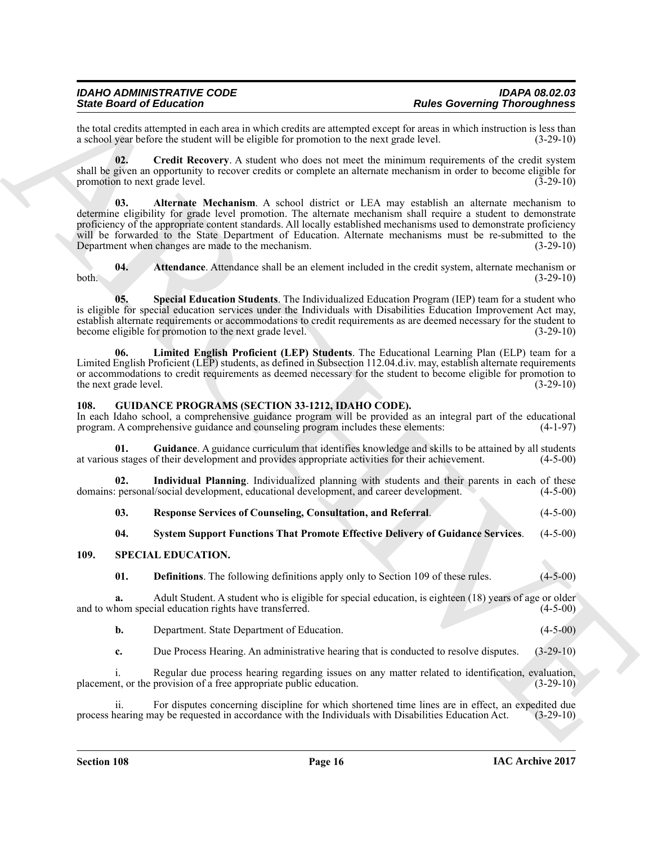the total credits attempted in each area in which credits are attempted except for areas in which instruction is less than a school vear before the student will be eligible for promotion to the next grade level. (3-29-10) a school year before the student will be eligible for promotion to the next grade level.

<span id="page-15-9"></span><span id="page-15-7"></span>**02. Credit Recovery**. A student who does not meet the minimum requirements of the credit system shall be given an opportunity to recover credits or complete an alternate mechanism in order to become eligible for promotion to next grade level. (3-29-10)

Since their detailed Enforcement Contents are a Researchief theoretical energy in the state of the state of the state of the state of the state of the state of the state of the state of the state of the state of the state **03. Alternate Mechanism**. A school district or LEA may establish an alternate mechanism to determine eligibility for grade level promotion. The alternate mechanism shall require a student to demonstrate proficiency of the appropriate content standards. All locally established mechanisms used to demonstrate proficiency will be forwarded to the State Department of Education. Alternate mechanisms must be re-submitted to the Department when changes are made to the mechanism. (3-29-10)

<span id="page-15-8"></span>**04. Attendance**. Attendance shall be an element included in the credit system, alternate mechanism or both. (3-29-10)

<span id="page-15-11"></span>**05. Special Education Students**. The Individualized Education Program (IEP) team for a student who is eligible for special education services under the Individuals with Disabilities Education Improvement Act may, establish alternate requirements or accommodations to credit requirements as are deemed necessary for the student to become eligible for promotion to the next grade level. (3-29-10)

<span id="page-15-10"></span>**06. Limited English Proficient (LEP) Students**. The Educational Learning Plan (ELP) team for a Limited English Proficient (LEP) students, as defined in Subsection 112.04.d.iv. may, establish alternate requirements or accommodations to credit requirements as deemed necessary for the student to become eligible for promotion to the next grade level. (3-29-10) (3-29-10)

#### <span id="page-15-2"></span><span id="page-15-0"></span>**108. GUIDANCE PROGRAMS (SECTION 33-1212, IDAHO CODE).**

In each Idaho school, a comprehensive guidance program will be provided as an integral part of the educational program. A comprehensive guidance and counseling program includes these elements: (4-1-97) program. A comprehensive guidance and counseling program includes these elements:

<span id="page-15-3"></span>**01. Guidance**. A guidance curriculum that identifies knowledge and skills to be attained by all students at various stages of their development and provides appropriate activities for their achievement. (4-5-00)

**02.** Individual Planning. Individualized planning with students and their parents in each of these represonal/social development, educational development, and career development. (4-5-00) domains: personal/social development, educational development, and career development.

<span id="page-15-5"></span><span id="page-15-4"></span>

| 03. | <b>Response Services of Counseling, Consultation, and Referral.</b> | $(4-5-00)$ |
|-----|---------------------------------------------------------------------|------------|
|-----|---------------------------------------------------------------------|------------|

#### <span id="page-15-12"></span><span id="page-15-6"></span>**04. System Support Functions That Promote Effective Delivery of Guidance Services**. (4-5-00)

#### <span id="page-15-1"></span>**109. SPECIAL EDUCATION.**

<span id="page-15-14"></span><span id="page-15-13"></span>**01. Definitions**. The following definitions apply only to Section 109 of these rules. (4-5-00)

**a.** Adult Student. A student who is eligible for special education, is eighteen (18) years of age or older hom special education rights have transferred. (4-5-00) and to whom special education rights have transferred.

<span id="page-15-15"></span>

|  | Department. State Department of Education. |  | $(4-5-00)$ |
|--|--------------------------------------------|--|------------|
|--|--------------------------------------------|--|------------|

<span id="page-15-16"></span>**c.** Due Process Hearing. An administrative hearing that is conducted to resolve disputes. (3-29-10)

Regular due process hearing regarding issues on any matter related to identification, evaluation, placement, or the provision of a free appropriate public education. (3-29-10)

ii. For disputes concerning discipline for which shortened time lines are in effect, an expedited due nearing may be requested in accordance with the Individuals with Disabilities Education Act. (3-29-10) process hearing may be requested in accordance with the Individuals with Disabilities Education Act.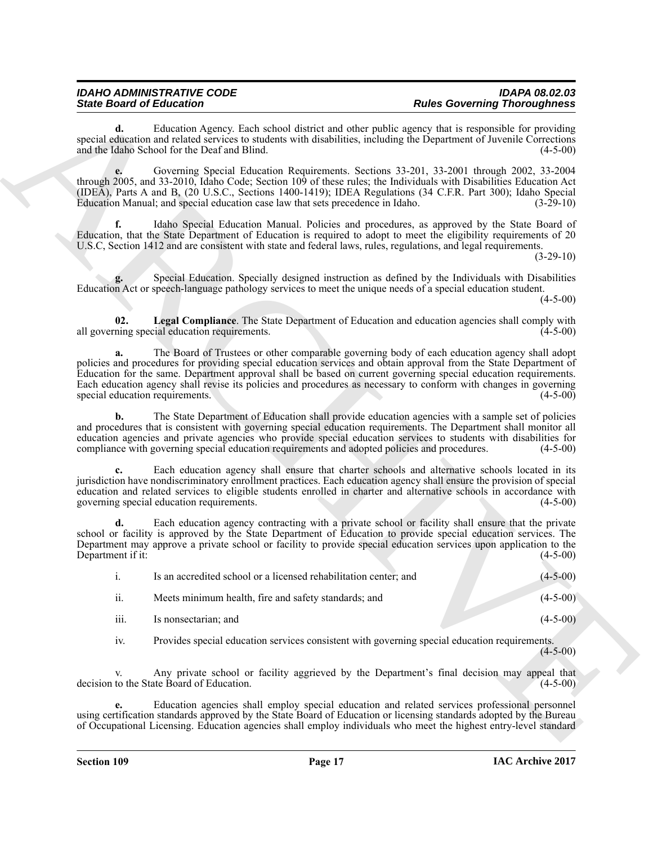<span id="page-16-4"></span><span id="page-16-3"></span><span id="page-16-2"></span><span id="page-16-1"></span><span id="page-16-0"></span>

| <b>State Board of Education</b>       |                                                                                                                                                                                                                                                                                                                                                                                                                                                           | <b>Rules Governing Thoroughness</b>                                                                                 |
|---------------------------------------|-----------------------------------------------------------------------------------------------------------------------------------------------------------------------------------------------------------------------------------------------------------------------------------------------------------------------------------------------------------------------------------------------------------------------------------------------------------|---------------------------------------------------------------------------------------------------------------------|
| d.                                    | Education Agency. Each school district and other public agency that is responsible for providing<br>special education and related services to students with disabilities, including the Department of Juvenile Corrections<br>and the Idaho School for the Deaf and Blind.                                                                                                                                                                                | $(4-5-00)$                                                                                                          |
|                                       | Governing Special Education Requirements. Sections 33-201, 33-2001 through 2002, 33-2004<br>through 2005, and 33-2010, Idaho Code; Section 109 of these rules; the Individuals with Disabilities Education Act<br>(IDEA), Parts A and B, (20 U.S.C., Sections 1400-1419); IDEA Regulations (34 C.F.R. Part 300); Idaho Special<br>Education Manual; and special education case law that sets precedence in Idaho.                                         | $(3-29-10)$                                                                                                         |
| f.                                    | Idaho Special Education Manual. Policies and procedures, as approved by the State Board of<br>Education, that the State Department of Education is required to adopt to meet the eligibility requirements of 20<br>U.S.C, Section 1412 and are consistent with state and federal laws, rules, regulations, and legal requirements.                                                                                                                        | $(3-29-10)$                                                                                                         |
| g.                                    | Special Education. Specially designed instruction as defined by the Individuals with Disabilities<br>Education Act or speech-language pathology services to meet the unique needs of a special education student.                                                                                                                                                                                                                                         | $(4-5-00)$                                                                                                          |
| 02.                                   | Legal Compliance. The State Department of Education and education agencies shall comply with<br>all governing special education requirements.                                                                                                                                                                                                                                                                                                             | $(4-5-00)$                                                                                                          |
| a.<br>special education requirements. | The Board of Trustees or other comparable governing body of each education agency shall adopt<br>policies and procedures for providing special education services and obtain approval from the State Department of<br>Education for the same. Department approval shall be based on current governing special education requirements.<br>Each education agency shall revise its policies and procedures as necessary to conform with changes in governing | $(4-5-00)$                                                                                                          |
| b.                                    | The State Department of Education shall provide education agencies with a sample set of policies<br>and procedures that is consistent with governing special education requirements. The Department shall monitor all<br>education agencies and private agencies who provide special education services to students with disabilities for<br>compliance with governing special education requirements and adopted policies and procedures.                | $(4-5-00)$                                                                                                          |
| c.                                    | Each education agency shall ensure that charter schools and alternative schools located in its<br>jurisdiction have nondiscriminatory enrollment practices. Each education agency shall ensure the provision of special<br>education and related services to eligible students enrolled in charter and alternative schools in accordance with<br>governing special education requirements.                                                                | $(4-5-00)$                                                                                                          |
| d.<br>Department if it:               | Each education agency contracting with a private school or facility shall ensure that the private<br>school or facility is approved by the State Department of Education to provide special education services. The<br>Department may approve a private school or facility to provide special education services upon application to the                                                                                                                  | $(4-5-00)$                                                                                                          |
| i.                                    | Is an accredited school or a licensed rehabilitation center; and                                                                                                                                                                                                                                                                                                                                                                                          | $(4 - 5 - 00)$                                                                                                      |
| ii.                                   | Meets minimum health, fire and safety standards; and                                                                                                                                                                                                                                                                                                                                                                                                      | $(4-5-00)$                                                                                                          |
| iii.                                  | Is nonsectarian; and                                                                                                                                                                                                                                                                                                                                                                                                                                      | $(4-5-00)$                                                                                                          |
| iv.                                   | Provides special education services consistent with governing special education requirements.                                                                                                                                                                                                                                                                                                                                                             | $(4-5-00)$                                                                                                          |
| V.                                    | Any private school or facility aggrieved by the Department's final decision may appeal that<br>decision to the State Board of Education.                                                                                                                                                                                                                                                                                                                  | $(4-5-00)$                                                                                                          |
| е.                                    | Education agencies shall employ special education and related services professional personnel                                                                                                                                                                                                                                                                                                                                                             | using certification standards approved by the State Board of Education or licensing standards adopted by the Bureau |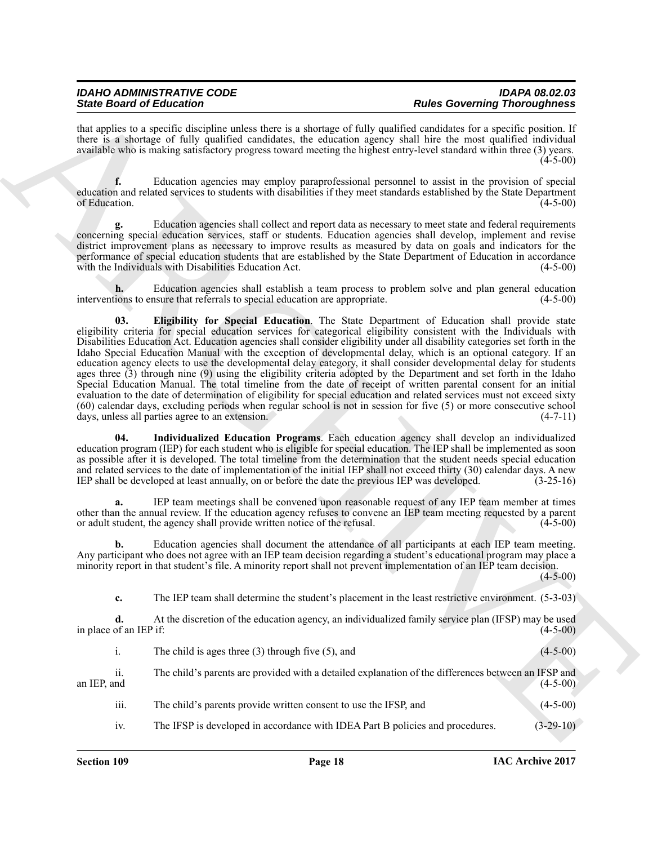that applies to a specific discipline unless there is a shortage of fully qualified candidates for a specific position. If there is a shortage of fully qualified candidates, the education agency shall hire the most qualified individual available who is making satisfactory progress toward meeting the highest entry-level standard within three (3) years.  $(4 - 5 - 00)$ 

**f.** Education agencies may employ paraprofessional personnel to assist in the provision of special education and related services to students with disabilities if they meet standards established by the State Department of Education. (4-5-00)

**g.** Education agencies shall collect and report data as necessary to meet state and federal requirements concerning special education services, staff or students. Education agencies shall develop, implement and revise district improvement plans as necessary to improve results as measured by data on goals and indicators for the performance of special education students that are established by the State Department of Education in accordance with the Individuals with Disabilities Education Act. (4-5-00)

<span id="page-17-0"></span>**h.** Education agencies shall establish a team process to problem solve and plan general education ions to ensure that referrals to special education are appropriate. (4-5-00) interventions to ensure that referrals to special education are appropriate.

Since the other lines of the since the since the since of the since distression of the since of the since of the since of the since of the since of the since of the since of the since of the since of the since of the sinc **03. Eligibility for Special Education**. The State Department of Education shall provide state eligibility criteria for special education services for categorical eligibility consistent with the Individuals with Disabilities Education Act. Education agencies shall consider eligibility under all disability categories set forth in the Idaho Special Education Manual with the exception of developmental delay, which is an optional category. If an education agency elects to use the developmental delay category, it shall consider developmental delay for students ages three (3) through nine (9) using the eligibility criteria adopted by the Department and set forth in the Idaho Special Education Manual. The total timeline from the date of receipt of written parental consent for an initial evaluation to the date of determination of eligibility for special education and related services must not exceed sixty  $(60)$  calendar days, excluding periods when regular school is not in session for five  $(5)$  or more consecutive school days, unless all parties agree to an extension.  $(4-7-11)$ days, unless all parties agree to an extension.

<span id="page-17-1"></span>**04. Individualized Education Programs**. Each education agency shall develop an individualized education program (IEP) for each student who is eligible for special education. The IEP shall be implemented as soon as possible after it is developed. The total timeline from the determination that the student needs special education and related services to the date of implementation of the initial IEP shall not exceed thirty (30) calendar days. A new IEP shall be developed at least annually, on or before the date the previous IEP was developed. (3-25-16)

**a.** IEP team meetings shall be convened upon reasonable request of any IEP team member at times other than the annual review. If the education agency refuses to convene an IEP team meeting requested by a parent or adult student, the agency shall provide written notice of the refusal. (4-5-00)

**b.** Education agencies shall document the attendance of all participants at each IEP team meeting. Any participant who does not agree with an IEP team decision regarding a student's educational program may place a minority report in that student's file. A minority report shall not prevent implementation of an IEP team decision.

 $(4-5-00)$ 

**c.** The IEP team shall determine the student's placement in the least restrictive environment. (5-3-03)

**d.** At the discretion of the education agency, an individualized family service plan (IFSP) may be used in place of an IEP if:  $(4-5-00)$ 

| $(4-5-00)$                                                                                                        |
|-------------------------------------------------------------------------------------------------------------------|
| The child's parents are provided with a detailed explanation of the differences between an IFSP and<br>$(4-5-00)$ |
| $(4-5-00)$                                                                                                        |
| $(3-29-10)$                                                                                                       |
|                                                                                                                   |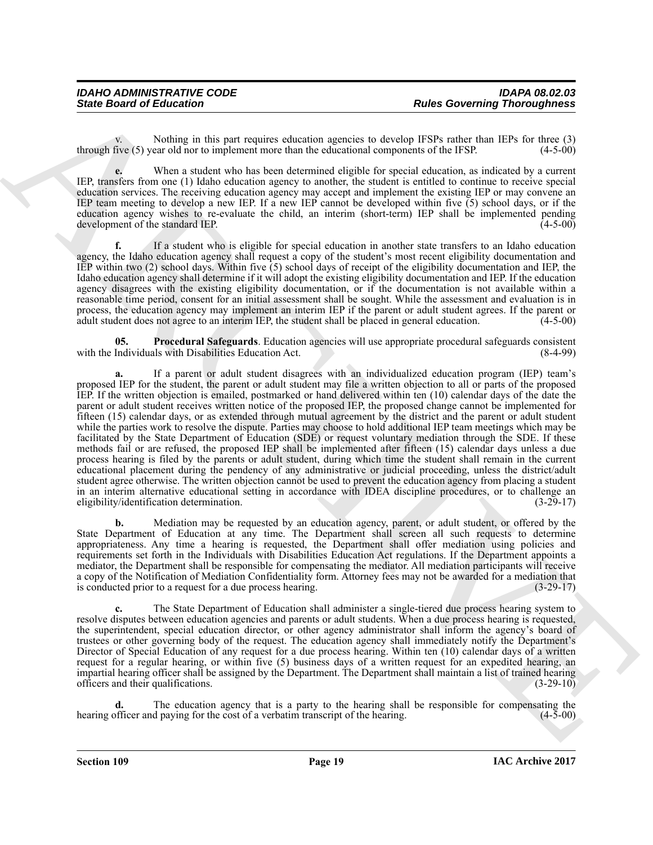| <b>IDAHO ADMINISTRATIVE CODE</b> | <b>IDAPA 08.02.03</b>               |
|----------------------------------|-------------------------------------|
| <b>State Board of Education</b>  | <b>Rules Governing Thoroughness</b> |

Nothing in this part requires education agencies to develop IFSPs rather than IEPs for three (3) through five (5) year old nor to implement more than the educational components of the IFSP. (4-5-00)

**e.** When a student who has been determined eligible for special education, as indicated by a current IEP, transfers from one (1) Idaho education agency to another, the student is entitled to continue to receive special education services. The receiving education agency may accept and implement the existing IEP or may convene an IEP team meeting to develop a new IEP. If a new IEP cannot be developed within five (5) school days, or if the education agency wishes to re-evaluate the child, an interim (short-term) IEP shall be implemented pending development of the standard IEP. (4-5-00)

**f.** If a student who is eligible for special education in another state transfers to an Idaho education agency, the Idaho education agency shall request a copy of the student's most recent eligibility documentation and IEP within two (2) school days. Within five (5) school days of receipt of the eligibility documentation and IEP, the Idaho education agency shall determine if it will adopt the existing eligibility documentation and IEP. If the education agency disagrees with the existing eligibility documentation, or if the documentation is not available within a reasonable time period, consent for an initial assessment shall be sought. While the assessment and evaluation is in process, the education agency may implement an interim IEP if the parent or adult student agrees. If the parent or adult student does not agree to an interim IEP, the student shall be placed in general education. (4-5-00)

<span id="page-18-0"></span>**05. Procedural Safeguards**. Education agencies will use appropriate procedural safeguards consistent with the Individuals with Disabilities Education Act.

Since Board of Enkoration<br>
This contribution is the particular space of developing a Relies Governing Theoretical interactions (1) the space of the space of the space of the space of the space of the space of the space of **a.** If a parent or adult student disagrees with an individualized education program (IEP) team's proposed IEP for the student, the parent or adult student may file a written objection to all or parts of the proposed IEP. If the written objection is emailed, postmarked or hand delivered within ten (10) calendar days of the date the parent or adult student receives written notice of the proposed IEP, the proposed change cannot be implemented for fifteen (15) calendar days, or as extended through mutual agreement by the district and the parent or adult student while the parties work to resolve the dispute. Parties may choose to hold additional IEP team meetings which may be facilitated by the State Department of Education (SDE) or request voluntary mediation through the SDE. If these methods fail or are refused, the proposed IEP shall be implemented after fifteen (15) calendar days unless a due process hearing is filed by the parents or adult student, during which time the student shall remain in the current educational placement during the pendency of any administrative or judicial proceeding, unless the district/adult student agree otherwise. The written objection cannot be used to prevent the education agency from placing a student in an interim alternative educational setting in accordance with IDEA discipline procedures, or to challenge an eligibility/identification determination. (3-29-17)

**b.** Mediation may be requested by an education agency, parent, or adult student, or offered by the State Department of Education at any time. The Department shall screen all such requests to determine appropriateness. Any time a hearing is requested, the Department shall offer mediation using policies and requirements set forth in the Individuals with Disabilities Education Act regulations. If the Department appoints a mediator, the Department shall be responsible for compensating the mediator. All mediation participants will receive a copy of the Notification of Mediation Confidentiality form. Attorney fees may not be awarded for a mediation that is conducted prior to a request for a due process hearing. (3-29-17)

**c.** The State Department of Education shall administer a single-tiered due process hearing system to resolve disputes between education agencies and parents or adult students. When a due process hearing is requested, the superintendent, special education director, or other agency administrator shall inform the agency's board of trustees or other governing body of the request. The education agency shall immediately notify the Department's Director of Special Education of any request for a due process hearing. Within ten (10) calendar days of a written request for a regular hearing, or within five (5) business days of a written request for an expedited hearing, an impartial hearing officer shall be assigned by the Department. The Department shall maintain a list of trained hearing officers and their qualifications. (3-29-10)

**d.** The education agency that is a party to the hearing shall be responsible for compensating the officer and paying for the cost of a verbatim transcript of the hearing. (4-5-00) hearing officer and paying for the cost of a verbatim transcript of the hearing.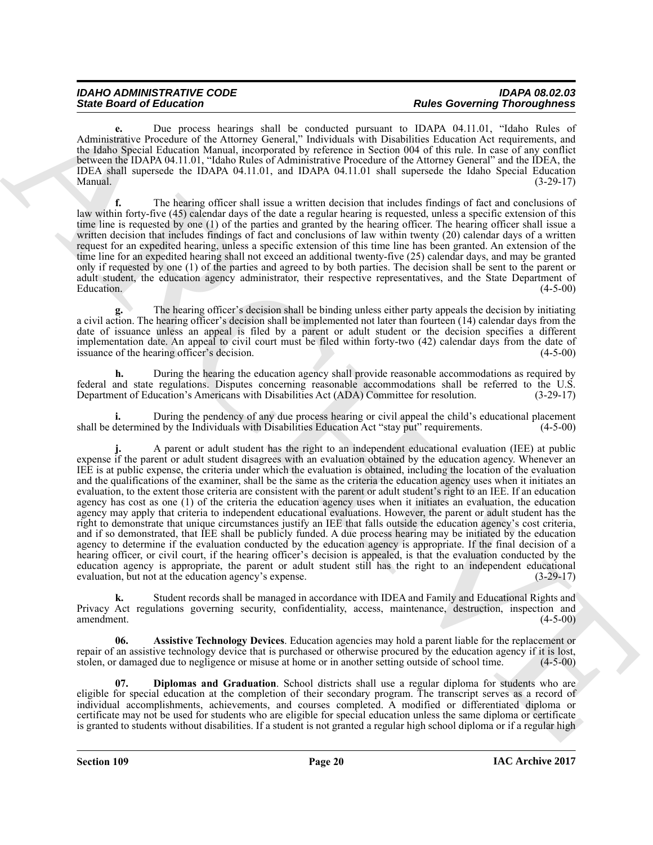| <b>IDAHO ADMINISTRATIVE CODE</b> | <b>IDAPA 08.02.03</b>               |
|----------------------------------|-------------------------------------|
| <b>State Board of Education</b>  | <b>Rules Governing Thoroughness</b> |

**e.** Due process hearings shall be conducted pursuant to IDAPA 04.11.01, "Idaho Rules of Administrative Procedure of the Attorney General," Individuals with Disabilities Education Act requirements, and the Idaho Special Education Manual, incorporated by reference in Section 004 of this rule. In case of any conflict between the IDAPA 04.11.01, "Idaho Rules of Administrative Procedure of the Attorney General" and the IDEA, the IDEA shall supersede the IDAPA 04.11.01, and IDAPA 04.11.01 shall supersede the Idaho Special Education Manual. (3-29-17)

**f.** The hearing officer shall issue a written decision that includes findings of fact and conclusions of law within forty-five (45) calendar days of the date a regular hearing is requested, unless a specific extension of this time line is requested by one (1) of the parties and granted by the hearing officer. The hearing officer shall issue a written decision that includes findings of fact and conclusions of law within twenty (20) calendar days of a written request for an expedited hearing, unless a specific extension of this time line has been granted. An extension of the time line for an expedited hearing shall not exceed an additional twenty-five (25) calendar days, and may be granted only if requested by one (1) of the parties and agreed to by both parties. The decision shall be sent to the parent or adult student, the education agency administrator, their respective representatives, and the State Department of Education. (4-5-00) Education. (4-5-00)

**g.** The hearing officer's decision shall be binding unless either party appeals the decision by initiating a civil action. The hearing officer's decision shall be implemented not later than fourteen (14) calendar days from the date of issuance unless an appeal is filed by a parent or adult student or the decision specifies a different implementation date. An appeal to civil court must be filed within forty-two (42) calendar days from the date of issuance of the hearing officer's decision. (4-5-00) issuance of the hearing officer's decision.

**h.** During the hearing the education agency shall provide reasonable accommodations as required by federal and state regulations. Disputes concerning reasonable accommodations shall be referred to the U.S. Department of Education's Americans with Disabilities Act (ADA) Committee for resolution. (3-29-17)

**i.** During the pendency of any due process hearing or civil appeal the child's educational placement shall be determined by the Individuals with Disabilities Education Act "stay put" requirements. (4-5-00)

Since Growth of Education 11 and the system of the United Growth (Photos Contained The Education 12 and the United Contained The Photos Contained The Photos Contained The Photos Contained The Contained The Contained The C **j.** A parent or adult student has the right to an independent educational evaluation (IEE) at public expense if the parent or adult student disagrees with an evaluation obtained by the education agency. Whenever an IEE is at public expense, the criteria under which the evaluation is obtained, including the location of the evaluation and the qualifications of the examiner, shall be the same as the criteria the education agency uses when it initiates an evaluation, to the extent those criteria are consistent with the parent or adult student's right to an IEE. If an education agency has cost as one (1) of the criteria the education agency uses when it initiates an evaluation, the education agency may apply that criteria to independent educational evaluations. However, the parent or adult student has the right to demonstrate that unique circumstances justify an IEE that falls outside the education agency's cost criteria, and if so demonstrated, that IEE shall be publicly funded. A due process hearing may be initiated by the education agency to determine if the evaluation conducted by the education agency is appropriate. If the final decision of a hearing officer, or civil court, if the hearing officer's decision is appealed, is that the evaluation conducted by the education agency is appropriate, the parent or adult student still has the right to an independent educational evaluation, but not at the education agency's expense. (3-29-17)

**k.** Student records shall be managed in accordance with IDEA and Family and Educational Rights and Privacy Act regulations governing security, confidentiality, access, maintenance, destruction, inspection and amendment. (4-5-00)

<span id="page-19-0"></span>**06. Assistive Technology Devices**. Education agencies may hold a parent liable for the replacement or repair of an assistive technology device that is purchased or otherwise procured by the education agency if it is lost, stolen, or damaged due to negligence or misuse at home or in another setting outside of school time. (4-5-00)

<span id="page-19-1"></span>**07. Diplomas and Graduation**. School districts shall use a regular diploma for students who are eligible for special education at the completion of their secondary program. The transcript serves as a record of individual accomplishments, achievements, and courses completed. A modified or differentiated diploma or certificate may not be used for students who are eligible for special education unless the same diploma or certificate is granted to students without disabilities. If a student is not granted a regular high school diploma or if a regular high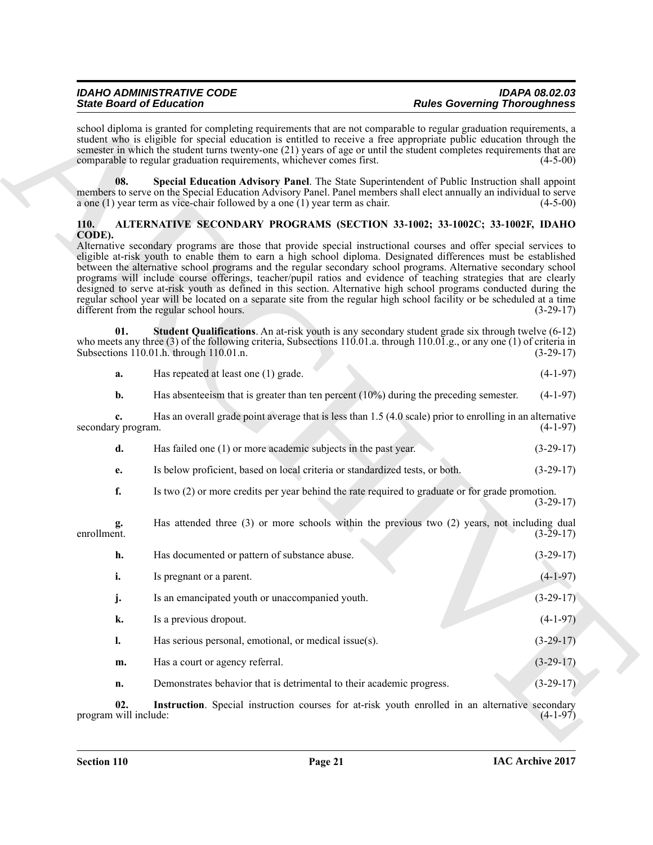| <b>IDAHO ADMINISTRATIVE CODE</b> | <b>IDAPA 08.02.03</b>               |
|----------------------------------|-------------------------------------|
| <b>State Board of Education</b>  | <b>Rules Governing Thoroughness</b> |

#### <span id="page-20-4"></span><span id="page-20-3"></span><span id="page-20-2"></span><span id="page-20-1"></span><span id="page-20-0"></span>**110. ALTERNATIVE SECONDARY PROGRAMS (SECTION 33-1002; 33-1002C; 33-1002F, IDAHO CODE).**

| <b>State Board of Education</b> |                                                                                                                                                                                                                                                                                                                                                                                                                                                                                                                                                                                                                                                                                                                                                                         | <b>Rules Governing Thoroughness</b> |             |
|---------------------------------|-------------------------------------------------------------------------------------------------------------------------------------------------------------------------------------------------------------------------------------------------------------------------------------------------------------------------------------------------------------------------------------------------------------------------------------------------------------------------------------------------------------------------------------------------------------------------------------------------------------------------------------------------------------------------------------------------------------------------------------------------------------------------|-------------------------------------|-------------|
|                                 | school diploma is granted for completing requirements that are not comparable to regular graduation requirements, a<br>student who is eligible for special education is entitled to receive a free appropriate public education through the<br>semester in which the student turns twenty-one (21) years of age or until the student completes requirements that are<br>comparable to regular graduation requirements, whichever comes first.                                                                                                                                                                                                                                                                                                                           |                                     | $(4-5-00)$  |
| 08.                             | Special Education Advisory Panel. The State Superintendent of Public Instruction shall appoint<br>members to serve on the Special Education Advisory Panel. Panel members shall elect annually an individual to serve<br>a one $(1)$ year term as vice-chair followed by a one $(1)$ year term as chair.                                                                                                                                                                                                                                                                                                                                                                                                                                                                |                                     | $(4-5-00)$  |
| 110.<br>CODE).                  | ALTERNATIVE SECONDARY PROGRAMS (SECTION 33-1002; 33-1002C; 33-1002F, IDAHO                                                                                                                                                                                                                                                                                                                                                                                                                                                                                                                                                                                                                                                                                              |                                     |             |
|                                 | Alternative secondary programs are those that provide special instructional courses and offer special services to<br>eligible at-risk youth to enable them to earn a high school diploma. Designated differences must be established<br>between the alternative school programs and the regular secondary school programs. Alternative secondary school<br>programs will include course offerings, teacher/pupil ratios and evidence of teaching strategies that are clearly<br>designed to serve at-risk youth as defined in this section. Alternative high school programs conducted during the<br>regular school year will be located on a separate site from the regular high school facility or be scheduled at a time<br>different from the regular school hours. |                                     | $(3-29-17)$ |
| 01.                             | <b>Student Qualifications</b> . An at-risk youth is any secondary student grade six through twelve $(6-12)$<br>who meets any three $(3)$ of the following criteria, Subsections 110.01.a. through 110.01.g., or any one $(1)$ of criteria in<br>Subsections 110.01.h. through 110.01.n.                                                                                                                                                                                                                                                                                                                                                                                                                                                                                 |                                     | $(3-29-17)$ |
| a.                              | Has repeated at least one (1) grade.                                                                                                                                                                                                                                                                                                                                                                                                                                                                                                                                                                                                                                                                                                                                    |                                     | $(4-1-97)$  |
| b.                              | Has absenteely that is greater than ten percent $(10\%)$ during the preceding semester.                                                                                                                                                                                                                                                                                                                                                                                                                                                                                                                                                                                                                                                                                 |                                     | $(4-1-97)$  |
| c.<br>secondary program.        | Has an overall grade point average that is less than 1.5 (4.0 scale) prior to enrolling in an alternative                                                                                                                                                                                                                                                                                                                                                                                                                                                                                                                                                                                                                                                               |                                     | $(4-1-97)$  |
| d.                              | Has failed one (1) or more academic subjects in the past year.                                                                                                                                                                                                                                                                                                                                                                                                                                                                                                                                                                                                                                                                                                          |                                     | $(3-29-17)$ |
| e.                              | Is below proficient, based on local criteria or standardized tests, or both.                                                                                                                                                                                                                                                                                                                                                                                                                                                                                                                                                                                                                                                                                            |                                     | $(3-29-17)$ |
| f.                              | Is two (2) or more credits per year behind the rate required to graduate or for grade promotion.                                                                                                                                                                                                                                                                                                                                                                                                                                                                                                                                                                                                                                                                        |                                     | $(3-29-17)$ |
| g.<br>enrollment.               | Has attended three (3) or more schools within the previous two (2) years, not including dual                                                                                                                                                                                                                                                                                                                                                                                                                                                                                                                                                                                                                                                                            |                                     | $(3-29-17)$ |
| h.                              | Has documented or pattern of substance abuse.                                                                                                                                                                                                                                                                                                                                                                                                                                                                                                                                                                                                                                                                                                                           |                                     | $(3-29-17)$ |
| i.                              | Is pregnant or a parent.                                                                                                                                                                                                                                                                                                                                                                                                                                                                                                                                                                                                                                                                                                                                                |                                     | $(4-1-97)$  |
| j.                              | Is an emancipated youth or unaccompanied youth.                                                                                                                                                                                                                                                                                                                                                                                                                                                                                                                                                                                                                                                                                                                         |                                     | $(3-29-17)$ |
| k.                              | Is a previous dropout.                                                                                                                                                                                                                                                                                                                                                                                                                                                                                                                                                                                                                                                                                                                                                  |                                     | $(4-1-97)$  |
| 1.                              | Has serious personal, emotional, or medical issue(s).                                                                                                                                                                                                                                                                                                                                                                                                                                                                                                                                                                                                                                                                                                                   |                                     | $(3-29-17)$ |
| m.                              | Has a court or agency referral.                                                                                                                                                                                                                                                                                                                                                                                                                                                                                                                                                                                                                                                                                                                                         |                                     | $(3-29-17)$ |
| n.                              | Demonstrates behavior that is detrimental to their academic progress.                                                                                                                                                                                                                                                                                                                                                                                                                                                                                                                                                                                                                                                                                                   |                                     | $(3-29-17)$ |
| 02.<br>program will include:    | Instruction. Special instruction courses for at-risk youth enrolled in an alternative secondary                                                                                                                                                                                                                                                                                                                                                                                                                                                                                                                                                                                                                                                                         |                                     | $(4-1-97)$  |
|                                 |                                                                                                                                                                                                                                                                                                                                                                                                                                                                                                                                                                                                                                                                                                                                                                         |                                     |             |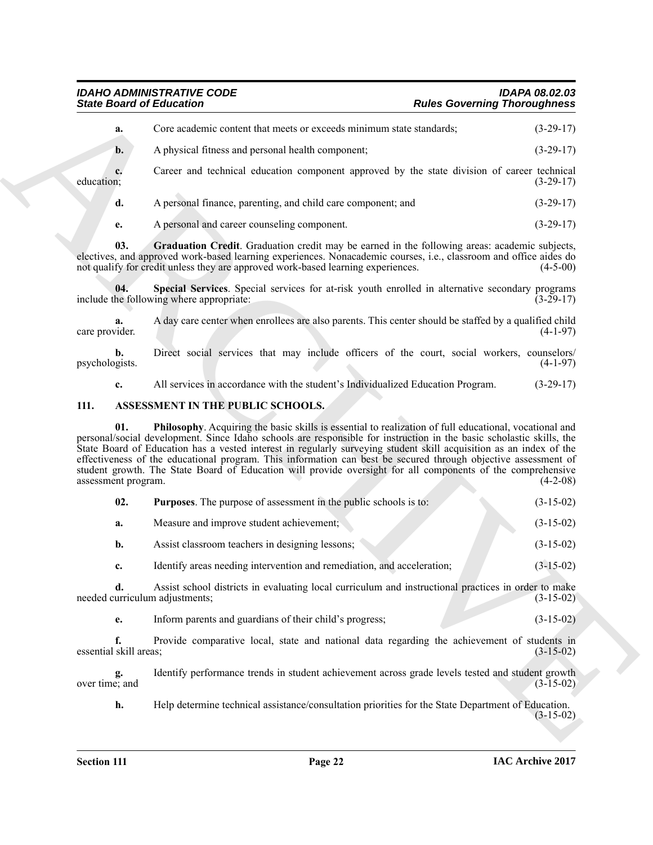#### <span id="page-21-1"></span>*IDAHO ADMINISTRATIVE CODE IDAPA 08.02.03 State Board of Education Rules Governing Thoroughness*

| Core academic content that meets or exceeds minimum state standards;<br>a.<br>A physical fitness and personal health component;<br>$\mathbf{b}$ .<br>Career and technical education component approved by the state division of career technical<br>c.<br>education;<br>A personal finance, parenting, and child care component; and<br>d.<br>A personal and career counseling component.<br>e.<br>03.<br>Graduation Credit. Graduation credit may be earned in the following areas: academic subjects,<br>electives, and approved work-based learning experiences. Nonacademic courses, i.e., classroom and office aides do<br>not qualify for credit unless they are approved work-based learning experiences.<br>Special Services. Special services for at-risk youth enrolled in alternative secondary programs<br>04.<br>include the following where appropriate:<br>A day care center when enrollees are also parents. This center should be staffed by a qualified child<br>a.<br>care provider.<br>Direct social services that may include officers of the court, social workers, counselors/<br>b.<br>psychologists.<br>All services in accordance with the student's Individualized Education Program.<br>c.<br>111.<br>ASSESSMENT IN THE PUBLIC SCHOOLS.<br>Philosophy. Acquiring the basic skills is essential to realization of full educational, vocational and<br>01.<br>personal/social development. Since Idaho schools are responsible for instruction in the basic scholastic skills, the<br>State Board of Education has a vested interest in regularly surveying student skill acquisition as an index of the<br>effectiveness of the educational program. This information can best be secured through objective assessment of<br>student growth. The State Board of Education will provide oversight for all components of the comprehensive<br>assessment program.<br>02.<br><b>Purposes.</b> The purpose of assessment in the public schools is to:<br>Measure and improve student achievement;<br>a.<br>b.<br>Assist classroom teachers in designing lessons;<br>Identify areas needing intervention and remediation, and acceleration;<br>c.<br>Assist school districts in evaluating local curriculum and instructional practices in order to make<br>d.<br>needed curriculum adjustments;<br>Inform parents and guardians of their child's progress;<br>e.<br>f.<br>Provide comparative local, state and national data regarding the achievement of students in<br>essential skill areas;<br>Identify performance trends in student achievement across grade levels tested and student growth<br>g.<br>over time; and<br>h.<br>Help determine technical assistance/consultation priorities for the State Department of Education. | <b>State Board of Education</b> | <b>Rules Governing Thoroughness</b> |             |
|----------------------------------------------------------------------------------------------------------------------------------------------------------------------------------------------------------------------------------------------------------------------------------------------------------------------------------------------------------------------------------------------------------------------------------------------------------------------------------------------------------------------------------------------------------------------------------------------------------------------------------------------------------------------------------------------------------------------------------------------------------------------------------------------------------------------------------------------------------------------------------------------------------------------------------------------------------------------------------------------------------------------------------------------------------------------------------------------------------------------------------------------------------------------------------------------------------------------------------------------------------------------------------------------------------------------------------------------------------------------------------------------------------------------------------------------------------------------------------------------------------------------------------------------------------------------------------------------------------------------------------------------------------------------------------------------------------------------------------------------------------------------------------------------------------------------------------------------------------------------------------------------------------------------------------------------------------------------------------------------------------------------------------------------------------------------------------------------------------------------------------------------------------------------------------------------------------------------------------------------------------------------------------------------------------------------------------------------------------------------------------------------------------------------------------------------------------------------------------------------------------------------------------------------------------------------------------------------------------------------------------------------------------------------------------------------------------------------------------------------------------------|---------------------------------|-------------------------------------|-------------|
|                                                                                                                                                                                                                                                                                                                                                                                                                                                                                                                                                                                                                                                                                                                                                                                                                                                                                                                                                                                                                                                                                                                                                                                                                                                                                                                                                                                                                                                                                                                                                                                                                                                                                                                                                                                                                                                                                                                                                                                                                                                                                                                                                                                                                                                                                                                                                                                                                                                                                                                                                                                                                                                                                                                                                                |                                 |                                     | $(3-29-17)$ |
|                                                                                                                                                                                                                                                                                                                                                                                                                                                                                                                                                                                                                                                                                                                                                                                                                                                                                                                                                                                                                                                                                                                                                                                                                                                                                                                                                                                                                                                                                                                                                                                                                                                                                                                                                                                                                                                                                                                                                                                                                                                                                                                                                                                                                                                                                                                                                                                                                                                                                                                                                                                                                                                                                                                                                                |                                 |                                     | $(3-29-17)$ |
|                                                                                                                                                                                                                                                                                                                                                                                                                                                                                                                                                                                                                                                                                                                                                                                                                                                                                                                                                                                                                                                                                                                                                                                                                                                                                                                                                                                                                                                                                                                                                                                                                                                                                                                                                                                                                                                                                                                                                                                                                                                                                                                                                                                                                                                                                                                                                                                                                                                                                                                                                                                                                                                                                                                                                                |                                 |                                     | $(3-29-17)$ |
|                                                                                                                                                                                                                                                                                                                                                                                                                                                                                                                                                                                                                                                                                                                                                                                                                                                                                                                                                                                                                                                                                                                                                                                                                                                                                                                                                                                                                                                                                                                                                                                                                                                                                                                                                                                                                                                                                                                                                                                                                                                                                                                                                                                                                                                                                                                                                                                                                                                                                                                                                                                                                                                                                                                                                                |                                 |                                     | $(3-29-17)$ |
|                                                                                                                                                                                                                                                                                                                                                                                                                                                                                                                                                                                                                                                                                                                                                                                                                                                                                                                                                                                                                                                                                                                                                                                                                                                                                                                                                                                                                                                                                                                                                                                                                                                                                                                                                                                                                                                                                                                                                                                                                                                                                                                                                                                                                                                                                                                                                                                                                                                                                                                                                                                                                                                                                                                                                                |                                 |                                     | $(3-29-17)$ |
|                                                                                                                                                                                                                                                                                                                                                                                                                                                                                                                                                                                                                                                                                                                                                                                                                                                                                                                                                                                                                                                                                                                                                                                                                                                                                                                                                                                                                                                                                                                                                                                                                                                                                                                                                                                                                                                                                                                                                                                                                                                                                                                                                                                                                                                                                                                                                                                                                                                                                                                                                                                                                                                                                                                                                                |                                 |                                     | $(4-5-00)$  |
|                                                                                                                                                                                                                                                                                                                                                                                                                                                                                                                                                                                                                                                                                                                                                                                                                                                                                                                                                                                                                                                                                                                                                                                                                                                                                                                                                                                                                                                                                                                                                                                                                                                                                                                                                                                                                                                                                                                                                                                                                                                                                                                                                                                                                                                                                                                                                                                                                                                                                                                                                                                                                                                                                                                                                                |                                 |                                     | $(3-29-17)$ |
|                                                                                                                                                                                                                                                                                                                                                                                                                                                                                                                                                                                                                                                                                                                                                                                                                                                                                                                                                                                                                                                                                                                                                                                                                                                                                                                                                                                                                                                                                                                                                                                                                                                                                                                                                                                                                                                                                                                                                                                                                                                                                                                                                                                                                                                                                                                                                                                                                                                                                                                                                                                                                                                                                                                                                                |                                 |                                     | $(4-1-97)$  |
|                                                                                                                                                                                                                                                                                                                                                                                                                                                                                                                                                                                                                                                                                                                                                                                                                                                                                                                                                                                                                                                                                                                                                                                                                                                                                                                                                                                                                                                                                                                                                                                                                                                                                                                                                                                                                                                                                                                                                                                                                                                                                                                                                                                                                                                                                                                                                                                                                                                                                                                                                                                                                                                                                                                                                                |                                 |                                     | $(4-1-97)$  |
|                                                                                                                                                                                                                                                                                                                                                                                                                                                                                                                                                                                                                                                                                                                                                                                                                                                                                                                                                                                                                                                                                                                                                                                                                                                                                                                                                                                                                                                                                                                                                                                                                                                                                                                                                                                                                                                                                                                                                                                                                                                                                                                                                                                                                                                                                                                                                                                                                                                                                                                                                                                                                                                                                                                                                                |                                 |                                     | $(3-29-17)$ |
|                                                                                                                                                                                                                                                                                                                                                                                                                                                                                                                                                                                                                                                                                                                                                                                                                                                                                                                                                                                                                                                                                                                                                                                                                                                                                                                                                                                                                                                                                                                                                                                                                                                                                                                                                                                                                                                                                                                                                                                                                                                                                                                                                                                                                                                                                                                                                                                                                                                                                                                                                                                                                                                                                                                                                                |                                 |                                     |             |
|                                                                                                                                                                                                                                                                                                                                                                                                                                                                                                                                                                                                                                                                                                                                                                                                                                                                                                                                                                                                                                                                                                                                                                                                                                                                                                                                                                                                                                                                                                                                                                                                                                                                                                                                                                                                                                                                                                                                                                                                                                                                                                                                                                                                                                                                                                                                                                                                                                                                                                                                                                                                                                                                                                                                                                |                                 |                                     | $(4-2-08)$  |
|                                                                                                                                                                                                                                                                                                                                                                                                                                                                                                                                                                                                                                                                                                                                                                                                                                                                                                                                                                                                                                                                                                                                                                                                                                                                                                                                                                                                                                                                                                                                                                                                                                                                                                                                                                                                                                                                                                                                                                                                                                                                                                                                                                                                                                                                                                                                                                                                                                                                                                                                                                                                                                                                                                                                                                |                                 |                                     | $(3-15-02)$ |
|                                                                                                                                                                                                                                                                                                                                                                                                                                                                                                                                                                                                                                                                                                                                                                                                                                                                                                                                                                                                                                                                                                                                                                                                                                                                                                                                                                                                                                                                                                                                                                                                                                                                                                                                                                                                                                                                                                                                                                                                                                                                                                                                                                                                                                                                                                                                                                                                                                                                                                                                                                                                                                                                                                                                                                |                                 |                                     | $(3-15-02)$ |
|                                                                                                                                                                                                                                                                                                                                                                                                                                                                                                                                                                                                                                                                                                                                                                                                                                                                                                                                                                                                                                                                                                                                                                                                                                                                                                                                                                                                                                                                                                                                                                                                                                                                                                                                                                                                                                                                                                                                                                                                                                                                                                                                                                                                                                                                                                                                                                                                                                                                                                                                                                                                                                                                                                                                                                |                                 |                                     | $(3-15-02)$ |
|                                                                                                                                                                                                                                                                                                                                                                                                                                                                                                                                                                                                                                                                                                                                                                                                                                                                                                                                                                                                                                                                                                                                                                                                                                                                                                                                                                                                                                                                                                                                                                                                                                                                                                                                                                                                                                                                                                                                                                                                                                                                                                                                                                                                                                                                                                                                                                                                                                                                                                                                                                                                                                                                                                                                                                |                                 |                                     | $(3-15-02)$ |
|                                                                                                                                                                                                                                                                                                                                                                                                                                                                                                                                                                                                                                                                                                                                                                                                                                                                                                                                                                                                                                                                                                                                                                                                                                                                                                                                                                                                                                                                                                                                                                                                                                                                                                                                                                                                                                                                                                                                                                                                                                                                                                                                                                                                                                                                                                                                                                                                                                                                                                                                                                                                                                                                                                                                                                |                                 |                                     | $(3-15-02)$ |
|                                                                                                                                                                                                                                                                                                                                                                                                                                                                                                                                                                                                                                                                                                                                                                                                                                                                                                                                                                                                                                                                                                                                                                                                                                                                                                                                                                                                                                                                                                                                                                                                                                                                                                                                                                                                                                                                                                                                                                                                                                                                                                                                                                                                                                                                                                                                                                                                                                                                                                                                                                                                                                                                                                                                                                |                                 |                                     | $(3-15-02)$ |
|                                                                                                                                                                                                                                                                                                                                                                                                                                                                                                                                                                                                                                                                                                                                                                                                                                                                                                                                                                                                                                                                                                                                                                                                                                                                                                                                                                                                                                                                                                                                                                                                                                                                                                                                                                                                                                                                                                                                                                                                                                                                                                                                                                                                                                                                                                                                                                                                                                                                                                                                                                                                                                                                                                                                                                |                                 |                                     | $(3-15-02)$ |
|                                                                                                                                                                                                                                                                                                                                                                                                                                                                                                                                                                                                                                                                                                                                                                                                                                                                                                                                                                                                                                                                                                                                                                                                                                                                                                                                                                                                                                                                                                                                                                                                                                                                                                                                                                                                                                                                                                                                                                                                                                                                                                                                                                                                                                                                                                                                                                                                                                                                                                                                                                                                                                                                                                                                                                |                                 |                                     | $(3-15-02)$ |
|                                                                                                                                                                                                                                                                                                                                                                                                                                                                                                                                                                                                                                                                                                                                                                                                                                                                                                                                                                                                                                                                                                                                                                                                                                                                                                                                                                                                                                                                                                                                                                                                                                                                                                                                                                                                                                                                                                                                                                                                                                                                                                                                                                                                                                                                                                                                                                                                                                                                                                                                                                                                                                                                                                                                                                |                                 |                                     | $(3-15-02)$ |
|                                                                                                                                                                                                                                                                                                                                                                                                                                                                                                                                                                                                                                                                                                                                                                                                                                                                                                                                                                                                                                                                                                                                                                                                                                                                                                                                                                                                                                                                                                                                                                                                                                                                                                                                                                                                                                                                                                                                                                                                                                                                                                                                                                                                                                                                                                                                                                                                                                                                                                                                                                                                                                                                                                                                                                |                                 |                                     |             |

#### <span id="page-21-4"></span><span id="page-21-3"></span><span id="page-21-2"></span><span id="page-21-0"></span>**111. ASSESSMENT IN THE PUBLIC SCHOOLS.**

<span id="page-21-5"></span>

| 02. | <b>Purposes.</b> The purpose of assessment in the public schools is to: | $(3-15-02)$ |
|-----|-------------------------------------------------------------------------|-------------|
| a.  | Measure and improve student achievement;                                | $(3-15-02)$ |
| b.  | Assist classroom teachers in designing lessons;                         | $(3-15-02)$ |
| c.  | Identify areas needing intervention and remediation, and acceleration;  | $(3-15-02)$ |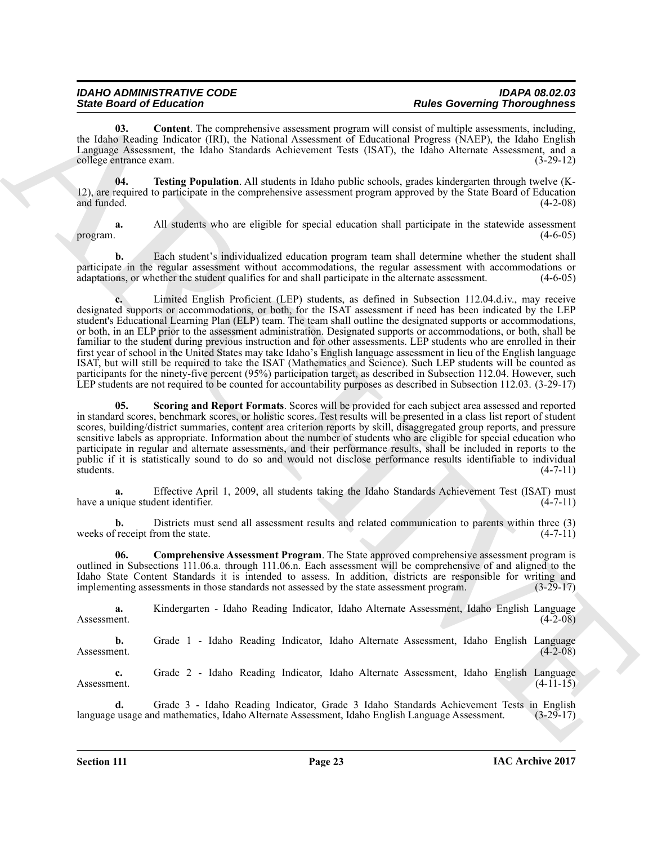<span id="page-22-1"></span>**03. Content**. The comprehensive assessment program will consist of multiple assessments, including, the Idaho Reading Indicator (IRI), the National Assessment of Educational Progress (NAEP), the Idaho English Language Assessment, the Idaho Standards Achievement Tests (ISAT), the Idaho Alternate Assessment, and a college entrance exam. (3-29-12)

<span id="page-22-3"></span>**04. Testing Population**. All students in Idaho public schools, grades kindergarten through twelve (K-12), are required to participate in the comprehensive assessment program approved by the State Board of Education and funded. (4-2-08)

**a.** All students who are eligible for special education shall participate in the statewide assessment program.  $(4-6-05)$ 

**b.** Each student's individualized education program team shall determine whether the student shall participate in the regular assessment without accommodations, the regular assessment with accommodations or adaptations, or whether the student qualifies for and shall participate in the alternate assessment. (4-6-05)

Since Gravitation Inc. Control to the main control to Robert Control the Real of the Control of the Control of the Control of the Control of the Control of the Control of the Control of the Control of the Control of the C **c.** Limited English Proficient (LEP) students, as defined in Subsection 112.04.d.iv., may receive designated supports or accommodations, or both, for the ISAT assessment if need has been indicated by the LEP student's Educational Learning Plan (ELP) team. The team shall outline the designated supports or accommodations, or both, in an ELP prior to the assessment administration. Designated supports or accommodations, or both, shall be familiar to the student during previous instruction and for other assessments. LEP students who are enrolled in their first year of school in the United States may take Idaho's English language assessment in lieu of the English language ISAT, but will still be required to take the ISAT (Mathematics and Science). Such LEP students will be counted as participants for the ninety-five percent (95%) participation target, as described in Subsection 112.04. However, such LEP students are not required to be counted for accountability purposes as described in Subsection 112.03. (3-29-17)

<span id="page-22-2"></span>**05. Scoring and Report Formats**. Scores will be provided for each subject area assessed and reported in standard scores, benchmark scores, or holistic scores. Test results will be presented in a class list report of student scores, building/district summaries, content area criterion reports by skill, disaggregated group reports, and pressure sensitive labels as appropriate. Information about the number of students who are eligible for special education who participate in regular and alternate assessments, and their performance results, shall be included in reports to the public if it is statistically sound to do so and would not disclose performance results identifiable to individual students. (4-7-11)

**a.** Effective April 1, 2009, all students taking the Idaho Standards Achievement Test (ISAT) must have a unique student identifier. (4-7-11)

**b.** Districts must send all assessment results and related communication to parents within three (3) weeks of receipt from the state. (4-7-11)

<span id="page-22-0"></span>**06. Comprehensive Assessment Program**. The State approved comprehensive assessment program is outlined in Subsections 111.06.a. through 111.06.n. Each assessment will be comprehensive of and aligned to the Idaho State Content Standards it is intended to assess. In addition, districts are responsible for writing and implementing assessments in those standards not assessed by the state assessment program. (3-29-17) implementing assessments in those standards not assessed by the state assessment program.

**a.** Kindergarten - Idaho Reading Indicator, Idaho Alternate Assessment, Idaho English Language Assessment. (4-2-08)

**b.** Grade 1 - Idaho Reading Indicator, Idaho Alternate Assessment, Idaho English Language Assessment. (4-2-08) Assessment. (4-2-08)

**c.** Grade 2 - Idaho Reading Indicator, Idaho Alternate Assessment, Idaho English Language Assessment.  $(4-11-15)$ 

**d.** Grade 3 - Idaho Reading Indicator, Grade 3 Idaho Standards Achievement Tests in English usage and mathematics, Idaho Alternate Assessment, Idaho English Language Assessment. (3-29-17) language usage and mathematics, Idaho Alternate Assessment, Idaho English Language Assessment.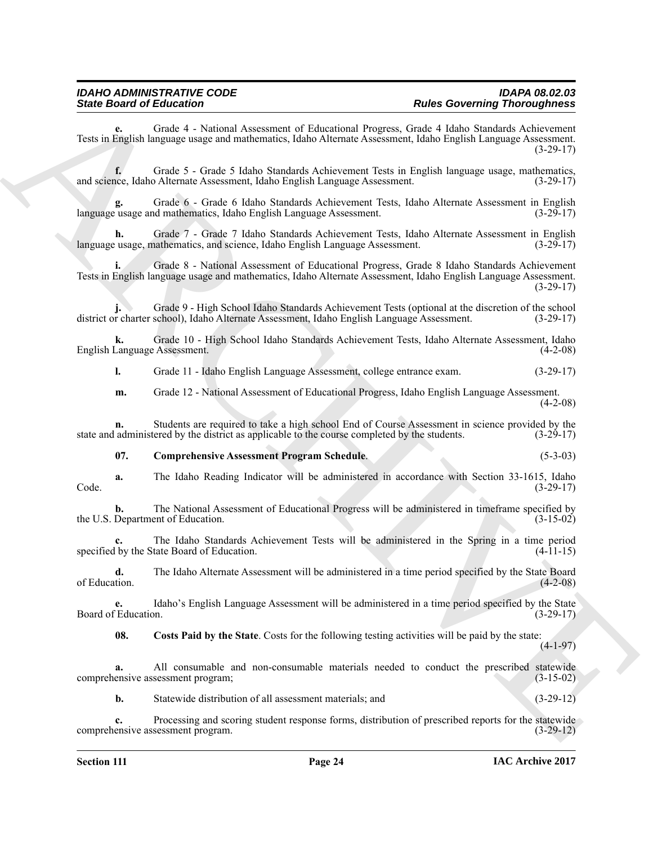**e.** Grade 4 - National Assessment of Educational Progress, Grade 4 Idaho Standards Achievement Tests in English language usage and mathematics, Idaho Alternate Assessment, Idaho English Language Assessment. (3-29-17)

**f.** Grade 5 - Grade 5 Idaho Standards Achievement Tests in English language usage, mathematics, ice, Idaho Alternate Assessment, Idaho English Language Assessment. (3-29-17) and science, Idaho Alternate Assessment, Idaho English Language Assessment.

**g.** Grade 6 - Grade 6 Idaho Standards Achievement Tests, Idaho Alternate Assessment in English language usage and mathematics, Idaho English Language Assessment. (3-29-17)

**h.** Grade 7 - Grade 7 Idaho Standards Achievement Tests, Idaho Alternate Assessment in English usage, mathematics, and science, Idaho English Language Assessment. (3-29-17) language usage, mathematics, and science, Idaho English Language Assessment.

Since Broad of Education Communication (Alexandro Mension Core) Education Communication (Alexandro Mension Communication Communication (Alexandro Mension Communication (Alexandro Mension Communication (Alexandro Mension C **i.** Grade 8 - National Assessment of Educational Progress, Grade 8 Idaho Standards Achievement Tests in English language usage and mathematics, Idaho Alternate Assessment, Idaho English Language Assessment.  $(3-29-17)$ 

**j.** Grade 9 - High School Idaho Standards Achievement Tests (optional at the discretion of the school district or charter school), Idaho Alternate Assessment, Idaho English Language Assessment. (3-29-17)

**k.** Grade 10 - High School Idaho Standards Achievement Tests, Idaho Alternate Assessment, Idaho English Language Assessment.

**l.** Grade 11 - Idaho English Language Assessment, college entrance exam. (3-29-17)

**m.** Grade 12 - National Assessment of Educational Progress, Idaho English Language Assessment. (4-2-08)

**n.** Students are required to take a high school End of Course Assessment in science provided by the state and administered by the district as applicable to the course completed by the students. (3-29-17)

#### <span id="page-23-0"></span>**07. Comprehensive Assessment Program Schedule**. (5-3-03)

**a.** The Idaho Reading Indicator will be administered in accordance with Section 33-1615, Idaho (3-29-17) Code. (3-29-17)

**b.** The National Assessment of Educational Progress will be administered in timeframe specified by<br>(3-15-02) (3-15-02) the U.S. Department of Education.

**c.** The Idaho Standards Achievement Tests will be administered in the Spring in a time period specified by the State Board of Education.  $(4-11-15)$ 

**d.** The Idaho Alternate Assessment will be administered in a time period specified by the State Board of Education. of Education. (4-2-08)

**e.** Idaho's English Language Assessment will be administered in a time period specified by the State Board of Education.

<span id="page-23-1"></span>**08. Costs Paid by the State**. Costs for the following testing activities will be paid by the state:

(4-1-97)

**a.** All consumable and non-consumable materials needed to conduct the prescribed statewide comprehensive assessment program; (3-15-02)

**b.** Statewide distribution of all assessment materials; and (3-29-12)

**c.** Processing and scoring student response forms, distribution of prescribed reports for the statewide comprehensive assessment program. (3-29-12)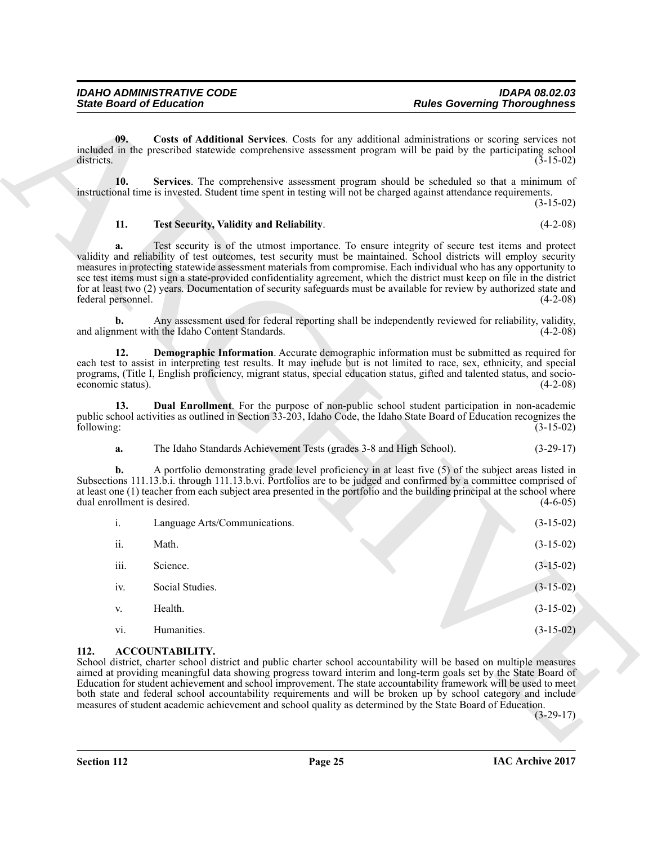<span id="page-24-6"></span><span id="page-24-5"></span><span id="page-24-3"></span><span id="page-24-2"></span>

|                                   | <b>State Board of Education</b>                                                                                                      | <b>Rules Governing Thoroughness</b>                                                                                                                                                                                                                                                                                                                                                                                                                                                                                                                                                              |             |
|-----------------------------------|--------------------------------------------------------------------------------------------------------------------------------------|--------------------------------------------------------------------------------------------------------------------------------------------------------------------------------------------------------------------------------------------------------------------------------------------------------------------------------------------------------------------------------------------------------------------------------------------------------------------------------------------------------------------------------------------------------------------------------------------------|-------------|
| 09.<br>districts.                 |                                                                                                                                      | Costs of Additional Services. Costs for any additional administrations or scoring services not<br>included in the prescribed statewide comprehensive assessment program will be paid by the participating school                                                                                                                                                                                                                                                                                                                                                                                 | $(3-15-02)$ |
| 10.                               |                                                                                                                                      | Services. The comprehensive assessment program should be scheduled so that a minimum of<br>instructional time is invested. Student time spent in testing will not be charged against attendance requirements.                                                                                                                                                                                                                                                                                                                                                                                    | $(3-15-02)$ |
| 11.                               | Test Security, Validity and Reliability.                                                                                             |                                                                                                                                                                                                                                                                                                                                                                                                                                                                                                                                                                                                  | $(4-2-08)$  |
| a.<br>federal personnel.          |                                                                                                                                      | Test security is of the utmost importance. To ensure integrity of secure test items and protect<br>validity and reliability of test outcomes, test security must be maintained. School districts will employ security<br>measures in protecting statewide assessment materials from compromise. Each individual who has any opportunity to<br>see test items must sign a state-provided confidentiality agreement, which the district must keep on file in the district<br>for at least two (2) years. Documentation of security safeguards must be available for review by authorized state and | $(4-2-08)$  |
| b.                                | and alignment with the Idaho Content Standards.                                                                                      | Any assessment used for federal reporting shall be independently reviewed for reliability, validity,                                                                                                                                                                                                                                                                                                                                                                                                                                                                                             | $(4-2-08)$  |
| 12.<br>economic status).          |                                                                                                                                      | Demographic Information. Accurate demographic information must be submitted as required for<br>each test to assist in interpreting test results. It may include but is not limited to race, sex, ethnicity, and special<br>programs, (Title I, English proficiency, migrant status, special education status, gifted and talented status, and socio-                                                                                                                                                                                                                                             | $(4-2-08)$  |
| 13.<br>following:                 |                                                                                                                                      | Dual Enrollment. For the purpose of non-public school student participation in non-academic<br>public school activities as outlined in Section 33-203, Idaho Code, the Idaho State Board of Education recognizes the                                                                                                                                                                                                                                                                                                                                                                             | $(3-15-02)$ |
| a.                                | The Idaho Standards Achievement Tests (grades 3-8 and High School).                                                                  |                                                                                                                                                                                                                                                                                                                                                                                                                                                                                                                                                                                                  | $(3-29-17)$ |
| b.<br>dual enrollment is desired. |                                                                                                                                      | A portfolio demonstrating grade level proficiency in at least five (5) of the subject areas listed in<br>Subsections 111.13.b.i. through 111.13.b.vi. Portfolios are to be judged and confirmed by a committee comprised of<br>at least one (1) teacher from each subject area presented in the portfolio and the building principal at the school where                                                                                                                                                                                                                                         | $(4-6-05)$  |
| i.                                | Language Arts/Communications.                                                                                                        |                                                                                                                                                                                                                                                                                                                                                                                                                                                                                                                                                                                                  | $(3-15-02)$ |
| ii.                               | Math.                                                                                                                                |                                                                                                                                                                                                                                                                                                                                                                                                                                                                                                                                                                                                  | $(3-15-02)$ |
| 111.                              | Science.                                                                                                                             |                                                                                                                                                                                                                                                                                                                                                                                                                                                                                                                                                                                                  | $(3-15-02)$ |
| iv.                               | Social Studies.                                                                                                                      |                                                                                                                                                                                                                                                                                                                                                                                                                                                                                                                                                                                                  | $(3-15-02)$ |
| V.                                | Health.                                                                                                                              |                                                                                                                                                                                                                                                                                                                                                                                                                                                                                                                                                                                                  | $(3-15-02)$ |
| vi.                               | Humanities.                                                                                                                          |                                                                                                                                                                                                                                                                                                                                                                                                                                                                                                                                                                                                  | $(3-15-02)$ |
| 112.                              | <b>ACCOUNTABILITY.</b><br>measures of student academic achievement and school quality as determined by the State Board of Education. | School district, charter school district and public charter school accountability will be based on multiple measures<br>aimed at providing meaningful data showing progress toward interim and long-term goals set by the State Board of<br>Education for student achievement and school improvement. The state accountability framework will be used to meet<br>both state and federal school accountability requirements and will be broken up by school category and include                                                                                                                  |             |

#### <span id="page-24-4"></span><span id="page-24-1"></span><span id="page-24-0"></span>**112. ACCOUNTABILITY.**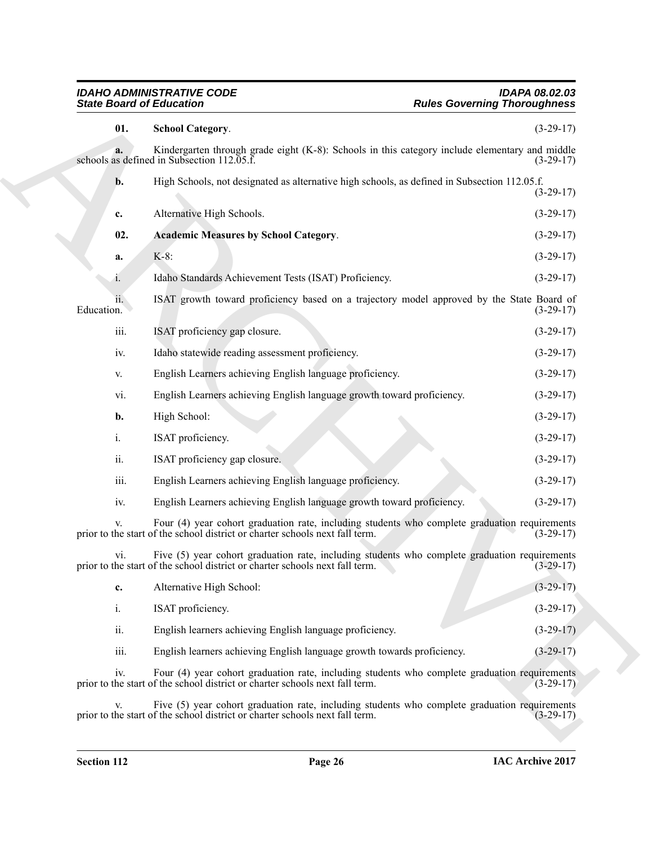<span id="page-25-1"></span><span id="page-25-0"></span>

| <b>School Category.</b><br>Kindergarten through grade eight (K-8): Schools in this category include elementary and middle<br>schools as defined in Subsection $112.05.\overline{f}$ .<br>High Schools, not designated as alternative high schools, as defined in Subsection 112.05.f.<br>Alternative High Schools.<br><b>Academic Measures by School Category.</b> | $(3-29-17)$                                                                                                                                                                                                                                                                                                                                                                                                                                                                                                                                                                                                                                                                                                                                                                                                                                                                                                                                                                                                                                                                                                                                                                                                                                                                                                                                                                                                                                                                                                                     |
|--------------------------------------------------------------------------------------------------------------------------------------------------------------------------------------------------------------------------------------------------------------------------------------------------------------------------------------------------------------------|---------------------------------------------------------------------------------------------------------------------------------------------------------------------------------------------------------------------------------------------------------------------------------------------------------------------------------------------------------------------------------------------------------------------------------------------------------------------------------------------------------------------------------------------------------------------------------------------------------------------------------------------------------------------------------------------------------------------------------------------------------------------------------------------------------------------------------------------------------------------------------------------------------------------------------------------------------------------------------------------------------------------------------------------------------------------------------------------------------------------------------------------------------------------------------------------------------------------------------------------------------------------------------------------------------------------------------------------------------------------------------------------------------------------------------------------------------------------------------------------------------------------------------|
|                                                                                                                                                                                                                                                                                                                                                                    | $(3-29-17)$<br>$(3-29-17)$<br>$(3-29-17)$                                                                                                                                                                                                                                                                                                                                                                                                                                                                                                                                                                                                                                                                                                                                                                                                                                                                                                                                                                                                                                                                                                                                                                                                                                                                                                                                                                                                                                                                                       |
|                                                                                                                                                                                                                                                                                                                                                                    |                                                                                                                                                                                                                                                                                                                                                                                                                                                                                                                                                                                                                                                                                                                                                                                                                                                                                                                                                                                                                                                                                                                                                                                                                                                                                                                                                                                                                                                                                                                                 |
|                                                                                                                                                                                                                                                                                                                                                                    |                                                                                                                                                                                                                                                                                                                                                                                                                                                                                                                                                                                                                                                                                                                                                                                                                                                                                                                                                                                                                                                                                                                                                                                                                                                                                                                                                                                                                                                                                                                                 |
|                                                                                                                                                                                                                                                                                                                                                                    |                                                                                                                                                                                                                                                                                                                                                                                                                                                                                                                                                                                                                                                                                                                                                                                                                                                                                                                                                                                                                                                                                                                                                                                                                                                                                                                                                                                                                                                                                                                                 |
|                                                                                                                                                                                                                                                                                                                                                                    | $(3-29-17)$                                                                                                                                                                                                                                                                                                                                                                                                                                                                                                                                                                                                                                                                                                                                                                                                                                                                                                                                                                                                                                                                                                                                                                                                                                                                                                                                                                                                                                                                                                                     |
|                                                                                                                                                                                                                                                                                                                                                                    | $(3-29-17)$                                                                                                                                                                                                                                                                                                                                                                                                                                                                                                                                                                                                                                                                                                                                                                                                                                                                                                                                                                                                                                                                                                                                                                                                                                                                                                                                                                                                                                                                                                                     |
|                                                                                                                                                                                                                                                                                                                                                                    | $(3-29-17)$                                                                                                                                                                                                                                                                                                                                                                                                                                                                                                                                                                                                                                                                                                                                                                                                                                                                                                                                                                                                                                                                                                                                                                                                                                                                                                                                                                                                                                                                                                                     |
|                                                                                                                                                                                                                                                                                                                                                                    | $(3-29-17)$                                                                                                                                                                                                                                                                                                                                                                                                                                                                                                                                                                                                                                                                                                                                                                                                                                                                                                                                                                                                                                                                                                                                                                                                                                                                                                                                                                                                                                                                                                                     |
|                                                                                                                                                                                                                                                                                                                                                                    | $(3-29-17)$                                                                                                                                                                                                                                                                                                                                                                                                                                                                                                                                                                                                                                                                                                                                                                                                                                                                                                                                                                                                                                                                                                                                                                                                                                                                                                                                                                                                                                                                                                                     |
|                                                                                                                                                                                                                                                                                                                                                                    | $(3-29-17)$                                                                                                                                                                                                                                                                                                                                                                                                                                                                                                                                                                                                                                                                                                                                                                                                                                                                                                                                                                                                                                                                                                                                                                                                                                                                                                                                                                                                                                                                                                                     |
|                                                                                                                                                                                                                                                                                                                                                                    | $(3-29-17)$                                                                                                                                                                                                                                                                                                                                                                                                                                                                                                                                                                                                                                                                                                                                                                                                                                                                                                                                                                                                                                                                                                                                                                                                                                                                                                                                                                                                                                                                                                                     |
|                                                                                                                                                                                                                                                                                                                                                                    | $(3-29-17)$                                                                                                                                                                                                                                                                                                                                                                                                                                                                                                                                                                                                                                                                                                                                                                                                                                                                                                                                                                                                                                                                                                                                                                                                                                                                                                                                                                                                                                                                                                                     |
|                                                                                                                                                                                                                                                                                                                                                                    | $(3-29-17)$                                                                                                                                                                                                                                                                                                                                                                                                                                                                                                                                                                                                                                                                                                                                                                                                                                                                                                                                                                                                                                                                                                                                                                                                                                                                                                                                                                                                                                                                                                                     |
|                                                                                                                                                                                                                                                                                                                                                                    | $(3-29-17)$                                                                                                                                                                                                                                                                                                                                                                                                                                                                                                                                                                                                                                                                                                                                                                                                                                                                                                                                                                                                                                                                                                                                                                                                                                                                                                                                                                                                                                                                                                                     |
|                                                                                                                                                                                                                                                                                                                                                                    | $(3-29-17)$                                                                                                                                                                                                                                                                                                                                                                                                                                                                                                                                                                                                                                                                                                                                                                                                                                                                                                                                                                                                                                                                                                                                                                                                                                                                                                                                                                                                                                                                                                                     |
|                                                                                                                                                                                                                                                                                                                                                                    | $(3-29-17)$                                                                                                                                                                                                                                                                                                                                                                                                                                                                                                                                                                                                                                                                                                                                                                                                                                                                                                                                                                                                                                                                                                                                                                                                                                                                                                                                                                                                                                                                                                                     |
|                                                                                                                                                                                                                                                                                                                                                                    | $(3-29-17)$                                                                                                                                                                                                                                                                                                                                                                                                                                                                                                                                                                                                                                                                                                                                                                                                                                                                                                                                                                                                                                                                                                                                                                                                                                                                                                                                                                                                                                                                                                                     |
|                                                                                                                                                                                                                                                                                                                                                                    | $(3-29-17)$                                                                                                                                                                                                                                                                                                                                                                                                                                                                                                                                                                                                                                                                                                                                                                                                                                                                                                                                                                                                                                                                                                                                                                                                                                                                                                                                                                                                                                                                                                                     |
|                                                                                                                                                                                                                                                                                                                                                                    | $(3-29-17)$                                                                                                                                                                                                                                                                                                                                                                                                                                                                                                                                                                                                                                                                                                                                                                                                                                                                                                                                                                                                                                                                                                                                                                                                                                                                                                                                                                                                                                                                                                                     |
|                                                                                                                                                                                                                                                                                                                                                                    | $(3-29-17)$                                                                                                                                                                                                                                                                                                                                                                                                                                                                                                                                                                                                                                                                                                                                                                                                                                                                                                                                                                                                                                                                                                                                                                                                                                                                                                                                                                                                                                                                                                                     |
|                                                                                                                                                                                                                                                                                                                                                                    | $(3-29-17)$                                                                                                                                                                                                                                                                                                                                                                                                                                                                                                                                                                                                                                                                                                                                                                                                                                                                                                                                                                                                                                                                                                                                                                                                                                                                                                                                                                                                                                                                                                                     |
|                                                                                                                                                                                                                                                                                                                                                                    | $(3-29-17)$                                                                                                                                                                                                                                                                                                                                                                                                                                                                                                                                                                                                                                                                                                                                                                                                                                                                                                                                                                                                                                                                                                                                                                                                                                                                                                                                                                                                                                                                                                                     |
|                                                                                                                                                                                                                                                                                                                                                                    | $(3-29-17)$                                                                                                                                                                                                                                                                                                                                                                                                                                                                                                                                                                                                                                                                                                                                                                                                                                                                                                                                                                                                                                                                                                                                                                                                                                                                                                                                                                                                                                                                                                                     |
|                                                                                                                                                                                                                                                                                                                                                                    | $(3-29-17)$                                                                                                                                                                                                                                                                                                                                                                                                                                                                                                                                                                                                                                                                                                                                                                                                                                                                                                                                                                                                                                                                                                                                                                                                                                                                                                                                                                                                                                                                                                                     |
|                                                                                                                                                                                                                                                                                                                                                                    | $(3-29-17)$                                                                                                                                                                                                                                                                                                                                                                                                                                                                                                                                                                                                                                                                                                                                                                                                                                                                                                                                                                                                                                                                                                                                                                                                                                                                                                                                                                                                                                                                                                                     |
|                                                                                                                                                                                                                                                                                                                                                                    | $K-8$ :<br>Idaho Standards Achievement Tests (ISAT) Proficiency.<br>ISAT growth toward proficiency based on a trajectory model approved by the State Board of<br>ISAT proficiency gap closure.<br>Idaho statewide reading assessment proficiency.<br>English Learners achieving English language proficiency.<br>English Learners achieving English language growth toward proficiency.<br>High School:<br>ISAT proficiency.<br>ISAT proficiency gap closure.<br>English Learners achieving English language proficiency.<br>English Learners achieving English language growth toward proficiency.<br>Four (4) year cohort graduation rate, including students who complete graduation requirements<br>prior to the start of the school district or charter schools next fall term.<br>Five (5) year cohort graduation rate, including students who complete graduation requirements<br>prior to the start of the school district or charter schools next fall term.<br>Alternative High School:<br>ISAT proficiency.<br>English learners achieving English language proficiency.<br>English learners achieving English language growth towards proficiency.<br>Four (4) year cohort graduation rate, including students who complete graduation requirements<br>prior to the start of the school district or charter schools next fall term.<br>Five (5) year cohort graduation rate, including students who complete graduation requirements<br>prior to the start of the school district or charter schools next fall term. |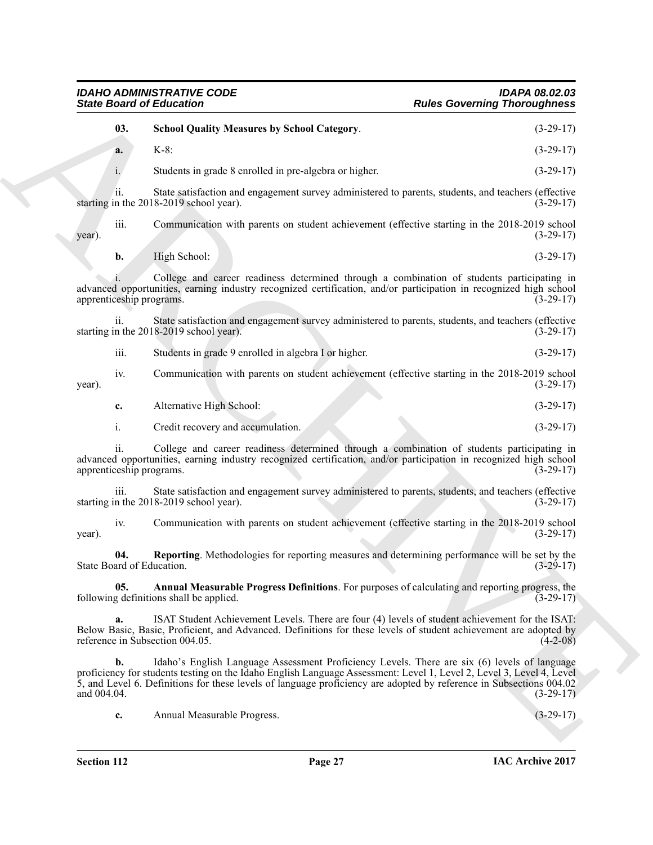<span id="page-26-2"></span><span id="page-26-1"></span><span id="page-26-0"></span>

|                                  | <b>State Board of Education</b>                                                                                                                                                                                                                                                                                                             | <b>Rules Governing Thoroughness</b> |
|----------------------------------|---------------------------------------------------------------------------------------------------------------------------------------------------------------------------------------------------------------------------------------------------------------------------------------------------------------------------------------------|-------------------------------------|
| 03.                              | <b>School Quality Measures by School Category.</b>                                                                                                                                                                                                                                                                                          | $(3-29-17)$                         |
| a.                               | $K-8$ :                                                                                                                                                                                                                                                                                                                                     | $(3-29-17)$                         |
| i.                               | Students in grade 8 enrolled in pre-algebra or higher.                                                                                                                                                                                                                                                                                      | $(3-29-17)$                         |
| ii.                              | State satisfaction and engagement survey administered to parents, students, and teachers (effective<br>starting in the 2018-2019 school year).                                                                                                                                                                                              | $(3-29-17)$                         |
| iii.<br>year).                   | Communication with parents on student achievement (effective starting in the 2018-2019 school                                                                                                                                                                                                                                               | $(3-29-17)$                         |
| b.                               | High School:                                                                                                                                                                                                                                                                                                                                | $(3-29-17)$                         |
| apprenticeship programs.         | College and career readiness determined through a combination of students participating in<br>advanced opportunities, earning industry recognized certification, and/or participation in recognized high school                                                                                                                             | $(3-29-17)$                         |
| ii.                              | State satisfaction and engagement survey administered to parents, students, and teachers (effective<br>starting in the 2018-2019 school year).                                                                                                                                                                                              | $(3-29-17)$                         |
| iii.                             | Students in grade 9 enrolled in algebra I or higher.                                                                                                                                                                                                                                                                                        | $(3-29-17)$                         |
| iv.<br>year).                    | Communication with parents on student achievement (effective starting in the 2018-2019 school                                                                                                                                                                                                                                               | $(3-29-17)$                         |
| c.                               | Alternative High School:                                                                                                                                                                                                                                                                                                                    | $(3-29-17)$                         |
| i.                               | Credit recovery and accumulation.                                                                                                                                                                                                                                                                                                           | $(3-29-17)$                         |
| ii.<br>apprenticeship programs.  | College and career readiness determined through a combination of students participating in<br>advanced opportunities, earning industry recognized certification, and/or participation in recognized high school                                                                                                                             | $(3-29-17)$                         |
| iii.                             | State satisfaction and engagement survey administered to parents, students, and teachers (effective<br>starting in the 2018-2019 school year).                                                                                                                                                                                              | $(3-29-17)$                         |
| iv.<br>year).                    | Communication with parents on student achievement (effective starting in the 2018-2019 school                                                                                                                                                                                                                                               | $(3-29-17)$                         |
| 04.<br>State Board of Education. | Reporting. Methodologies for reporting measures and determining performance will be set by the                                                                                                                                                                                                                                              | $(3-29-17)$                         |
| 05.                              | Annual Measurable Progress Definitions. For purposes of calculating and reporting progress, the<br>following definitions shall be applied.                                                                                                                                                                                                  | $(3-29-17)$                         |
| a.                               | ISAT Student Achievement Levels. There are four (4) levels of student achievement for the ISAT:<br>Below Basic, Basic, Proficient, and Advanced. Definitions for these levels of student achievement are adopted by<br>reference in Subsection 004.05.                                                                                      | $(4-2-08)$                          |
| $\mathbf{b}$ .                   | Idaho's English Language Assessment Proficiency Levels. There are six (6) levels of language<br>proficiency for students testing on the Idaho English Language Assessment: Level 1, Level 2, Level 3, Level 4, Level<br>5, and Level 6. Definitions for these levels of language proficiency are adopted by reference in Subsections 004.02 | $(3-29-17)$                         |
| and 004.04.                      |                                                                                                                                                                                                                                                                                                                                             |                                     |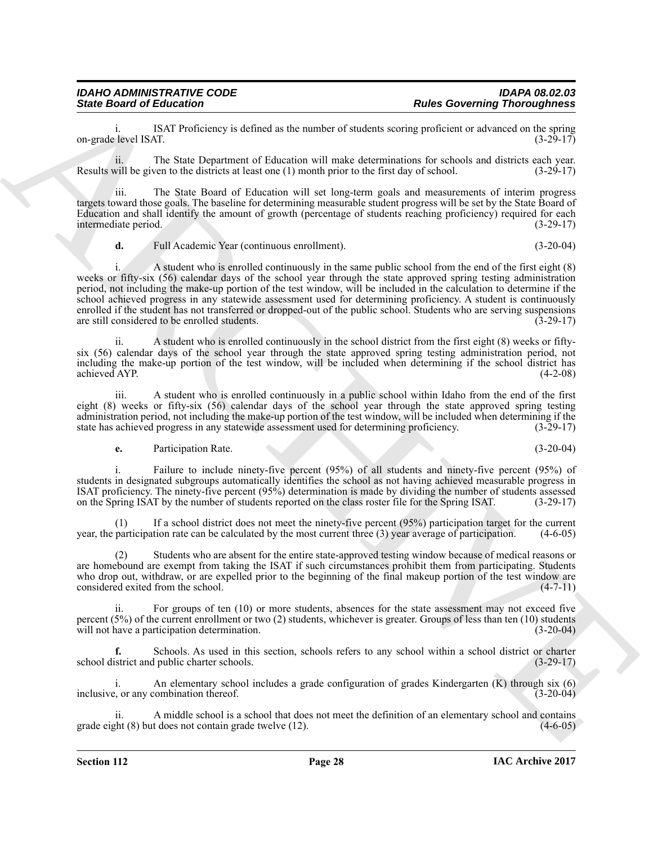ISAT Proficiency is defined as the number of students scoring proficient or advanced on the spring (3-29-17)<br>(3-29-17) on-grade level ISAT.

ii. The State Department of Education will make determinations for schools and districts each year. Results will be given to the districts at least one (1) month prior to the first day of school. (3-29-17)

iii. The State Board of Education will set long-term goals and measurements of interim progress targets toward those goals. The baseline for determining measurable student progress will be set by the State Board of Education and shall identify the amount of growth (percentage of students reaching proficiency) required for each intermediate period. (3-29-17)

**d.** Full Academic Year (continuous enrollment). (3-20-04)

Since Board of Eclication<br>
or quad. here. The two-set of the bosonic strainers of states accuracy the set of the state of the particular control of the state of the state of the state of the state of the state of the stat A student who is enrolled continuously in the same public school from the end of the first eight (8) weeks or fifty-six (56) calendar days of the school year through the state approved spring testing administration period, not including the make-up portion of the test window, will be included in the calculation to determine if the school achieved progress in any statewide assessment used for determining proficiency. A student is continuously enrolled if the student has not transferred or dropped-out of the public school. Students who are serving suspensions are still considered to be enrolled students. (3-29-17)

ii. A student who is enrolled continuously in the school district from the first eight (8) weeks or fiftysix (56) calendar days of the school year through the state approved spring testing administration period, not including the make-up portion of the test window, will be included when determining if the school district has achieved AYP. (4-2-08)

iii. A student who is enrolled continuously in a public school within Idaho from the end of the first eight (8) weeks or fifty-six (56) calendar days of the school year through the state approved spring testing administration period, not including the make-up portion of the test window, will be included when determining if the state has achieved progress in any statewide assessment used for determining proficiency. (3-29-17)

**e.** Participation Rate. (3-20-04)

i. Failure to include ninety-five percent (95%) of all students and ninety-five percent (95%) of students in designated subgroups automatically identifies the school as not having achieved measurable progress in ISAT proficiency. The ninety-five percent (95%) determination is made by dividing the number of students assessed on the Spring ISAT by the number of students reported on the class roster file for the Spring ISAT. (3-29-17)

(1) If a school district does not meet the ninety-five percent (95%) participation target for the current year, the participation rate can be calculated by the most current three (3) year average of participation. (4-6-05)

Students who are absent for the entire state-approved testing window because of medical reasons or are homebound are exempt from taking the ISAT if such circumstances prohibit them from participating. Students who drop out, withdraw, or are expelled prior to the beginning of the final makeup portion of the test window are considered exited from the school. (4-7-11)

ii. For groups of ten (10) or more students, absences for the state assessment may not exceed five percent (5%) of the current enrollment or two (2) students, whichever is greater. Groups of less than ten (10) students will not have a participation determination. (3-20-04)

**f.** Schools. As used in this section, schools refers to any school within a school district or charter school district and public charter schools. (3-29-17)

i. An elementary school includes a grade configuration of grades Kindergarten (K) through six (6) inclusive, or any combination thereof. (3-20-04)

ii. A middle school is a school that does not meet the definition of an elementary school and contains grade eight (8) but does not contain grade twelve (12). (4-6-05)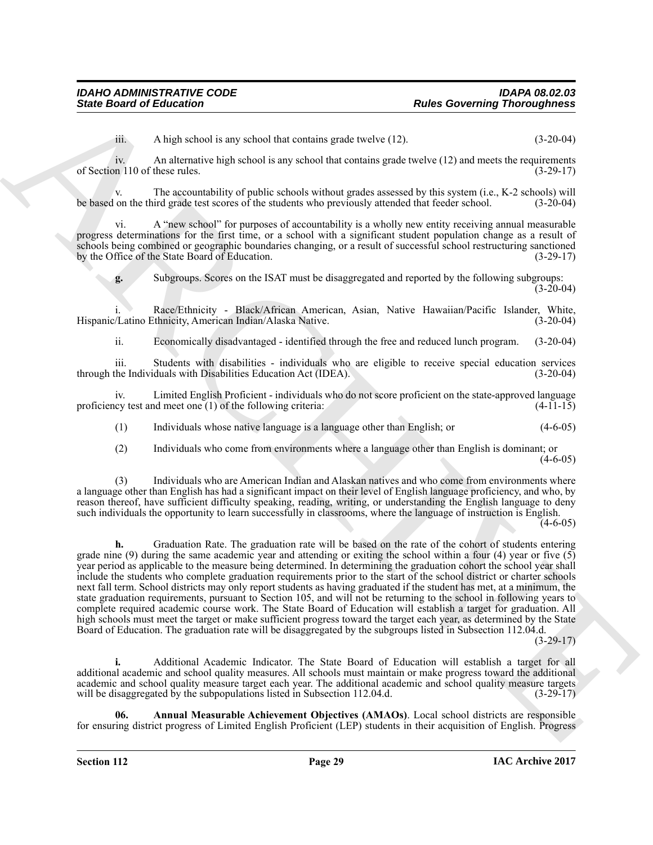iii. A high school is any school that contains grade twelve  $(12)$ .  $(3-20-04)$ 

iv. An alternative high school is any school that contains grade twelve (12) and meets the requirements of Section 110 of these rules. (3-29-17)

v. The accountability of public schools without grades assessed by this system (i.e., K-2 schools) will on the third grade test scores of the students who previously attended that feeder school. (3-20-04) be based on the third grade test scores of the students who previously attended that feeder school.

vi. A "new school" for purposes of accountability is a wholly new entity receiving annual measurable progress determinations for the first time, or a school with a significant student population change as a result of schools being combined or geographic boundaries changing, or a result of successful school restructuring sanctioned<br>by the Office of the State Board of Education. (3-29-17) by the Office of the State Board of Education.

**g.** Subgroups. Scores on the ISAT must be disaggregated and reported by the following subgroups:  $(3-20-04)$ 

Race/Ethnicity - Black/African American, Asian, Native Hawaiian/Pacific Islander, White, Hispanic/Latino Ethnicity, American Indian/Alaska Native. (3-20-04)

ii. Economically disadvantaged - identified through the free and reduced lunch program. (3-20-04)

iii. Students with disabilities - individuals who are eligible to receive special education services through the Individuals with Disabilities Education Act (IDEA). (3-20-04)

iv. Limited English Proficient - individuals who do not score proficient on the state-approved language proficiency test and meet one  $(1)$  of the following criteria:  $(4-1\overline{1}+15)$ 

(1) Individuals whose native language is a language other than English; or (4-6-05)

(2) Individuals who come from environments where a language other than English is dominant; or  $(4-6-05)$ 

(3) Individuals who are American Indian and Alaskan natives and who come from environments where a language other than English has had a significant impact on their level of English language proficiency, and who, by reason thereof, have sufficient difficulty speaking, reading, writing, or understanding the English language to deny such individuals the opportunity to learn successfully in classrooms, where the language of instruction is English.  $(4-6-05)$ 

Since Board of Enlocation<br>
An Islands the material processing Thomas provides the state of the U.S. Contained C. Contained C. Contained C. Contained C. Contained C. Contained C. Contained C. Contained C. Contained C. Cont **h.** Graduation Rate. The graduation rate will be based on the rate of the cohort of students entering grade nine (9) during the same academic year and attending or exiting the school within a four (4) year or five  $(5)$ year period as applicable to the measure being determined. In determining the graduation cohort the school year shall include the students who complete graduation requirements prior to the start of the school district or charter schools next fall term. School districts may only report students as having graduated if the student has met, at a minimum, the state graduation requirements, pursuant to Section 105, and will not be returning to the school in following years to complete required academic course work. The State Board of Education will establish a target for graduation. All high schools must meet the target or make sufficient progress toward the target each year, as determined by the State Board of Education. The graduation rate will be disaggregated by the subgroups listed in Subsection 112.04.d.

 $(3-29-17)$ 

**i.** Additional Academic Indicator. The State Board of Education will establish a target for all additional academic and school quality measures. All schools must maintain or make progress toward the additional academic and school quality measure target each year. The additional academic and school quality measure targets will be disaggregated by the subpopulations listed in Subsection 112.04.d. (3-29-17)

<span id="page-28-0"></span>**06. Annual Measurable Achievement Objectives (AMAOs)**. Local school districts are responsible for ensuring district progress of Limited English Proficient (LEP) students in their acquisition of English. Progress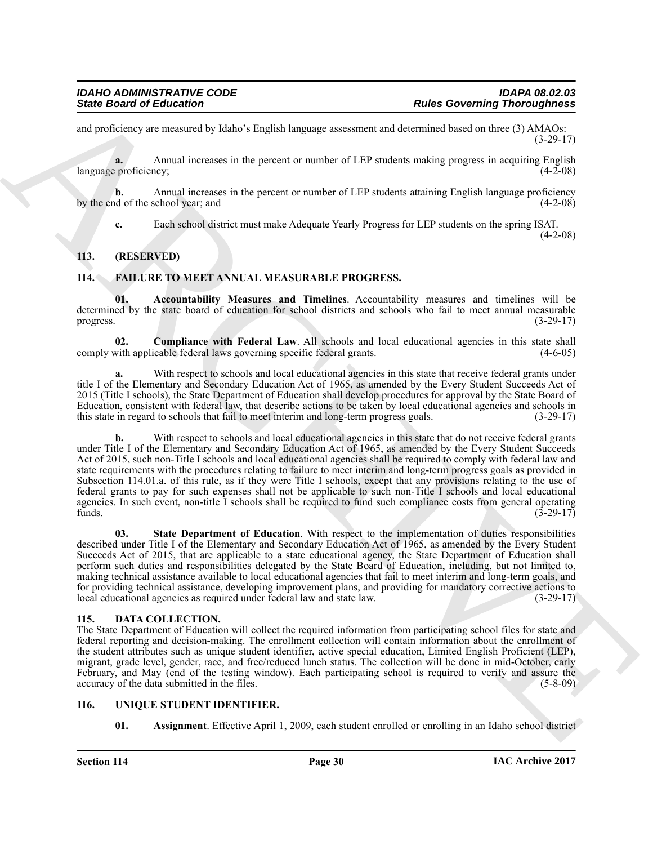and proficiency are measured by Idaho's English language assessment and determined based on three (3) AMAOs: (3-29-17)

**a.** Annual increases in the percent or number of LEP students making progress in acquiring English language proficiency; (4-2-08)

**b.** Annual increases in the percent or number of LEP students attaining English language proficiency of the school year; and (4-2-08) by the end of the school year; and

<span id="page-29-6"></span>**c.** Each school district must make Adequate Yearly Progress for LEP students on the spring ISAT.

(4-2-08)

#### <span id="page-29-0"></span>**113. (RESERVED)**

#### <span id="page-29-5"></span><span id="page-29-1"></span>**114. FAILURE TO MEET ANNUAL MEASURABLE PROGRESS.**

**01. Accountability Measures and Timelines**. Accountability measures and timelines will be determined by the state board of education for school districts and schools who fail to meet annual measurable progress. (3-29-17)

<span id="page-29-7"></span>**02. Compliance with Federal Law**. All schools and local educational agencies in this state shall with applicable federal laws governing specific federal grants. (4-6-05) comply with applicable federal laws governing specific federal grants.

With respect to schools and local educational agencies in this state that receive federal grants under title I of the Elementary and Secondary Education Act of 1965, as amended by the Every Student Succeeds Act of 2015 (Title I schools), the State Department of Education shall develop procedures for approval by the State Board of Education, consistent with federal law, that describe actions to be taken by local educational agencies and schools in this state in regard to schools that fail to meet interim and long-term progress goals. (3-29-17) this state in regard to schools that fail to meet interim and long-term progress goals.

Since Board of Enkoration<br>
and procedure and the state in the state of the state and the state of the state of the state of the state of the state of the state of the state of the state of the state of the state of the st **b.** With respect to schools and local educational agencies in this state that do not receive federal grants under Title I of the Elementary and Secondary Education Act of 1965, as amended by the Every Student Succeeds Act of 2015, such non-Title I schools and local educational agencies shall be required to comply with federal law and state requirements with the procedures relating to failure to meet interim and long-term progress goals as provided in Subsection 114.01.a. of this rule, as if they were Title I schools, except that any provisions relating to the use of federal grants to pay for such expenses shall not be applicable to such non-Title I schools and local educational agencies. In such event, non-title I schools shall be required to fund such compliance costs from general operating funds. (3-29-17) funds.  $(3-29-17)$ 

<span id="page-29-8"></span>**03. State Department of Education**. With respect to the implementation of duties responsibilities described under Title I of the Elementary and Secondary Education Act of 1965, as amended by the Every Student Succeeds Act of 2015, that are applicable to a state educational agency, the State Department of Education shall perform such duties and responsibilities delegated by the State Board of Education, including, but not limited to, making technical assistance available to local educational agencies that fail to meet interim and long-term goals, and for providing technical assistance, developing improvement plans, and providing for mandatory corrective actions to local educational agencies as required under federal law and state law. (3-29-17) local educational agencies as required under federal law and state law.

#### <span id="page-29-4"></span><span id="page-29-2"></span>**115. DATA COLLECTION.**

The State Department of Education will collect the required information from participating school files for state and federal reporting and decision-making. The enrollment collection will contain information about the enrollment of the student attributes such as unique student identifier, active special education, Limited English Proficient (LEP), migrant, grade level, gender, race, and free/reduced lunch status. The collection will be done in mid-October, early February, and May (end of the testing window). Each participating school is required to verify and assure the accuracy of the data submitted in the files. (5-8-09)

#### <span id="page-29-3"></span>**116. UNIQUE STUDENT IDENTIFIER.**

<span id="page-29-10"></span><span id="page-29-9"></span>**01.** Assignment. Effective April 1, 2009, each student enrolled or enrolling in an Idaho school district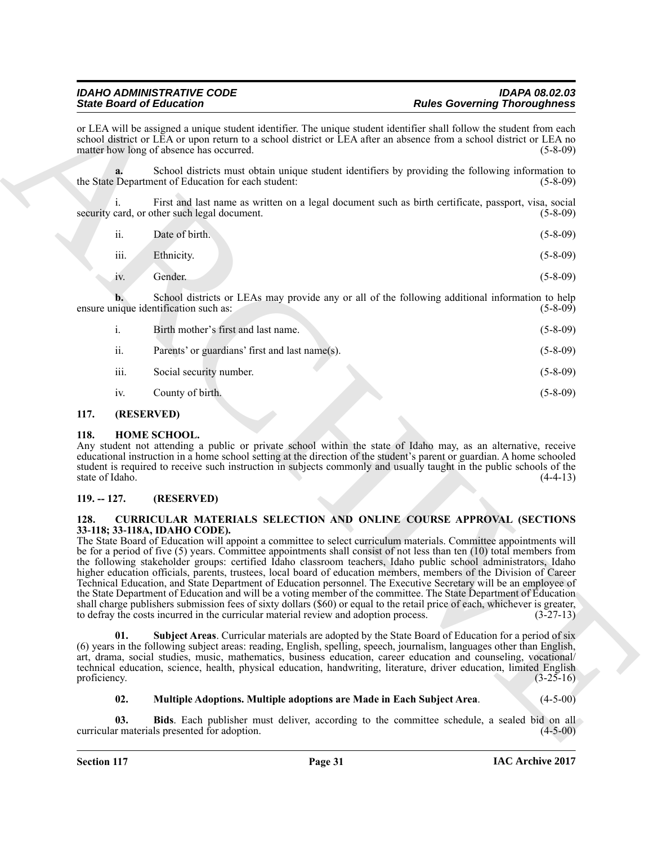or LEA will be assigned a unique student identifier. The unique student identifier shall follow the student from each school district or LEA or upon return to a school district or LEA after an absence from a school district or LEA no matter how long of absence has occurred. (5-8-09)

**a.** School districts must obtain unique student identifiers by providing the following information to the State Department of Education for each student: (5-8-09)

i. First and last name as written on a legal document such as birth certificate, passport, visa, social security card, or other such legal document. (5-8-09)

| ii.  | Date of birth. | $(5-8-09)$ |
|------|----------------|------------|
| iii. | Ethnicity.     | $(5-8-09)$ |

iv. Gender. (5-8-09)

**b.** School districts or LEAs may provide any or all of the following additional information to help ensure unique identification such as: (5-8-09)

| $\mathbf{1}$ . | Birth mother's first and last name.            | $(5-8-09)$ |
|----------------|------------------------------------------------|------------|
| ii.            | Parents' or guardians' first and last name(s). | $(5-8-09)$ |
| iii.           | Social security number.                        | $(5-8-09)$ |
| iv.            | County of birth.                               | $(5-8-09)$ |

#### <span id="page-30-8"></span><span id="page-30-0"></span>**117. (RESERVED)**

#### <span id="page-30-1"></span>**118. HOME SCHOOL.**

Any student not attending a public or private school within the state of Idaho may, as an alternative, receive educational instruction in a home school setting at the direction of the student's parent or guardian. A home schooled student is required to receive such instruction in subjects commonly and usually taught in the public schools of the state of Idaho. (4-4-13)

#### <span id="page-30-2"></span>**119. -- 127. (RESERVED)**

#### <span id="page-30-4"></span><span id="page-30-3"></span>**128. CURRICULAR MATERIALS SELECTION AND ONLINE COURSE APPROVAL (SECTIONS 33-118; 33-118A, IDAHO CODE).**

Since the other states and the state of the state of the state of the state of the state of the state of the state of the state of the state of the state of the state of the state of the state of the state of the state of The State Board of Education will appoint a committee to select curriculum materials. Committee appointments will be for a period of five (5) years. Committee appointments shall consist of not less than ten (10) total members from the following stakeholder groups: certified Idaho classroom teachers, Idaho public school administrators, Idaho higher education officials, parents, trustees, local board of education members, members of the Division of Career Technical Education, and State Department of Education personnel. The Executive Secretary will be an employee of the State Department of Education and will be a voting member of the committee. The State Department of Education shall charge publishers submission fees of sixty dollars (\$60) or equal to the retail price of each, whichever is greater, to defray the costs incurred in the curricular material review and adoption process.  $(3-27-13)$ to defray the costs incurred in the curricular material review and adoption process.

<span id="page-30-7"></span>**01. Subject Areas**. Curricular materials are adopted by the State Board of Education for a period of six (6) years in the following subject areas: reading, English, spelling, speech, journalism, languages other than English, art, drama, social studies, music, mathematics, business education, career education and counseling, vocational/ technical education, science, health, physical education, handwriting, literature, driver education, limited English proficiency.  $(3-25-16)$ 

#### <span id="page-30-6"></span><span id="page-30-5"></span>**02. Multiple Adoptions. Multiple adoptions are Made in Each Subject Area**. (4-5-00)

**03. Bids**. Each publisher must deliver, according to the committee schedule, a sealed bid on all curricular materials presented for adoption. (4-5-00)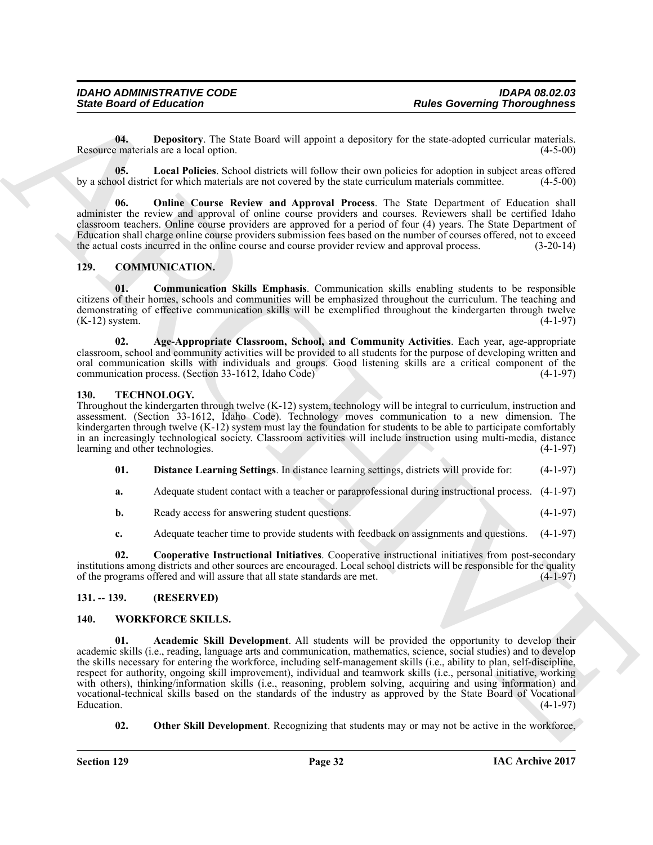<span id="page-31-7"></span>**04. Depository**. The State Board will appoint a depository for the state-adopted curricular materials. Resource materials are a local option. (4-5-00)

<span id="page-31-8"></span>**05. Local Policies**. School districts will follow their own policies for adoption in subject areas offered by a school district for which materials are not covered by the state curriculum materials committee. (4-5-00)

<span id="page-31-9"></span>**06. Online Course Review and Approval Process**. The State Department of Education shall administer the review and approval of online course providers and courses. Reviewers shall be certified Idaho classroom teachers. Online course providers are approved for a period of four (4) years. The State Department of Education shall charge online course providers submission fees based on the number of courses offered, not to exceed the actual costs incurred in the online course and course provider review and approval process. (3-20-14)

#### <span id="page-31-4"></span><span id="page-31-0"></span>**129. COMMUNICATION.**

<span id="page-31-6"></span>**01. Communication Skills Emphasis**. Communication skills enabling students to be responsible citizens of their homes, schools and communities will be emphasized throughout the curriculum. The teaching and demonstrating of effective communication skills will be exemplified throughout the kindergarten through twelve (K-12) system. (4-1-97)

<span id="page-31-5"></span>**02. Age-Appropriate Classroom, School, and Community Activities**. Each year, age-appropriate classroom, school and community activities will be provided to all students for the purpose of developing written and oral communication skills with individuals and groups. Good listening skills are a critical component of the communication process. (Section 33-1612, Idaho Code) (4-1-97)

#### <span id="page-31-10"></span><span id="page-31-1"></span>**130. TECHNOLOGY.**

Throughout the kindergarten through twelve (K-12) system, technology will be integral to curriculum, instruction and assessment. (Section 33-1612, Idaho Code). Technology moves communication to a new dimension. The kindergarten through twelve (K-12) system must lay the foundation for students to be able to participate comfortably in an increasingly technological society. Classroom activities will include instruction using multi-media, distance learning and other technologies. (4-1-97)

<span id="page-31-12"></span>**01. Distance Learning Settings**. In distance learning settings, districts will provide for: (4-1-97)

**a.** Adequate student contact with a teacher or paraprofessional during instructional process. (4-1-97)

**b.** Ready access for answering student questions. (4-1-97)

<span id="page-31-11"></span>**c.** Adequate teacher time to provide students with feedback on assignments and questions. (4-1-97)

**02. Cooperative Instructional Initiatives**. Cooperative instructional initiatives from post-secondary institutions among districts and other sources are encouraged. Local school districts will be responsible for the quality of the programs offered and will assure that all state standards are met. (4-1-97)

#### <span id="page-31-2"></span>**131. -- 139. (RESERVED)**

#### <span id="page-31-14"></span><span id="page-31-13"></span><span id="page-31-3"></span>**140. WORKFORCE SKILLS.**

Since Board of Enkoration T<br>
Uses Governing Thomas Governing Thomas Governing Thomas Governing Thomas Governing Thomas Governing Thomas Governing Thomas Governing Thomas Governing The European Section 1976 and The Control **01. Academic Skill Development**. All students will be provided the opportunity to develop their academic skills (i.e., reading, language arts and communication, mathematics, science, social studies) and to develop the skills necessary for entering the workforce, including self-management skills (i.e., ability to plan, self-discipline, respect for authority, ongoing skill improvement), individual and teamwork skills (i.e., personal initiative, working with others), thinking/information skills (i.e., reasoning, problem solving, acquiring and using information) and vocational-technical skills based on the standards of the industry as approved by the State Board of Vocational Education. (4-1-97)

<span id="page-31-15"></span>**02.** Other Skill Development. Recognizing that students may or may not be active in the workforce,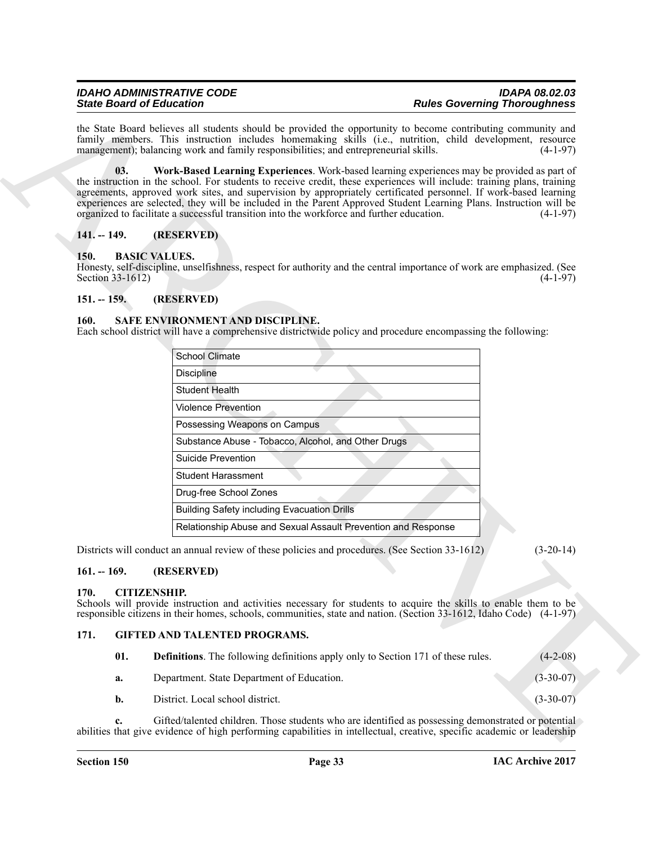#### <span id="page-32-12"></span><span id="page-32-0"></span>**141. -- 149. (RESERVED)**

#### <span id="page-32-7"></span><span id="page-32-1"></span>**150. BASIC VALUES.**

#### <span id="page-32-2"></span>**151. -- 159. (RESERVED)**

#### <span id="page-32-11"></span><span id="page-32-3"></span>**160. SAFE ENVIRONMENT AND DISCIPLINE.**

|                          | <b>Rules Governing Thoroughness</b><br><b>State Board of Education</b>                                                                                                                                                                                                                                                                                                                                                                                                                                                                                        |             |  |
|--------------------------|---------------------------------------------------------------------------------------------------------------------------------------------------------------------------------------------------------------------------------------------------------------------------------------------------------------------------------------------------------------------------------------------------------------------------------------------------------------------------------------------------------------------------------------------------------------|-------------|--|
|                          | the State Board believes all students should be provided the opportunity to become contributing community and<br>family members. This instruction includes homemaking skills (i.e., nutrition, child development, resource<br>management); balancing work and family responsibilities; and entrepreneurial skills.                                                                                                                                                                                                                                            | $(4-1-97)$  |  |
| 03.                      | Work-Based Learning Experiences. Work-based learning experiences may be provided as part of<br>the instruction in the school. For students to receive credit, these experiences will include: training plans, training<br>agreements, approved work sites, and supervision by appropriately certificated personnel. If work-based learning<br>experiences are selected, they will be included in the Parent Approved Student Learning Plans. Instruction will be<br>organized to facilitate a successful transition into the workforce and further education. | $(4-1-97)$  |  |
| $141. - 149.$            | (RESERVED)                                                                                                                                                                                                                                                                                                                                                                                                                                                                                                                                                    |             |  |
| 150.<br>Section 33-1612) | <b>BASIC VALUES.</b><br>Honesty, self-discipline, unselfishness, respect for authority and the central importance of work are emphasized. (See                                                                                                                                                                                                                                                                                                                                                                                                                | $(4-1-97)$  |  |
| $151. - 159.$            | (RESERVED)                                                                                                                                                                                                                                                                                                                                                                                                                                                                                                                                                    |             |  |
| 160.                     | SAFE ENVIRONMENT AND DISCIPLINE.<br>Each school district will have a comprehensive districtwide policy and procedure encompassing the following:<br><b>School Climate</b>                                                                                                                                                                                                                                                                                                                                                                                     |             |  |
|                          | <b>Discipline</b>                                                                                                                                                                                                                                                                                                                                                                                                                                                                                                                                             |             |  |
|                          | <b>Student Health</b>                                                                                                                                                                                                                                                                                                                                                                                                                                                                                                                                         |             |  |
|                          | <b>Violence Prevention</b>                                                                                                                                                                                                                                                                                                                                                                                                                                                                                                                                    |             |  |
|                          | Possessing Weapons on Campus                                                                                                                                                                                                                                                                                                                                                                                                                                                                                                                                  |             |  |
|                          | Substance Abuse - Tobacco, Alcohol, and Other Drugs                                                                                                                                                                                                                                                                                                                                                                                                                                                                                                           |             |  |
|                          | <b>Suicide Prevention</b>                                                                                                                                                                                                                                                                                                                                                                                                                                                                                                                                     |             |  |
|                          | <b>Student Harassment</b>                                                                                                                                                                                                                                                                                                                                                                                                                                                                                                                                     |             |  |
|                          | Drug-free School Zones                                                                                                                                                                                                                                                                                                                                                                                                                                                                                                                                        |             |  |
|                          | <b>Building Safety including Evacuation Drills</b>                                                                                                                                                                                                                                                                                                                                                                                                                                                                                                            |             |  |
|                          | Relationship Abuse and Sexual Assault Prevention and Response                                                                                                                                                                                                                                                                                                                                                                                                                                                                                                 |             |  |
|                          | Districts will conduct an annual review of these policies and procedures. (See Section 33-1612)                                                                                                                                                                                                                                                                                                                                                                                                                                                               | $(3-20-14)$ |  |
| $161. - 169.$            | (RESERVED)                                                                                                                                                                                                                                                                                                                                                                                                                                                                                                                                                    |             |  |
| 170.                     | <b>CITIZENSHIP.</b><br>Schools will provide instruction and activities necessary for students to acquire the skills to enable them to be<br>responsible citizens in their homes, schools, communities, state and nation. (Section 33-1612, Idaho Code) (4-1-97)                                                                                                                                                                                                                                                                                               |             |  |
|                          |                                                                                                                                                                                                                                                                                                                                                                                                                                                                                                                                                               |             |  |
| 171.                     | <b>GIFTED AND TALENTED PROGRAMS.</b>                                                                                                                                                                                                                                                                                                                                                                                                                                                                                                                          |             |  |
| 01.                      | <b>Definitions</b> . The following definitions apply only to Section 171 of these rules.                                                                                                                                                                                                                                                                                                                                                                                                                                                                      | $(4-2-08)$  |  |
| a.                       | Department. State Department of Education.                                                                                                                                                                                                                                                                                                                                                                                                                                                                                                                    | $(3-30-07)$ |  |
| b.                       | District. Local school district.                                                                                                                                                                                                                                                                                                                                                                                                                                                                                                                              | $(3-30-07)$ |  |

#### <span id="page-32-4"></span>**161. -- 169. (RESERVED)**

#### <span id="page-32-8"></span><span id="page-32-5"></span>**170. CITIZENSHIP.**

#### <span id="page-32-6"></span>**171. GIFTED AND TALENTED PROGRAMS.**

<span id="page-32-10"></span><span id="page-32-9"></span>

| -01. | <b>Definitions.</b> The following definitions apply only to Section 171 of these rules. | $(4-2-08)$  |
|------|-----------------------------------------------------------------------------------------|-------------|
| а.   | Department. State Department of Education.                                              | $(3-30-07)$ |
| b.   | District. Local school district.                                                        | $(3-30-07)$ |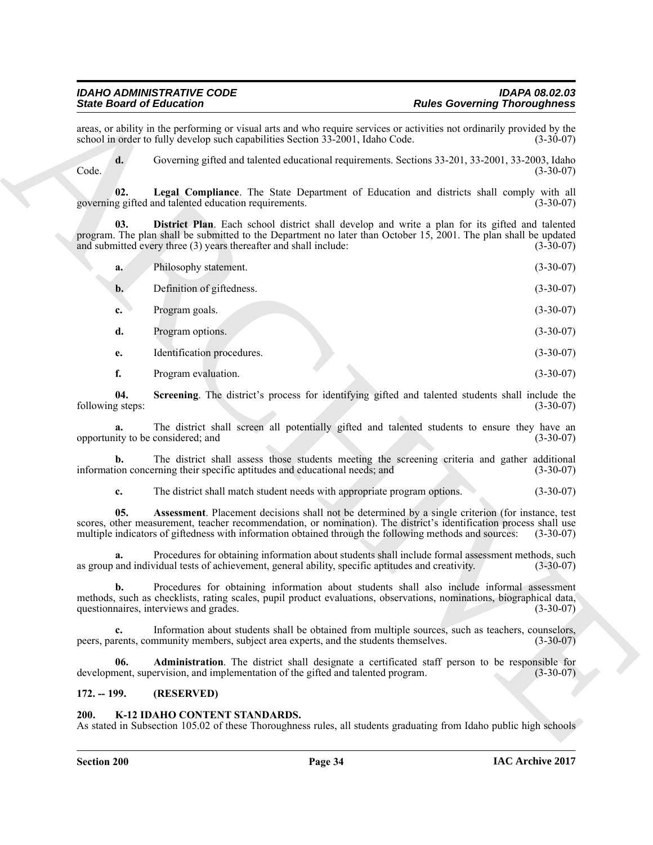<span id="page-33-5"></span><span id="page-33-4"></span>

|                         | areas, or ability in the performing or visual arts and who require services or activities not ordinarily provided by the<br>school in order to fully develop such capabilities Section 33-2001, Idaho Code.                                                                                                                       | $(3-30-07)$ |
|-------------------------|-----------------------------------------------------------------------------------------------------------------------------------------------------------------------------------------------------------------------------------------------------------------------------------------------------------------------------------|-------------|
| d.<br>Code.             | Governing gifted and talented educational requirements. Sections 33-201, 33-2001, 33-2003, Idaho                                                                                                                                                                                                                                  | $(3-30-07)$ |
| 02.                     | Legal Compliance. The State Department of Education and districts shall comply with all<br>governing gifted and talented education requirements.                                                                                                                                                                                  | $(3-30-07)$ |
| 03.                     | District Plan. Each school district shall develop and write a plan for its gifted and talented<br>program. The plan shall be submitted to the Department no later than October 15, 2001. The plan shall be updated<br>and submitted every three (3) years thereafter and shall include:                                           | $(3-30-07)$ |
| a.                      | Philosophy statement.                                                                                                                                                                                                                                                                                                             | $(3-30-07)$ |
| $\mathbf{b}$ .          | Definition of giftedness.                                                                                                                                                                                                                                                                                                         | $(3-30-07)$ |
| c.                      | Program goals.                                                                                                                                                                                                                                                                                                                    | $(3-30-07)$ |
| d.                      | Program options.                                                                                                                                                                                                                                                                                                                  | $(3-30-07)$ |
| e.                      | Identification procedures.                                                                                                                                                                                                                                                                                                        | $(3-30-07)$ |
| f.                      | Program evaluation.                                                                                                                                                                                                                                                                                                               | $(3-30-07)$ |
| 04.<br>following steps: | Screening. The district's process for identifying gifted and talented students shall include the                                                                                                                                                                                                                                  | $(3-30-07)$ |
|                         | The district shall screen all potentially gifted and talented students to ensure they have an<br>opportunity to be considered; and                                                                                                                                                                                                | $(3-30-07)$ |
| b.                      | The district shall assess those students meeting the screening criteria and gather additional<br>information concerning their specific aptitudes and educational needs; and                                                                                                                                                       | $(3-30-07)$ |
| c.                      | The district shall match student needs with appropriate program options.                                                                                                                                                                                                                                                          | $(3-30-07)$ |
| 05.                     | Assessment. Placement decisions shall not be determined by a single criterion (for instance, test<br>scores, other measurement, teacher recommendation, or nomination). The district's identification process shall use<br>multiple indicators of giftedness with information obtained through the following methods and sources: | $(3-30-07)$ |
| a.                      | Procedures for obtaining information about students shall include formal assessment methods, such<br>as group and individual tests of achievement, general ability, specific aptitudes and creativity.                                                                                                                            | $(3-30-07)$ |
| b.                      | Procedures for obtaining information about students shall also include informal assessment<br>methods, such as checklists, rating scales, pupil product evaluations, observations, nominations, biographical data,<br>questionnaires, interviews and grades.                                                                      | $(3-30-07)$ |
| $c_{\cdot}$             | Information about students shall be obtained from multiple sources, such as teachers, counselors,<br>peers, parents, community members, subject area experts, and the students themselves.                                                                                                                                        | $(3-30-07)$ |
| 06.                     | Administration. The district shall designate a certificated staff person to be responsible for<br>development, supervision, and implementation of the gifted and talented program.                                                                                                                                                | $(3-30-07)$ |
|                         | (RESERVED)                                                                                                                                                                                                                                                                                                                        |             |

#### <span id="page-33-6"></span><span id="page-33-3"></span><span id="page-33-2"></span><span id="page-33-0"></span>**172. -- 199. (RESERVED)**

#### <span id="page-33-7"></span><span id="page-33-1"></span>**200. K-12 IDAHO CONTENT STANDARDS.**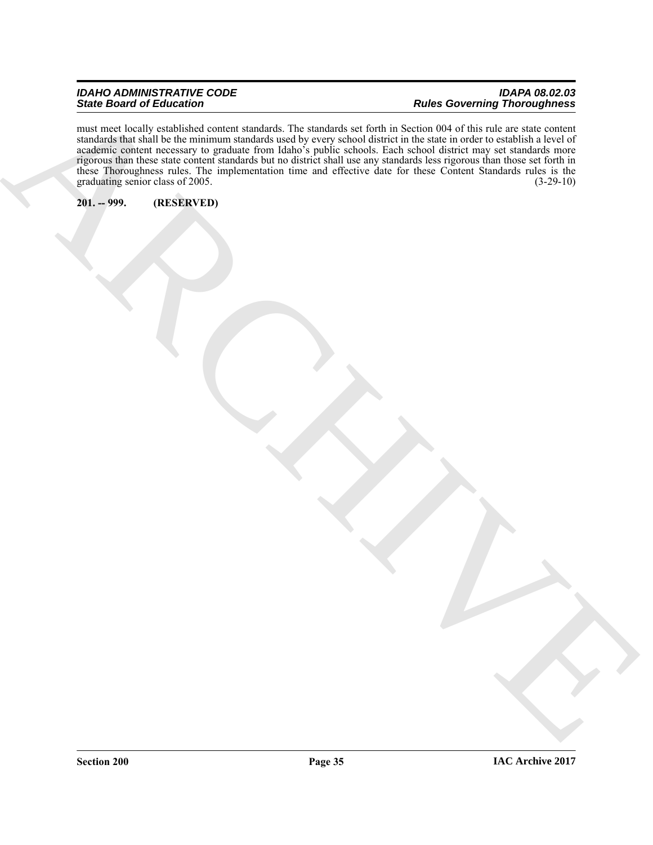#### *IDAHO ADMINISTRATIVE CODE IDAPA 08.02.03 State Board of Education Rules Governing Thoroughness*

ARCHIVE must meet locally established content standards. The standards set forth in Section 004 of this rule are state content standards that shall be the minimum standards used by every school district in the state in order to establish a level of academic content necessary to graduate from Idaho's public schools. Each school district may set standards more rigorous than these state content standards but no district shall use any standards less rigorous than those set forth in these Thoroughness rules. The implementation time and effective date for these Content Standards rules is the graduating senior class of 2005. (3-29-10)

#### <span id="page-34-0"></span>**201. -- 999. (RESERVED)**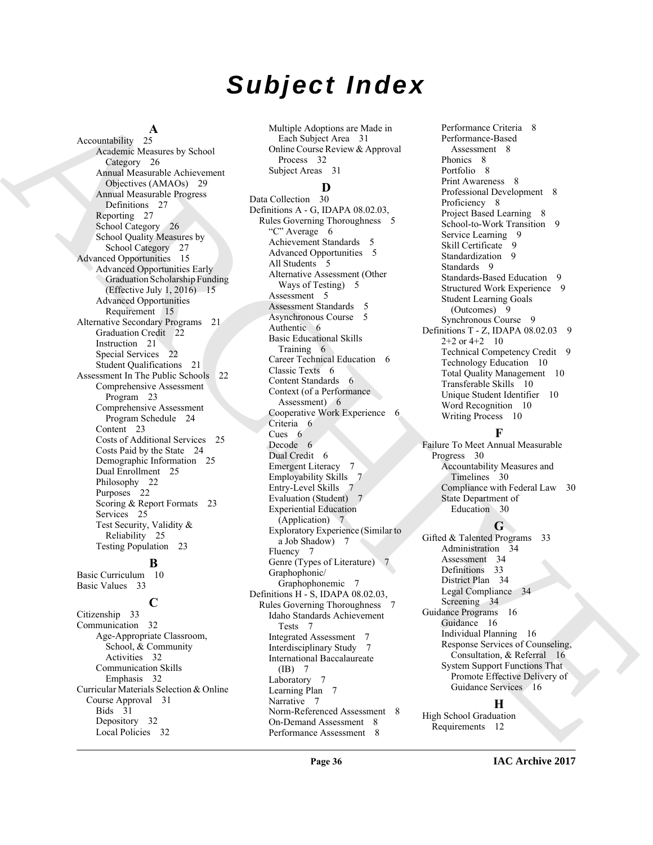# *Subject Index*

 $\frac{A}{25}$ Accountability Academic Measures by School Category 26 Annual Measurable Achievement Objectives (AMAOs) 29 Annual Measurable Progress Definitions 27 Reporting 27 School Category 26 School Quality Measures by School Category 27 Advanced Opportunities 15 Advanced Opportunities Early Graduation Scholarship Funding (Effective July 1, 2016)  $-15$ Advanced Opportunities Requirement 15 Alternative Secondary Programs 21 Graduation Credit 22 Instruction 21 Special Services 22 Student Qualifications 21 Assessment In The Public Schools 22 Comprehensive Assessment Program 23 Comprehensive Assessment Program Schedule 24 Content 23 Costs of Additional Services 25 Costs Paid by the State 24 Demographic Information 25 Dual Enrollment 25 Philosophy 22 Purposes 22 Scoring & Report Formats 23 Services 25 Test Security, Validity & Reliability 25 Testing Population 23 **B** Basic Curriculum 10

Basic Values 33

### **C**

Citizenship 33 Communication 32 Age-Appropriate Classroom, School, & Community Activities 32 Communication Skills Emphasis 32 Curricular Materials Selection & Online Course Approval 31 Bids 31 Depository 32 Local Policies 32

Multiple Adoptions are Made in Each Subject Area 31 Online Course Review & Approval Process 32 Subject Areas 31

### **D**

[A](#page-25-0)ccording A straight Amplits of the [C](#page-5-2)orresponding Contained Contained Contained Contained Contained Contained Contained Contained Contained Contained Contained Contained Contained Contained Contained Contained Contained C Data Collection 30 Definitions A - G, IDAPA 08.02.03, Rules Governing Thoroughness 5 "C" Average 6 Achievement Standards 5 Advanced Opportunities 5 All Students 5 Alternative Assessment (Other Ways of Testing) 5 Assessment 5 Assessment Standards 5 Asynchronous Course 5 Authentic 6 Basic Educational Skills Training 6 Career Technical Education 6 Classic Texts 6 Content Standards 6 Context (of a Performance Assessment) 6 Cooperative Work Experience 6 Criteria 6 Cues 6 Decode 6 Dual Credit 6 Emergent Literacy 7 Employability Skills 7 Entry-Level Skills 7 Evaluation (Student) 7 Experiential Education (Application) 7 Exploratory Experience (Similar to a Job Shadow) 7 Fluency 7 Genre (Types of Literature) Graphophonic/ Graphophonemic 7 Definitions H - S, IDAPA 08.02.03, Rules Governing Thoroughness Idaho Standards Achievement Tests 7 Integrated Assessment 7 Interdisciplinary Study 7 International Baccalaureate (IB) 7 Laboratory 7 Learning Plan 7 Narrative 7 Norm-Referenced Assessment 8 On-Demand Assessment 8 Performance Assessment 8

Performance Criteria 8 Performance-Based Assessment 8 Phonics 8 Portfolio 8 Print Awareness 8 Professional Development 8 Proficiency 8 Project Based Learning 8 School-to-Work Transition 9 Service Learning 9 Skill Certificate 9 Standardization 9 Standards 9 Standards-Based Education 9 Structured Work Experience 9 Student Learning Goals (Outcomes) 9 Synchronous Course 9 Definitions T - Z, IDAPA  $08.02.03$  9  $2+2$  or  $4+2$  10 Technical Competency Credit 9 Technology Education 10 Total Quality Management 10 Transferable Skills 10 Unique Student Identifier 10 Word Recognition 10 Writing Process 10

### **F**

Failure To Meet Annual Measurable Progress 30 Accountability Measures and Timelines 30 Compliance with Federal Law 30 State Department of Education 30

#### **G**

Gifted & Talented Programs 33 Administration 34 Assessment 34 Definitions 33 District Plan 34 Legal Compliance 34 Screening 34 Guidance Programs 16 Guidance 16 Individual Planning 16 Response Services of Counseling, Consultation, & Referral 16 System Support Functions That Promote Effective Delivery of Guidance Services 16

#### **H**

High School Graduation Requirements 12